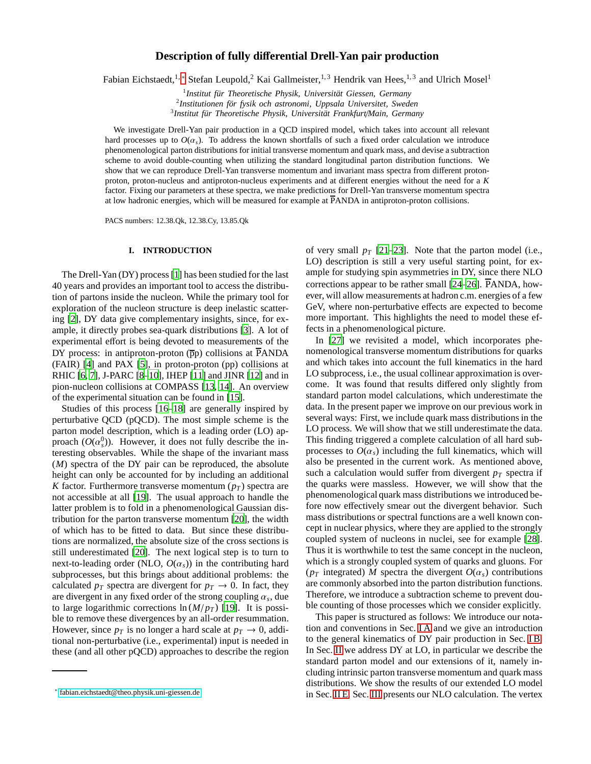# **Description of fully di**ff**erential Drell-Yan pair production**

Fabian Eichstaedt,<sup>1,[∗](#page-0-0)</sup> Stefan Leupold,<sup>2</sup> Kai Gallmeister,<sup>1,3</sup> Hendrik van Hees,<sup>1,3</sup> and Ulrich Mosel<sup>1</sup>

<sup>1</sup> Institut für Theoretische Physik, Universität Giessen, Germany

<sup>2</sup>Institutionen för fysik och astronomi, Uppsala Universitet, Sweden <sup>3</sup> Institut für Theoretische Physik, Universität Frankfurt/Main, Germany

We investigate Drell-Yan pair production in a QCD inspired model, which takes into account all relevant hard processes up to  $O(\alpha_s)$ . To address the known shortfalls of such a fixed order calculation we introduce phenomenological parton distributions for initial transverse momentum and quark mass, and devise a subtraction scheme to avoid double-counting when utilizing the standard longitudinal parton distribution functions. We show that we can reproduce Drell-Yan transverse momentum and invariant mass spectra from different protonproton, proton-nucleus and antiproton-nucleus experiments and at different energies without the need for a *K* factor. Fixing our parameters at these spectra, we make predictions for Drell-Yan transverse momentum spectra at low hadronic energies, which will be measured for example at PANDA in antiproton-proton collisions.

PACS numbers: 12.38.Qk, 12.38.Cy, 13.85.Qk

# **I. INTRODUCTION**

The Drell-Yan (DY) process [\[1\]](#page-32-0) has been studied for the last 40 years and provides an important tool to access the distribution of partons inside the nucleon. While the primary tool for exploration of the nucleon structure is deep inelastic scattering [\[2](#page-32-1)], DY data give complementary insights, since, for example, it directly probes sea-quark distributions [\[3](#page-32-2)]. A lot of experimental effort is being devoted to measurements of the DY process: in antiproton-proton  $(\overline{p}p)$  collisions at PANDA (FAIR) [\[4\]](#page-32-3) and PAX [\[5](#page-32-4)], in proton-proton (pp) collisions at RHIC [\[6,](#page-32-5) [7](#page-32-6)], J-PARC [\[8](#page-32-7)[–10](#page-32-8)], IHEP [\[11](#page-32-9)] and JINR [\[12](#page-32-10)] and in pion-nucleon collisions at COMPASS [\[13](#page-32-11), [14\]](#page-32-12). An overview of the experimental situation can be found in [\[15](#page-32-13)].

Studies of this process [\[16](#page-32-14)[–18](#page-32-15)] are generally inspired by perturbative QCD (pQCD). The most simple scheme is the parton model description, which is a leading order (LO) approach  $(O(\alpha_s^0))$ . However, it does not fully describe the interesting observables. While the shape of the invariant mass (*M*) spectra of the DY pair can be reproduced, the absolute height can only be accounted for by including an additional *K* factor. Furthermore transverse momentum  $(p_T)$  spectra are not accessible at all [\[19](#page-32-16)]. The usual approach to handle the latter problem is to fold in a phenomenological Gaussian distribution for the parton transverse momentum [\[20\]](#page-32-17), the width of which has to be fitted to data. But since these distributions are normalized, the absolute size of the cross sections is still underestimated [\[20\]](#page-32-17). The next logical step is to turn to next-to-leading order (NLO,  $O(\alpha_s)$ ) in the contributing hard subprocesses, but this brings about additional problems: the calculated  $p_T$  spectra are divergent for  $p_T \to 0$ . In fact, they are divergent in any fixed order of the strong coupling α*<sup>s</sup>* , due to large logarithmic corrections  $\ln(M/p_T)$  [\[19](#page-32-16)]. It is possible to remove these divergences by an all-order resummation. However, since  $p_T$  is no longer a hard scale at  $p_T \rightarrow 0$ , additional non-perturbative (i.e., experimental) input is needed in these (and all other pQCD) approaches to describe the region of very small  $p_T$  [\[21](#page-32-18)[–23\]](#page-32-19). Note that the parton model (i.e., LO) description is still a very useful starting point, for example for studying spin asymmetries in DY, since there NLO corrections appear to be rather small  $[24–26]$  $[24–26]$ . PANDA, however, will allow measurements at hadron c.m. energies of a few GeV, where non-perturbative effects are expected to become more important. This highlights the need to model these effects in a phenomenological picture.

In [\[27\]](#page-32-22) we revisited a model, which incorporates phenomenological transverse momentum distributions for quarks and which takes into account the full kinematics in the hard LO subprocess, i.e., the usual collinear approximation is overcome. It was found that results differed only slightly from standard parton model calculations, which underestimate the data. In the present paper we improve on our previous work in several ways: First, we include quark mass distributions in the LO process. We will show that we still underestimate the data. This finding triggered a complete calculation of all hard subprocesses to  $O(\alpha_s)$  including the full kinematics, which will also be presented in the current work. As mentioned above, such a calculation would suffer from divergent  $p<sub>T</sub>$  spectra if the quarks were massless. However, we will show that the phenomenological quark mass distributions we introduced before now effectively smear out the divergent behavior. Such mass distributions or spectral functions are a well known concept in nuclear physics, where they are applied to the strongly coupled system of nucleons in nuclei, see for example [\[28](#page-32-23)]. Thus it is worthwhile to test the same concept in the nucleon, which is a strongly coupled system of quarks and gluons. For ( $p_T$  integrated) *M* spectra the divergent  $O(\alpha_s)$  contributions are commonly absorbed into the parton distribution functions. Therefore, we introduce a subtraction scheme to prevent double counting of those processes which we consider explicitly.

This paper is structured as follows: We introduce our notation and conventions in Sec. [I A](#page-1-0) and we give an introduction to the general kinematics of DY pair production in Sec. [I B.](#page-2-0) In Sec. [II](#page-2-1) we address DY at LO, in particular we describe the standard parton model and our extensions of it, namely including intrinsic parton transverse momentum and quark mass distributions. We show the results of our extended LO model in Sec. [II E.](#page-6-0) Sec. [III](#page-7-0) presents our NLO calculation. The vertex

<span id="page-0-0"></span><sup>∗</sup> [fabian.eichstaedt@theo.physik.uni-giessen.de](mailto:fabian.eichstaedt@theo.physik.uni-giessen.de)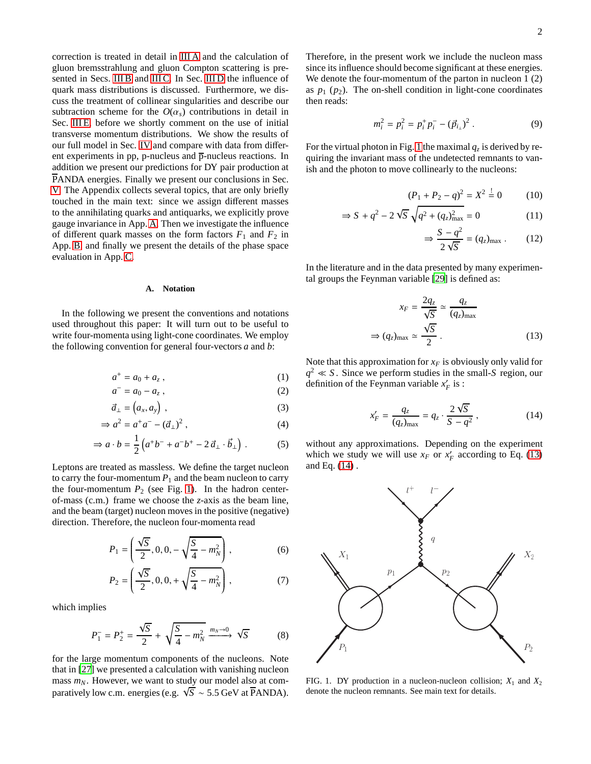correction is treated in detail in [III A](#page-8-0) and the calculation of gluon bremsstrahlung and gluon Compton scattering is pre-sented in Secs. [III B](#page-10-0) and [III C.](#page-10-1) In Sec. [III D](#page-10-2) the influence of quark mass distributions is discussed. Furthermore, we discuss the treatment of collinear singularities and describe our subtraction scheme for the  $O(\alpha_s)$  contributions in detail in Sec. [III E,](#page-11-0) before we shortly comment on the use of initial transverse momentum distributions. We show the results of our full model in Sec. [IV](#page-14-0) and compare with data from different experiments in pp, p-nucleus and  $\overline{p}$ -nucleus reactions. In addition we present our predictions for DY pair production at PANDA energies. Finally we present our conclusions in Sec. [V.](#page-22-0) The Appendix collects several topics, that are only briefly touched in the main text: since we assign different masses to the annihilating quarks and antiquarks, we explicitly prove gauge invariance in App. [A.](#page-22-1) Then we investigate the influence of different quark masses on the form factors  $F_1$  and  $F_2$  in App. [B,](#page-24-0) and finally we present the details of the phase space evaluation in App. [C.](#page-25-0)

## <span id="page-1-0"></span>**A. Notation**

In the following we present the conventions and notations used throughout this paper: It will turn out to be useful to write four-momenta using light-cone coordinates. We employ the following convention for general four-vectors *a* and *b*:

$$
a^+ = a_0 + a_z \,,\tag{1}
$$

$$
a^- = a_0 - a_z \,,\tag{2}
$$

$$
\vec{a}_{\perp} = \left( a_x, a_y \right) , \tag{3}
$$

$$
\Rightarrow a^2 = a^+a^- - (\vec{a}_\perp)^2 \,,\tag{4}
$$

$$
\Rightarrow a \cdot b = \frac{1}{2} \left( a^+ b^- + a^- b^+ - 2 \vec{a}_\perp \cdot \vec{b}_\perp \right) . \tag{5}
$$

Leptons are treated as massless. We define the target nucleon to carry the four-momentum  $P_1$  and the beam nucleon to carry the four-momentum  $P_2$  (see Fig. [1\)](#page-1-1). In the hadron centerof-mass (c.m.) frame we choose the *z*-axis as the beam line, and the beam (target) nucleon moves in the positive (negative) direction. Therefore, the nucleon four-momenta read

$$
P_1 = \left(\frac{\sqrt{S}}{2}, 0, 0, -\sqrt{\frac{S}{4} - m_N^2}\right),\tag{6}
$$

$$
P_2 = \left(\frac{\sqrt{S}}{2}, 0, 0, +\sqrt{\frac{S}{4} - m_N^2}\right),\tag{7}
$$

which implies

<span id="page-1-4"></span>
$$
P_1^- = P_2^+ = \frac{\sqrt{S}}{2} + \sqrt{\frac{S}{4} - m_N^2} \xrightarrow{m_N \to 0} \sqrt{S}
$$
 (8)

for the large momentum components of the nucleons. Note that in [\[27\]](#page-32-22) we presented a calculation with vanishing nucleon mass  $m_N$ . However, we want to study our model also at comparatively low c.m. energies (e.g.  $\sqrt{S} \sim 5.5$  GeV at PANDA). Therefore, in the present work we include the nucleon mass since its influence should become significant at these energies. We denote the four-momentum of the parton in nucleon 1 (2) as  $p_1$  ( $p_2$ ). The on-shell condition in light-cone coordinates then reads:

$$
m_i^2 = p_i^2 = p_i^+ p_i^- - (\vec{p}_{i\perp})^2.
$$
 (9)

For the virtual photon in Fig. [1](#page-1-1) the maximal  $q_z$  is derived by requiring the invariant mass of the undetected remnants to vanish and the photon to move collinearly to the nucleons:

$$
(P_1 + P_2 - q)^2 = X^2 \stackrel{!}{=} 0 \tag{10}
$$

$$
\Rightarrow S + q^2 - 2\sqrt{S}\sqrt{q^2 + (q_z)_{\text{max}}^2} = 0
$$
 (11)

<span id="page-1-2"></span>
$$
\Rightarrow \frac{S - q^2}{2\sqrt{S}} = (q_z)_{\text{max}} . \tag{12}
$$

In the literature and in the data presented by many experimental groups the Feynman variable [\[29\]](#page-32-24) is defined as:

$$
x_F = \frac{2q_z}{\sqrt{S}} \approx \frac{q_z}{(q_z)_{\text{max}}}
$$

$$
\Rightarrow (q_z)_{\text{max}} \approx \frac{\sqrt{S}}{2} .
$$
(13)

Note that this approximation for  $x_F$  is obviously only valid for  $q^2 \ll S$ . Since we perform studies in the small-*S* region, our definition of the Feynman variable  $x'_{F}$  is :

<span id="page-1-3"></span>
$$
x'_{F} = \frac{q_{z}}{(q_{z})_{\text{max}}} = q_{z} \cdot \frac{2\sqrt{S}}{S - q^{2}} ,
$$
 (14)

without any approximations. Depending on the experiment which we study we will use  $x_F$  or  $x_F'$  according to Eq. [\(13\)](#page-1-2) and Eq. [\(14\)](#page-1-3) .



<span id="page-1-1"></span>FIG. 1. DY production in a nucleon-nucleon collision;  $X_1$  and  $X_2$ denote the nucleon remnants. See main text for details.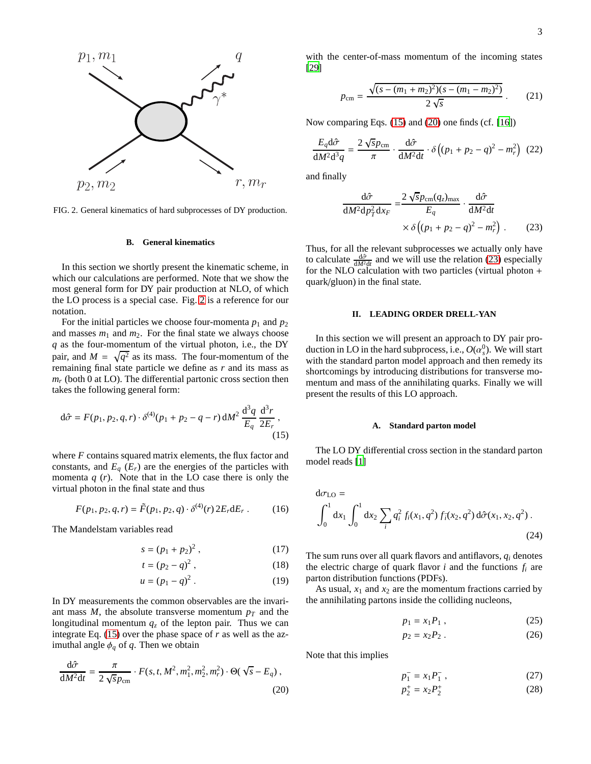

<span id="page-2-2"></span>FIG. 2. General kinematics of hard subprocesses of DY production.

## <span id="page-2-0"></span>**B. General kinematics**

In this section we shortly present the kinematic scheme, in which our calculations are performed. Note that we show the most general form for DY pair production at NLO, of which the LO process is a special case. Fig. [2](#page-2-2) is a reference for our notation.

For the initial particles we choose four-momenta  $p_1$  and  $p_2$ and masses  $m_1$  and  $m_2$ . For the final state we always choose *q* as the four-momentum of the virtual photon, i.e., the DY pair, and  $M = \sqrt{q^2}$  as its mass. The four-momentum of the remaining final state particle we define as *r* and its mass as  $m_r$  (both 0 at LO). The differential partonic cross section then takes the following general form:

$$
d\hat{\sigma} = F(p_1, p_2, q, r) \cdot \delta^{(4)}(p_1 + p_2 - q - r) dM^2 \frac{d^3 q}{E_q} \frac{d^3 r}{2E_r},
$$
\n(15)

where *F* contains squared matrix elements, the flux factor and constants, and  $E_q$  ( $E_r$ ) are the energies of the particles with momenta  $q(r)$ . Note that in the LO case there is only the virtual photon in the final state and thus

$$
F(p_1, p_2, q, r) = \tilde{F}(p_1, p_2, q) \cdot \delta^{(4)}(r) 2E_r dE_r \,. \tag{16}
$$

The Mandelstam variables read

$$
s = (p_1 + p_2)^2, \t\t(17)
$$

$$
t = (p_2 - q)^2, \t\t(18)
$$

$$
u = (p_1 - q)^2.
$$
 (19)

In DY measurements the common observables are the invariant mass  $M$ , the absolute transverse momentum  $p_T$  and the longitudinal momentum  $q<sub>z</sub>$  of the lepton pair. Thus we can integrate Eq. [\(15\)](#page-2-3) over the phase space of *r* as well as the azimuthal angle  $\phi_q$  of q. Then we obtain

$$
\frac{\mathrm{d}\hat{\sigma}}{\mathrm{d}M^2\mathrm{d}t} = \frac{\pi}{2\sqrt{s}p_{\text{cm}}} \cdot F(s, t, M^2, m_1^2, m_2^2, m_r^2) \cdot \Theta(\sqrt{s} - E_q) ,\tag{20}
$$

with the center-of-mass momentum of the incoming states [\[29](#page-32-24)]

$$
p_{\rm cm} = \frac{\sqrt{(s - (m_1 + m_2)^2)(s - (m_1 - m_2)^2)}}{2\sqrt{s}}.
$$
 (21)

Now comparing Eqs. [\(15\)](#page-2-3) and [\(20\)](#page-2-4) one finds (cf. [\[16](#page-32-14)])

$$
\frac{E_q \mathrm{d}\hat{\sigma}}{\mathrm{d}M^2 \mathrm{d}^3 q} = \frac{2\sqrt{s}p_{\text{cm}}}{\pi} \cdot \frac{\mathrm{d}\hat{\sigma}}{\mathrm{d}M^2 \mathrm{d}t} \cdot \delta \left( (p_1 + p_2 - q)^2 - m_r^2 \right) (22)
$$

and finally

<span id="page-2-5"></span>
$$
\frac{\mathrm{d}\hat{\sigma}}{\mathrm{d}M^2\mathrm{d}p_T^2\mathrm{d}x_F} = \frac{2\sqrt{sp_{\mathrm{cm}}(q_z)_{\mathrm{max}}}}{E_q} \cdot \frac{\mathrm{d}\hat{\sigma}}{\mathrm{d}M^2\mathrm{d}t} \times \delta\left((p_1 + p_2 - q)^2 - m_r^2\right). \tag{23}
$$

Thus, for all the relevant subprocesses we actually only have to calculate  $\frac{d\hat{\sigma}}{dM^2dt}$  and we will use the relation [\(23\)](#page-2-5) especially for the NLO calculation with two particles (virtual photon + quark/gluon) in the final state.

## <span id="page-2-1"></span>**II. LEADING ORDER DRELL-YAN**

In this section we will present an approach to DY pair production in LO in the hard subprocess, i.e.,  $O(\alpha_s^0)$ . We will start with the standard parton model approach and then remedy its shortcomings by introducing distributions for transverse momentum and mass of the annihilating quarks. Finally we will present the results of this LO approach.

#### <span id="page-2-9"></span>**A. Standard parton model**

<span id="page-2-3"></span>The LO DY differential cross section in the standard parton model reads [\[1](#page-32-0)]

$$
d\sigma_{LO} = \int_0^1 dx_1 \int_0^1 dx_2 \sum_i q_i^2 f_i(x_1, q^2) f_{\bar{i}}(x_2, q^2) d\hat{\sigma}(x_1, x_2, q^2) .
$$
\n(24)

The sum runs over all quark flavors and antiflavors, *q<sup>i</sup>* denotes the electric charge of quark flavor  $i$  and the functions  $f_i$  are parton distribution functions (PDFs).

As usual,  $x_1$  and  $x_2$  are the momentum fractions carried by the annihilating partons inside the colliding nucleons,

<span id="page-2-8"></span><span id="page-2-7"></span><span id="page-2-6"></span>
$$
p_1 = x_1 P_1 \tag{25}
$$

$$
p_2 = x_2 P_2 \tag{26}
$$

<span id="page-2-4"></span>Note that this implies

<span id="page-2-11"></span><span id="page-2-10"></span>
$$
p_1^- = x_1 P_1^-, \tag{27}
$$

$$
p_2^+ = x_2 P_2^+ \tag{28}
$$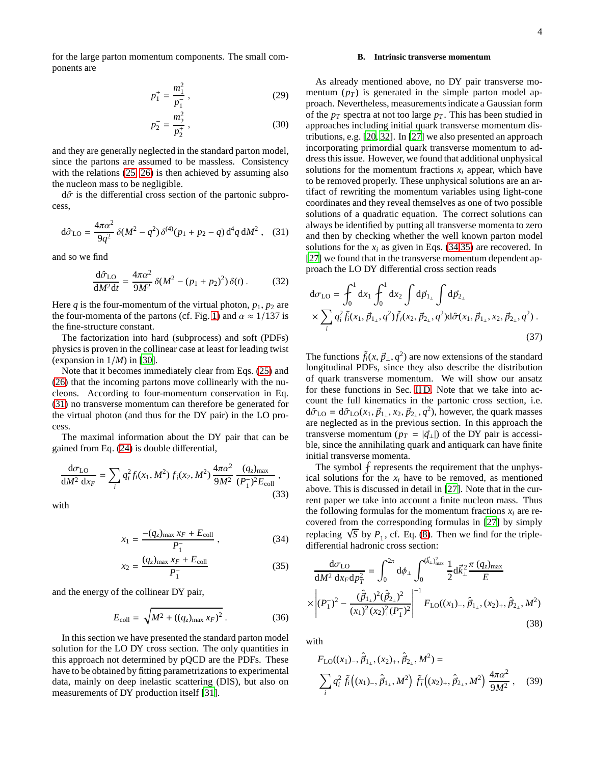for the large parton momentum components. The small components are

$$
p_1^+ = \frac{m_1^2}{p_1^-} \,,\tag{29}
$$

$$
p_2^- = \frac{m_2^2}{p_2^+} \,,\tag{30}
$$

and they are generally neglected in the standard parton model, since the partons are assumed to be massless. Consistency with the relations  $(25, 26)$  $(25, 26)$  is then achieved by assuming also the nucleon mass to be negligible.

 $d\hat{\sigma}$  is the differential cross section of the partonic subprocess,

<span id="page-3-0"></span>
$$
d\hat{\sigma}_{LO} = \frac{4\pi\alpha^2}{9q^2} \delta(M^2 - q^2) \delta^{(4)}(p_1 + p_2 - q) d^4 q dM^2 , \quad (31)
$$

and so we find

$$
\frac{d\hat{\sigma}_{LO}}{dM^2dt} = \frac{4\pi\alpha^2}{9M^2} \delta(M^2 - (p_1 + p_2)^2) \delta(t) \,. \tag{32}
$$

Here  $q$  is the four-momentum of the virtual photon,  $p_1, p_2$  are the four-momenta of the partons (cf. Fig. [1\)](#page-1-1) and  $\alpha \approx 1/137$  is the fine-structure constant.

The factorization into hard (subprocess) and soft (PDFs) physics is proven in the collinear case at least for leading twist (expansion in 1/*M*) in [\[30\]](#page-32-25).

Note that it becomes immediately clear from Eqs. [\(25\)](#page-2-6) and [\(26\)](#page-2-7) that the incoming partons move collinearly with the nucleons. According to four-momentum conservation in Eq. [\(31\)](#page-3-0) no transverse momentum can therefore be generated for the virtual photon (and thus for the DY pair) in the LO process.

The maximal information about the DY pair that can be gained from Eq. [\(24\)](#page-2-8) is double differential,

$$
\frac{d\sigma_{LO}}{dM^2\ dx_F} = \sum_i q_i^2 f_i(x_1, M^2) f_i(x_2, M^2) \frac{4\pi\alpha^2}{9M^2} \frac{(q_z)_{\text{max}}}{(P_1^-)^2 E_{\text{coll}}},
$$
\n(33)

with

$$
x_1 = \frac{-(q_z)_{\text{max}} x_F + E_{\text{coll}}}{P_1}, \qquad (34)
$$

$$
x_2 = \frac{(q_z)_{\text{max}} x_F + E_{\text{coll}}}{P_1^-}
$$
 (35)

and the energy of the collinear DY pair,

$$
E_{\text{coll}} = \sqrt{M^2 + ((q_z)_{\text{max}} x_F)^2} \,. \tag{36}
$$

In this section we have presented the standard parton model solution for the LO DY cross section. The only quantities in this approach not determined by pQCD are the PDFs. These have to be obtained by fitting parametrizations to experimental data, mainly on deep inelastic scattering (DIS), but also on measurements of DY production itself [\[31\]](#page-32-26).

## <span id="page-3-3"></span>**B. Intrinsic transverse momentum**

As already mentioned above, no DY pair transverse momentum  $(p_T)$  is generated in the simple parton model approach. Nevertheless, measurements indicate a Gaussian form of the  $p_T$  spectra at not too large  $p_T$ . This has been studied in approaches including initial quark transverse momentum distributions, e.g. [\[20,](#page-32-17) [32](#page-32-27)]. In [\[27\]](#page-32-22) we also presented an approach incorporating primordial quark transverse momentum to address this issue. However, we found that additional unphysical solutions for the momentum fractions  $x_i$  appear, which have to be removed properly. These unphysical solutions are an artifact of rewriting the momentum variables using light-cone coordinates and they reveal themselves as one of two possible solutions of a quadratic equation. The correct solutions can always be identified by putting all transverse momenta to zero and then by checking whether the well known parton model solutions for the  $x_i$  as given in Eqs. [\(34](#page-3-1)[,35\)](#page-3-2) are recovered. In [\[27](#page-32-22)] we found that in the transverse momentum dependent approach the LO DY differential cross section reads

$$
d\sigma_{LO} = \int_0^1 dx_1 \int_0^1 dx_2 \int d\vec{p}_{1_\perp} \int d\vec{p}_{2_\perp} \times \sum_i q_i^2 \tilde{f}_i(x_1, \vec{p}_{1_\perp}, q^2) \tilde{f}_i(x_2, \vec{p}_{2_\perp}, q^2) d\hat{\sigma}(x_1, \vec{p}_{1_\perp}, x_2, \vec{p}_{2_\perp}, q^2)
$$
\n(37)

The functions  $\tilde{f}_i(x, \vec{p}_\perp, q^2)$  are now extensions of the standard longitudinal PDFs, since they also describe the distribution of quark transverse momentum. We will show our ansatz for these functions in Sec. [II D.](#page-5-0) Note that we take into account the full kinematics in the partonic cross section, i.e.  $d\hat{\sigma}_{LO} = d\hat{\sigma}_{LO}(x_1, \vec{p}_{1_\perp}, x_2, \vec{p}_{2_\perp}, q^2)$ , however, the quark masses are neglected as in the previous section. In this approach the transverse momentum ( $p_T = |\vec{q}_\perp|$ ) of the DY pair is accessible, since the annihilating quark and antiquark can have finite initial transverse momenta.

The symbol  $\oint$  represents the requirement that the unphysical solutions for the  $x_i$  have to be removed, as mentioned above. This is discussed in detail in [\[27\]](#page-32-22). Note that in the current paper we take into account a finite nucleon mass. Thus the following formulas for the momentum fractions  $x_i$  are recovered from the corresponding formulas in [\[27\]](#page-32-22) by simply replacing  $\sqrt{S}$  by  $P_1^{\text{-}}$ , cf. Eq. [\(8\)](#page-1-4). Then we find for the tripledifferential hadronic cross section:

<span id="page-3-2"></span><span id="page-3-1"></span>
$$
\frac{d\sigma_{LO}}{dM^2 dx_F dp_T^2} = \int_0^{2\pi} d\phi_{\perp} \int_0^{(\vec{k}_{\perp})^2_{\text{max}}} \frac{1}{2} d\vec{k}_{\perp}^2 \frac{\pi (q_z)_{\text{max}}}{E}
$$
\n
$$
\times \left| (P_1^-)^2 - \frac{(\hat{p}_{1\perp})^2 (\hat{p}_{2\perp})^2}{(x_1)^2 (x_2)^2_{+} (P_1^-)^2} \right|^{-1} F_{LO}((x_1)_{-}, \hat{p}_{1\perp}, (x_2)_{+}, \hat{p}_{2\perp}, M^2)
$$
\n(38)

with

<span id="page-3-4"></span>
$$
F_{\text{LO}}((x_1)_{-}, \hat{\vec{p}}_{1_{\perp}}, (x_2)_{+}, \hat{\vec{p}}_{2_{\perp}}, M^2) = \sum_{i} q_i^2 \tilde{f}_i((x_1)_{-}, \hat{\vec{p}}_{1_{\perp}}, M^2) \tilde{f}_i((x_2)_{+}, \hat{\vec{p}}_{2_{\perp}}, M^2) \frac{4\pi\alpha^2}{9M^2}, \quad (39)
$$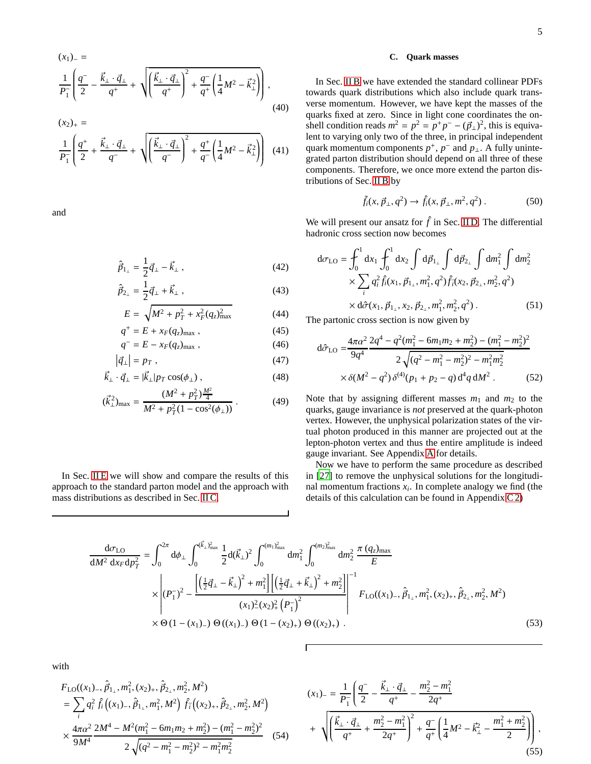$$
(x_1)_{-} = \frac{1}{P_1} \left( \frac{q^{-}}{2} - \frac{\vec{k}_{\perp} \cdot \vec{q}_{\perp}}{q^{+}} + \sqrt{\left( \frac{\vec{k}_{\perp} \cdot \vec{q}_{\perp}}{q^{+}} \right)^2 + \frac{q^{-}}{q^{+}} \left( \frac{1}{4} M^2 - \vec{k}_{\perp}^2 \right)} \right),
$$
\n(40)

$$
(x_2)_+ =
$$
  
\n
$$
\frac{1}{P_1} \left( \frac{q^+}{2} + \frac{\vec{k}_\perp \cdot \vec{q}_\perp}{q^-} + \sqrt{\left( \frac{\vec{k}_\perp \cdot \vec{q}_\perp}{q^-} \right)^2 + \frac{q^+}{q^-} \left( \frac{1}{4} M^2 - \vec{k}_\perp^2 \right)} \right)
$$
(41)

and

$$
\hat{\vec{p}}_{1_{\perp}} = \frac{1}{2}\vec{q}_{\perp} - \vec{k}_{\perp} \,, \tag{42}
$$

$$
\hat{\vec{p}}_{2_{\perp}} = \frac{1}{2}\vec{q}_{\perp} + \vec{k}_{\perp} \,, \tag{43}
$$

$$
E = \sqrt{M^2 + p_T^2 + x_F^2 (q_z)_{\text{max}}^2}
$$
 (44)

$$
q^+ = E + x_F(q_z)_{\text{max}} , \qquad (45)
$$

$$
q^- = E - x_F(q_z)_{\text{max}} , \qquad (46)
$$

$$
\left|\vec{q}_{\perp}\right| = p_T \,,\tag{47}
$$

$$
\vec{k}_{\perp} \cdot \vec{q}_{\perp} = |\vec{k}_{\perp}| p_T \cos(\phi_{\perp}), \qquad (48)
$$

$$
(\vec{k}_{\perp}^2)_{\text{max}} = \frac{(M^2 + p_T^2) \frac{M^2}{4}}{M^2 + p_T^2 (1 - \cos^2(\phi_\perp))} \,. \tag{49}
$$

In Sec. [II E](#page-6-0) we will show and compare the results of this approach to the standard parton model and the approach with mass distributions as described in Sec. [II C.](#page-4-0)

# <span id="page-4-0"></span>**C. Quark masses**

In Sec. [II B](#page-3-3) we have extended the standard collinear PDFs towards quark distributions which also include quark transverse momentum. However, we have kept the masses of the quarks fixed at zero. Since in light cone coordinates the onshell condition reads  $m^2 = p^2 = p^+p^- - (\vec{p}_\perp)^2$ , this is equivalent to varying only two of the three, in principal independent quark momentum components  $p^+$ ,  $p^-$  and  $p_\perp$ . A fully unintegrated parton distribution should depend on all three of these components. Therefore, we once more extend the parton distributions of Sec. [II B](#page-3-3) by

<span id="page-4-2"></span>
$$
\tilde{f}_i(x, \vec{p}_\perp, q^2) \to \hat{f}_i(x, \vec{p}_\perp, m^2, q^2) \,. \tag{50}
$$

We will present our ansatz for  $\hat{f}$  in Sec. [II D.](#page-5-0) The differential hadronic cross section now becomes

$$
d\sigma_{LO} = \int_0^1 dx_1 \int_0^1 dx_2 \int d\vec{p}_{1_\perp} \int d\vec{p}_{2_\perp} \int dm_1^2 \int dm_2^2
$$
  
 
$$
\times \sum_i q_i^2 \hat{f}_i(x_1, \vec{p}_{1_\perp}, m_1^2, q^2) \hat{f}_i(x_2, \vec{p}_{2_\perp}, m_2^2, q^2)
$$
  
 
$$
\times d\hat{\sigma}(x_1, \vec{p}_{1_\perp}, x_2, \vec{p}_{2_\perp}, m_1^2, m_2^2, q^2).
$$
 (51)

The partonic cross section is now given by

<span id="page-4-3"></span>
$$
d\hat{\sigma}_{LO} = \frac{4\pi\alpha^2}{9q^4} \frac{2q^4 - q^2(m_1^2 - 6m_1m_2 + m_2^2) - (m_1^2 - m_2^2)^2}{2\sqrt{(q^2 - m_1^2 - m_2^2)^2 - m_1^2m_2^2}} \times \delta(M^2 - q^2) \delta^{(4)}(p_1 + p_2 - q) d^4 q dM^2.
$$
 (52)

Note that by assigning different masses  $m_1$  and  $m_2$  to the quarks, gauge invariance is *not* preserved at the quark-photon vertex. However, the unphysical polarization states of the virtual photon produced in this manner are projected out at the lepton-photon vertex and thus the entire amplitude is indeed gauge invariant. See Appendix [A](#page-22-1) for details.

Now we have to perform the same procedure as described in [\[27](#page-32-22)] to remove the unphysical solutions for the longitudinal momentum fractions  $x_i$ . In complete analogy we find (the details of this calculation can be found in Appendix [C 2\)](#page-29-0)

$$
\frac{d\sigma_{LO}}{dM^2 dx_F dp_T^2} = \int_0^{2\pi} d\phi_\perp \int_0^{(\vec{k}_\perp)_{max}^2} \frac{1}{2} d(\vec{k}_\perp)^2 \int_0^{(m_1)_{max}^2} dm_1^2 \int_0^{(m_2)_{max}^2} dm_2^2 \frac{\pi (q_z)_{max}}{E}
$$
\n
$$
\times \left| (P_1^-)^2 - \frac{\left[ \left(\frac{1}{2}\vec{q}_\perp - \vec{k}_\perp\right)^2 + m_1^2 \right] \left[ \left(\frac{1}{2}\vec{q}_\perp + \vec{k}_\perp\right)^2 + m_2^2 \right]}{(x_1)_-^2 (x_2)_+^2 \left( P_1^- \right)^2} \right|^{-1} F_{LO}((x_1)_-, \hat{p}_1^-, m_1^2, (x_2)_+, \hat{p}_2^-, m_2^2, M^2)
$$
\n
$$
\times \Theta (1 - (x_1)_-) \Theta ((x_1)_-) \Theta (1 - (x_2)_+) \Theta ((x_2)_+).
$$
\n(53)

with

$$
F_{LO}((x_1)_{-}, \hat{p}_{1_{\perp}}, m_1^2, (x_2)_{+}, \hat{p}_{2_{\perp}}, m_2^2, M^2)
$$
\n
$$
= \sum_{i} q_i^2 \hat{f}_i((x_1)_{-}, \hat{p}_{1_{\perp}}, m_1^2, M^2) \hat{f}_i((x_2)_{+}, \hat{p}_{2_{\perp}}, m_2^2, M^2)
$$
\n
$$
\times \frac{4\pi\alpha^2}{9M^4} \frac{2M^4 - M^2(m_1^2 - 6m_1m_2 + m_2^2) - (m_1^2 - m_2^2)^2}{2\sqrt{(q^2 - m_1^2 - m_2^2)^2 - m_1^2m_2^2}} \quad (54)
$$
\n
$$
+ \sqrt{\left(\frac{\vec{k}_{\perp} \cdot \vec{q}_{\perp}}{q^+} + \frac{m_2^2 - m_1^2}{2q^+}\right)^2 + \frac{q^-}{q^+}\left(\frac{1}{4}M^2 - \vec{k}_{\perp}^2 - \frac{m_1^2 + m_2^2}{2}\right)\right), \quad (55)}
$$

<span id="page-4-1"></span>,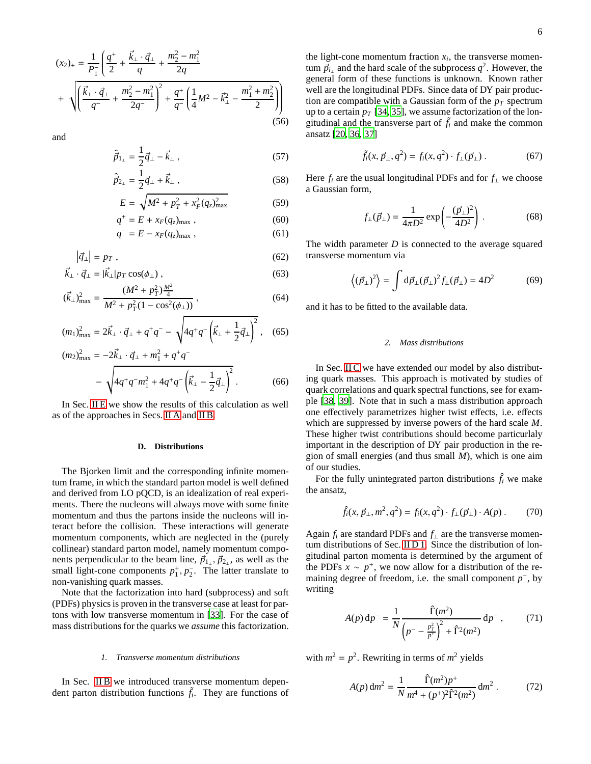$$
(x_2)_+ = \frac{1}{P_1^-} \left( \frac{q^+}{2} + \frac{\vec{k}_\perp \cdot \vec{q}_\perp}{q^-} + \frac{m_2^2 - m_1^2}{2q^-} + \sqrt{\left( \frac{\vec{k}_\perp \cdot \vec{q}_\perp}{q^-} + \frac{m_2^2 - m_1^2}{2q^-} \right)^2 + \frac{q^+}{q^-} \left( \frac{1}{4} M^2 - \vec{k}_\perp^2 - \frac{m_1^2 + m_2^2}{2} \right)} \right)
$$
\n
$$
(56)
$$

and

$$
\hat{\vec{p}}_{1_{\perp}} = \frac{1}{2} \vec{q}_{\perp} - \vec{k}_{\perp} \,, \tag{57}
$$

$$
\hat{\vec{p}}_{2_{\perp}} = \frac{1}{2}\vec{q}_{\perp} + \vec{k}_{\perp} \,, \tag{58}
$$

$$
E = \sqrt{M^2 + p_T^2 + x_F^2 (q_z)_{\text{max}}^2}
$$
 (59)

$$
q^+ = E + x_F(q_z)_{\text{max}} , \qquad (60)
$$

$$
q^- = E - x_F(q_z)_{\text{max}} , \qquad (61)
$$

$$
|\vec{q}_{\perp}| = p_T \tag{62}
$$

$$
\vec{k}_{\perp} \cdot \vec{q}_{\perp} = |\vec{k}_{\perp}| p_T \cos(\phi_{\perp}),
$$
\n(63)

$$
(\vec{k}_{\perp})_{\text{max}}^2 = \frac{(M^2 + p_T^2) \frac{M^2}{4}}{M^2 + p_T^2 (1 - \cos^2(\phi_{\perp}))},
$$
(64)

$$
(m_1)_{\text{max}}^2 = 2\vec{k}_\perp \cdot \vec{q}_\perp + q^+q^- - \sqrt{4q^+q^-\left(\vec{k}_\perp + \frac{1}{2}\vec{q}_\perp\right)^2} \,, \quad (65)
$$

$$
(m_2)_{\text{max}}^2 = -2\vec{k}_\perp \cdot \vec{q}_\perp + m_1^2 + q^+q^-
$$

$$
- \sqrt{4q^+q^-m_1^2 + 4q^+q^- \left(\vec{k}_\perp - \frac{1}{2}\vec{q}_\perp\right)^2} \,. \tag{66}
$$

In Sec. [II E](#page-6-0) we show the results of this calculation as well as of the approaches in Secs. [II A](#page-2-9) and [II B.](#page-3-3)

## <span id="page-5-0"></span>**D. Distributions**

The Bjorken limit and the corresponding infinite momentum frame, in which the standard parton model is well defined and derived from LO pQCD, is an idealization of real experiments. There the nucleons will always move with some finite momentum and thus the partons inside the nucleons will interact before the collision. These interactions will generate momentum components, which are neglected in the (purely collinear) standard parton model, namely momentum components perpendicular to the beam line,  $\vec{p}_{1_1}$ ,  $\vec{p}_{2_1}$ , as well as the small light-cone components  $p_1^+, p_2^-$ . The latter translate to non-vanishing quark masses.

Note that the factorization into hard (subprocess) and soft (PDFs) physics is proven in the transverse case at least for partons with low transverse momentum in [\[33](#page-32-28)]. For the case of mass distributions for the quarks we *assume* this factorization.

#### <span id="page-5-1"></span>*1. Transverse momentum distributions*

In Sec. [II B](#page-3-3) we introduced transverse momentum dependent parton distribution functions  $\tilde{f}_i$ . They are functions of

the light-cone momentum fraction  $x_i$ , the transverse momentum  $\vec{p}_{i_\perp}$  and the hard scale of the subprocess  $q^2$ . However, the general form of these functions is unknown. Known rather well are the longitudinal PDFs. Since data of DY pair production are compatible with a Gaussian form of the  $p<sub>T</sub>$  spectrum up to a certain  $p_T$  [\[34](#page-32-29), [35\]](#page-32-30), we assume factorization of the longitudinal and the transverse part of  $\tilde{f}_i$  and make the common ansatz [\[20,](#page-32-17) [36,](#page-32-31) [37\]](#page-32-32)

<span id="page-5-5"></span>
$$
\tilde{f}_i(x, \vec{p}_{\perp}, q^2) = f_i(x, q^2) \cdot f_{\perp}(\vec{p}_{\perp}). \tag{67}
$$

Here  $f_i$  are the usual longitudinal PDFs and for  $f_\perp$  we choose a Gaussian form,

<span id="page-5-6"></span>
$$
f_{\perp}(\vec{p}_{\perp}) = \frac{1}{4\pi D^2} \exp\left(-\frac{(\vec{p}_{\perp})^2}{4D^2}\right). \tag{68}
$$

The width parameter *D* is connected to the average squared transverse momentum via

$$
\left\langle (\vec{p}_\perp)^2 \right\rangle = \int d\vec{p}_\perp (\vec{p}_\perp)^2 f_\perp (\vec{p}_\perp) = 4D^2 \tag{69}
$$

and it has to be fitted to the available data.

#### <span id="page-5-4"></span>*2. Mass distributions*

In Sec. [II C](#page-4-0) we have extended our model by also distributing quark masses. This approach is motivated by studies of quark correlations and quark spectral functions, see for example [\[38,](#page-32-33) [39\]](#page-32-34). Note that in such a mass distribution approach one effectively parametrizes higher twist effects, i.e. effects which are suppressed by inverse powers of the hard scale *M*. These higher twist contributions should become particurlaly important in the description of DY pair production in the region of small energies (and thus small *M*), which is one aim of our studies.

For the fully unintegrated parton distributions  $\hat{f}_i$  we make the ansatz,

$$
\hat{f}_i(x, \vec{p}_\perp, m^2, q^2) = f_i(x, q^2) \cdot f_\perp(\vec{p}_\perp) \cdot A(p) \,. \tag{70}
$$

Again  $f_i$  are standard PDFs and  $f_{\perp}$  are the transverse momentum distributions of Sec. [II D 1.](#page-5-1) Since the distribution of longitudinal parton momenta is determined by the argument of the PDFs  $x \sim p^+$ , we now allow for a distribution of the remaining degree of freedom, i.e. the small component  $p^-$ , by writing

<span id="page-5-2"></span>
$$
A(p) dp^{-} = \frac{1}{N} \frac{\hat{\Gamma}(m^2)}{\left(p^- - \frac{p_T^2}{p^+}\right)^2 + \hat{\Gamma}^2(m^2)} dp^{-},
$$
 (71)

with  $m^2 = p^2$ . Rewriting in terms of  $m^2$  yields

<span id="page-5-3"></span>
$$
A(p) dm2 = \frac{1}{N} \frac{\hat{\Gamma}(m^{2})p^{+}}{m^{4} + (p^{+})^{2}\hat{\Gamma}^{2}(m^{2})} dm^{2}.
$$
 (72)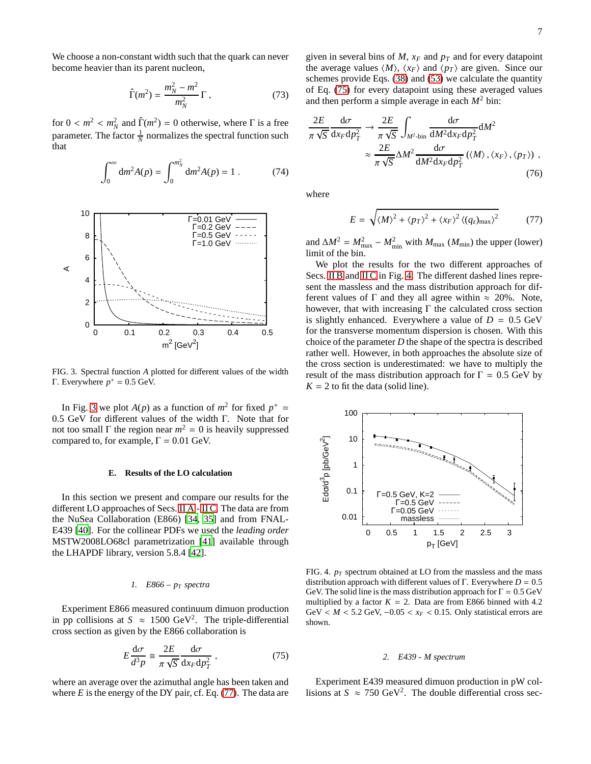We choose a non-constant width such that the quark can never become heavier than its parent nucleon,

<span id="page-6-8"></span>
$$
\hat{\Gamma}(m^2) = \frac{m_N^2 - m^2}{m_N^2} \Gamma , \qquad (73)
$$

<span id="page-6-9"></span>for  $0 < m^2 < m_N^2$  and  $\hat{\Gamma}(m^2) = 0$  otherwise, where  $\Gamma$  is a free parameter. The factor  $\frac{1}{N}$  normalizes the spectral function such that

$$
\int_0^\infty dm^2 A(p) = \int_0^{m_N^2} dm^2 A(p) = 1.
$$
 (74)



<span id="page-6-1"></span>FIG. 3. Spectral function *A* plotted for different values of the width Γ. Everywhere  $p^+ = 0.5$  GeV.

In Fig. [3](#page-6-1) we plot  $A(p)$  as a function of  $m^2$  for fixed  $p^+ =$ 0.5 GeV for different values of the width Γ. Note that for not too small  $\Gamma$  the region near  $m^2 = 0$  is heavily suppressed compared to, for example,  $\Gamma = 0.01$  GeV.

#### <span id="page-6-0"></span>**E. Results of the LO calculation**

In this section we present and compare our results for the different LO approaches of Secs. [II A](#page-2-9) - [II C.](#page-4-0) The data are from the NuSea Collaboration (E866) [\[34,](#page-32-29) [35](#page-32-30)] and from FNAL-E439 [\[40](#page-32-35)]. For the collinear PDFs we used the *leading order* MSTW2008LO68cl parametrization [\[41\]](#page-32-36) available through the LHAPDF library, version 5.8.4 [\[42](#page-32-37)].

### <span id="page-6-5"></span>*1. E866 – p<sup>T</sup> spectra*

Experiment E866 measured continuum dimuon production in pp collisions at  $S \approx 1500 \text{ GeV}^2$ . The triple-differential cross section as given by the E866 collaboration is

$$
E\frac{\mathrm{d}\sigma}{d^3p} \equiv \frac{2E}{\pi\sqrt{S}}\frac{\mathrm{d}\sigma}{\mathrm{d}x_F\mathrm{d}p_T^2},\tag{75}
$$

where an average over the azimuthal angle has been taken and where  $E$  is the energy of the DY pair, cf. Eq.  $(77)$ . The data are given in several bins of  $M$ ,  $x_F$  and  $p_T$  and for every datapoint the average values  $\langle M \rangle$ ,  $\langle x_F \rangle$  and  $\langle p_T \rangle$  are given. Since our schemes provide Eqs. [\(38\)](#page-3-4) and [\(53\)](#page-4-1) we calculate the quantity of Eq. [\(75\)](#page-6-3) for every datapoint using these averaged values and then perform a simple average in each  $M^2$  bin:

$$
\frac{2E}{\pi\sqrt{S}}\frac{d\sigma}{dx_F dp_T^2} \to \frac{2E}{\pi\sqrt{S}} \int_{M^2 \text{bin}} \frac{d\sigma}{dM^2 dx_F dp_T^2} dM^2
$$

$$
\approx \frac{2E}{\pi\sqrt{S}} \Delta M^2 \frac{d\sigma}{dM^2 dx_F dp_T^2} (\langle M \rangle, \langle x_F \rangle, \langle p_T \rangle) , \tag{76}
$$

where

<span id="page-6-6"></span><span id="page-6-2"></span>
$$
E = \sqrt{\langle M \rangle^2 + \langle p_T \rangle^2 + \langle x_F \rangle^2 \langle (q_z)_{\text{max}} \rangle^2}
$$
 (77)

and  $\Delta M^2 = M_{\text{max}}^2 - M_{\text{min}}^2$  with  $M_{\text{max}}$  ( $M_{\text{min}}$ ) the upper (lower) limit of the bin.

We plot the results for the two different approaches of Secs. [II B](#page-3-3) and [II C](#page-4-0) in Fig. [4.](#page-6-4) The different dashed lines represent the massless and the mass distribution approach for different values of  $\Gamma$  and they all agree within  $\approx 20\%$ . Note, however, that with increasing  $\Gamma$  the calculated cross section is slightly enhanced. Everywhere a value of  $D = 0.5$  GeV for the transverse momentum dispersion is chosen. With this choice of the parameter *D* the shape of the spectra is described rather well. However, in both approaches the absolute size of the cross section is underestimated: we have to multiply the result of the mass distribution approach for  $\Gamma = 0.5$  GeV by  $K = 2$  to fit the data (solid line).



<span id="page-6-4"></span>FIG. 4.  $p_T$  spectrum obtained at LO from the massless and the mass distribution approach with different values of Γ. Everywhere *D* = 0.5 GeV. The solid line is the mass distribution approach for  $\Gamma = 0.5$  GeV multiplied by a factor  $K = 2$ . Data are from E866 binned with 4.2 GeV <  $M$  < 5.2 GeV,  $-0.05 < x_F$  < 0.15. Only statistical errors are shown.

#### <span id="page-6-7"></span>*2. E439 - M spectrum*

<span id="page-6-3"></span>Experiment E439 measured dimuon production in pW collisions at  $S \approx 750 \text{ GeV}^2$ . The double differential cross sec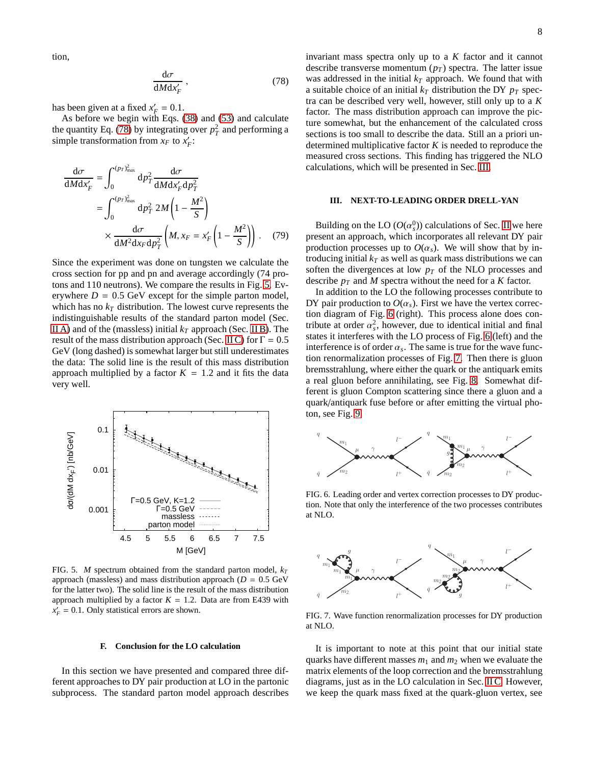<span id="page-7-1"></span>tion,

$$
\frac{\mathrm{d}\sigma}{\mathrm{d}M\mathrm{d}x'_{F}}\,,\tag{78}
$$

has been given at a fixed  $x'_F = 0.1$ .

As before we begin with Eqs. [\(38\)](#page-3-4) and [\(53\)](#page-4-1) and calculate the quantity Eq. [\(78\)](#page-7-1) by integrating over  $p_T^2$  and performing a simple transformation from  $x_F$  to  $x'_F$ :

$$
\frac{d\sigma}{dMdx'_{F}} = \int_{0}^{(p_{T})_{\text{max}}^{2}} dp_{T}^{2} \frac{d\sigma}{dMdx'_{F}dp_{T}^{2}}
$$
\n
$$
= \int_{0}^{(p_{T})_{\text{max}}^{2}} dp_{T}^{2} 2M \left(1 - \frac{M^{2}}{S}\right)
$$
\n
$$
\times \frac{d\sigma}{dM^{2}dx_{F}dp_{T}^{2}} \left(M, x_{F} = x'_{F} \left(1 - \frac{M^{2}}{S}\right)\right). \quad (79)
$$

Since the experiment was done on tungsten we calculate the cross section for pp and pn and average accordingly (74 protons and 110 neutrons). We compare the results in Fig. [5.](#page-7-2) Everywhere  $D = 0.5$  GeV except for the simple parton model, which has no  $k_T$  distribution. The lowest curve represents the indistinguishable results of the standard parton model (Sec. [II A\)](#page-2-9) and of the (massless) initial  $k_T$  approach (Sec. [II B\)](#page-3-3). The result of the mass distribution approach (Sec. [II C\)](#page-4-0) for  $\Gamma = 0.5$ GeV (long dashed) is somewhat larger but still underestimates the data: The solid line is the result of this mass distribution approach multiplied by a factor  $K = 1.2$  and it fits the data very well.



<span id="page-7-2"></span>FIG. 5. *M* spectrum obtained from the standard parton model,  $k_T$ approach (massless) and mass distribution approach  $(D = 0.5 \text{ GeV})$ for the latter two). The solid line is the result of the mass distribution approach multiplied by a factor  $K = 1.2$ . Data are from E439 with  $x'_F = 0.1$ . Only statistical errors are shown.

#### **F. Conclusion for the LO calculation**

In this section we have presented and compared three different approaches to DY pair production at LO in the partonic subprocess. The standard parton model approach describes invariant mass spectra only up to a *K* factor and it cannot describe transverse momentum  $(p_T)$  spectra. The latter issue was addressed in the initial  $k_T$  approach. We found that with a suitable choice of an initial  $k_T$  distribution the DY  $p_T$  spectra can be described very well, however, still only up to a *K* factor. The mass distribution approach can improve the picture somewhat, but the enhancement of the calculated cross sections is too small to describe the data. Still an a priori undetermined multiplicative factor *K* is needed to reproduce the measured cross sections. This finding has triggered the NLO calculations, which will be presented in Sec. [III.](#page-7-0)

## <span id="page-7-0"></span>**III. NEXT-TO-LEADING ORDER DRELL-YAN**

Building on the LO  $(O(\alpha_s^0))$  calculations of Sec. [II](#page-2-1) we here present an approach, which incorporates all relevant DY pair production processes up to  $O(\alpha_s)$ . We will show that by introducing initial  $k_T$  as well as quark mass distributions we can soften the divergences at low *p<sup>T</sup>* of the NLO processes and describe *p<sup>T</sup>* and *M* spectra without the need for a *K* factor.

In addition to the LO the following processes contribute to DY pair production to  $O(\alpha_s)$ . First we have the vertex correction diagram of Fig. [6](#page-7-3) (right). This process alone does contribute at order  $\alpha_s^2$ , however, due to identical initial and final states it interferes with the LO process of Fig. [6](#page-7-3) (left) and the interference is of order  $\alpha_s$ . The same is true for the wave function renormalization processes of Fig. [7.](#page-7-4) Then there is gluon bremsstrahlung, where either the quark or the antiquark emits a real gluon before annihilating, see Fig. [8.](#page-8-1) Somewhat different is gluon Compton scattering since there a gluon and a quark/antiquark fuse before or after emitting the virtual photon, see Fig. [9.](#page-8-2)



<span id="page-7-3"></span>FIG. 6. Leading order and vertex correction processes to DY production. Note that only the interference of the two processes contributes at NLO.



<span id="page-7-4"></span>FIG. 7. Wave function renormalization processes for DY production at NLO.

It is important to note at this point that our initial state quarks have different masses *m*<sup>1</sup> and *m*<sup>2</sup> when we evaluate the matrix elements of the loop correction and the bremsstrahlung diagrams, just as in the LO calculation in Sec. [II C.](#page-4-0) However, we keep the quark mass fixed at the quark-gluon vertex, see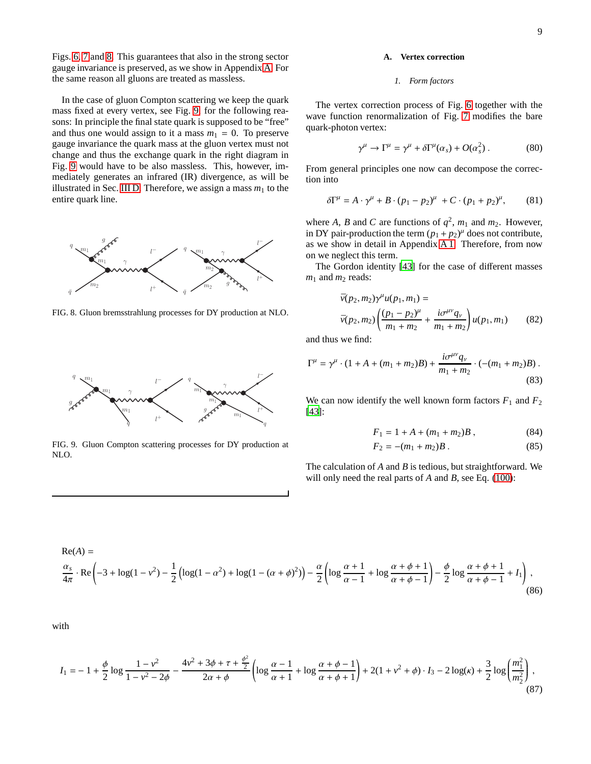Figs. [6,](#page-7-3) [7](#page-7-4) and [8.](#page-8-1) This guarantees that also in the strong sector gauge invariance is preserved, as we show in Appendix [A.](#page-22-1) For the same reason all gluons are treated as massless.

In the case of gluon Compton scattering we keep the quark mass fixed at every vertex, see Fig. [9,](#page-8-2) for the following reasons: In principle the final state quark is supposed to be "free" and thus one would assign to it a mass  $m_1 = 0$ . To preserve gauge invariance the quark mass at the gluon vertex must not change and thus the exchange quark in the right diagram in Fig. [9](#page-8-2) would have to be also massless. This, however, immediately generates an infrared (IR) divergence, as will be illustrated in Sec. [III D.](#page-10-2) Therefore, we assign a mass  $m_1$  to the entire quark line.



<span id="page-8-1"></span>FIG. 8. Gluon bremsstrahlung processes for DY production at NLO.



<span id="page-8-2"></span>FIG. 9. Gluon Compton scattering processes for DY production at NLO.

## <span id="page-8-0"></span>**A. Vertex correction**

#### <span id="page-8-4"></span>*1. Form factors*

The vertex correction process of Fig. [6](#page-7-3) together with the wave function renormalization of Fig. [7](#page-7-4) modifies the bare quark-photon vertex:

$$
\gamma^{\mu} \to \Gamma^{\mu} = \gamma^{\mu} + \delta \Gamma^{\mu}(\alpha_s) + O(\alpha_s^2) . \tag{80}
$$

From general principles one now can decompose the correction into

$$
\delta\Gamma^{\mu} = A \cdot \gamma^{\mu} + B \cdot (p_1 - p_2)^{\mu} + C \cdot (p_1 + p_2)^{\mu}, \qquad (81)
$$

where *A*, *B* and *C* are functions of  $q^2$ ,  $m_1$  and  $m_2$ . However, in DY pair-production the term  $(p_1 + p_2)^\mu$  does not contribute, as we show in detail in Appendix [A 1.](#page-22-2) Therefore, from now on we neglect this term.

The Gordon identity [\[43\]](#page-32-38) for the case of different masses  $m_1$  and  $m_2$  reads:

$$
\bar{v}(p_2, m_2)\gamma^{\mu}u(p_1, m_1) = \n\bar{v}(p_2, m_2)\left(\frac{(p_1 - p_2)^{\mu}}{m_1 + m_2} + \frac{i\sigma^{\mu\nu}q_{\nu}}{m_1 + m_2}\right)u(p_1, m_1)
$$
\n(82)

and thus we find:

$$
\Gamma^{\mu} = \gamma^{\mu} \cdot (1 + A + (m_1 + m_2)B) + \frac{i\sigma^{\mu\nu}q_{\nu}}{m_1 + m_2} \cdot (-(m_1 + m_2)B) \tag{83}
$$

We can now identify the well known form factors  $F_1$  and  $F_2$ [\[43](#page-32-38)]:

$$
F_1 = 1 + A + (m_1 + m_2)B , \t\t(84)
$$

<span id="page-8-3"></span>
$$
F_2 = -(m_1 + m_2)B. \tag{85}
$$

The calculation of *A* and *B* is tedious, but straightforward. We will only need the real parts of *A* and *B*, see Eq. [\(100\)](#page-9-0):

$$
\text{Re}(A) =
$$
\n
$$
\frac{\alpha_s}{4\pi} \cdot \text{Re}\left(-3 + \log(1 - v^2) - \frac{1}{2}\left(\log(1 - \alpha^2) + \log(1 - (\alpha + \phi)^2)\right) - \frac{\alpha}{2}\left(\log\frac{\alpha + 1}{\alpha - 1} + \log\frac{\alpha + \phi + 1}{\alpha + \phi - 1}\right) - \frac{\phi}{2}\log\frac{\alpha + \phi + 1}{\alpha + \phi - 1} + I_1\right),\tag{86}
$$

with

$$
I_1 = -1 + \frac{\phi}{2} \log \frac{1 - v^2}{1 - v^2 - 2\phi} - \frac{4v^2 + 3\phi + \tau + \frac{\phi^2}{2}}{2\alpha + \phi} \left( \log \frac{\alpha - 1}{\alpha + 1} + \log \frac{\alpha + \phi - 1}{\alpha + \phi + 1} \right) + 2(1 + v^2 + \phi) \cdot I_3 - 2\log(\kappa) + \frac{3}{2} \log \left( \frac{m_1^2}{m_2^2} \right),\tag{87}
$$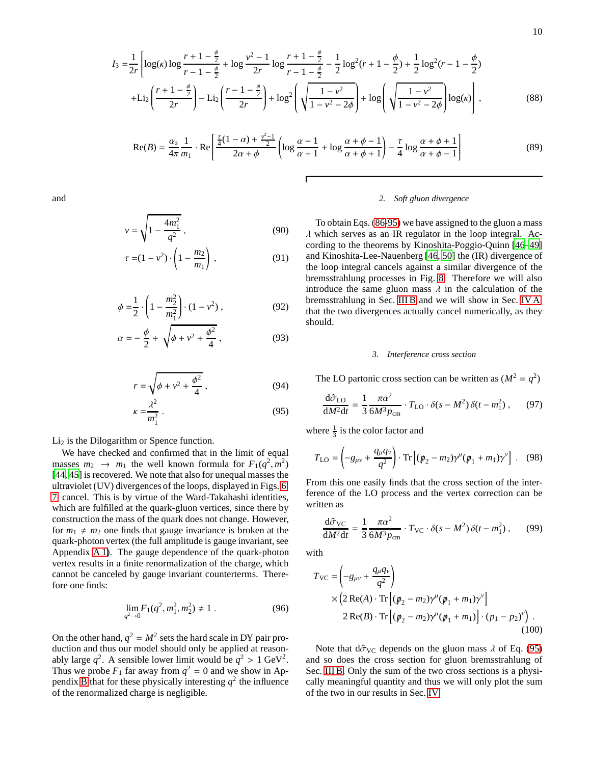$$
I_3 = \frac{1}{2r} \left[ \log(\kappa) \log \frac{r+1-\frac{\phi}{2}}{r-1-\frac{\phi}{2}} + \log \frac{v^2-1}{2r} \log \frac{r+1-\frac{\phi}{2}}{r-1-\frac{\phi}{2}} - \frac{1}{2} \log^2(r+1-\frac{\phi}{2}) + \frac{1}{2} \log^2(r-1-\frac{\phi}{2}) + \text{Li}_2\left(\frac{r+1-\frac{\phi}{2}}{2r}\right) - \text{Li}_2\left(\frac{r-1-\frac{\phi}{2}}{2r}\right) + \log^2\left(\sqrt{\frac{1-v^2}{1-v^2-2\phi}}\right) + \log\left(\sqrt{\frac{1-v^2}{1-v^2-2\phi}}\right) \log(\kappa)\right],
$$
(88)

$$
\operatorname{Re}(B) = \frac{\alpha_s}{4\pi} \frac{1}{m_1} \cdot \operatorname{Re} \left[ \frac{\frac{\tau}{4}(1-\alpha) + \frac{\nu^2 - 1}{2}}{2\alpha + \phi} \left( \log \frac{\alpha - 1}{\alpha + 1} + \log \frac{\alpha + \phi - 1}{\alpha + \phi + 1} \right) - \frac{\tau}{4} \log \frac{\alpha + \phi + 1}{\alpha + \phi - 1} \right] \tag{89}
$$

and

$$
v = \sqrt{1 - \frac{4m_1^2}{q^2}}\,,\tag{90}
$$

$$
\tau = (1 - v^2) \cdot \left(1 - \frac{m_2}{m_1}\right),\tag{91}
$$

$$
\phi = \frac{1}{2} \cdot \left( 1 - \frac{m_2^2}{m_1^2} \right) \cdot (1 - v^2) , \qquad (92)
$$

$$
\alpha = -\frac{\phi}{2} + \sqrt{\phi + v^2 + \frac{\phi^2}{4}} \,, \tag{93}
$$

$$
r = \sqrt{\phi + v^2 + \frac{\phi^2}{4}}\,,\tag{94}
$$

$$
\kappa = \frac{\lambda^2}{m_1^2} \,. \tag{95}
$$

 $Li<sub>2</sub>$  is the Dilogarithm or Spence function.

We have checked and confirmed that in the limit of equal masses  $m_2 \rightarrow m_1$  the well known formula for  $F_1(q^2, m^2)$ [\[44](#page-32-39), [45\]](#page-32-40) is recovered. We note that also for unequal masses the ultraviolet (UV) divergences of the loops, displayed in Figs. [6,](#page-7-3) [7,](#page-7-4) cancel. This is by virtue of the Ward-Takahashi identities, which are fulfilled at the quark-gluon vertices, since there by construction the mass of the quark does not change. However, for  $m_1 \neq m_2$  one finds that gauge invariance is broken at the quark-photon vertex (the full amplitude is gauge invariant, see Appendix [A 1\)](#page-22-2). The gauge dependence of the quark-photon vertex results in a finite renormalization of the charge, which cannot be canceled by gauge invariant counterterms. Therefore one finds:

$$
\lim_{q^2 \to 0} F_1(q^2, m_1^2, m_2^2) \neq 1 \tag{96}
$$

On the other hand,  $q^2 = M^2$  sets the hard scale in DY pair production and thus our model should only be applied at reasonably large  $q^2$ . A sensible lower limit would be  $q^2 > 1$  GeV<sup>2</sup>. Thus we probe  $F_1$  far away from  $q^2 = 0$  and we show in Ap-pendix [B](#page-24-0) that for these physically interesting  $q^2$  the influence of the renormalized charge is negligible.

## <span id="page-9-2"></span>*2. Soft gluon divergence*

To obtain Eqs. [\(86-](#page-8-3)[95\)](#page-9-1) we have assigned to the gluon a mass  $\lambda$  which serves as an IR regulator in the loop integral. According to the theorems by Kinoshita-Poggio-Quinn [\[46](#page-32-41)[–49\]](#page-32-42) and Kinoshita-Lee-Nauenberg [\[46,](#page-32-41) [50\]](#page-32-43) the (IR) divergence of the loop integral cancels against a similar divergence of the bremsstrahlung processes in Fig. [8.](#page-8-1) Therefore we will also introduce the same gluon mass  $\lambda$  in the calculation of the bremsstrahlung in Sec. [III B](#page-10-0) and we will show in Sec. [IV A,](#page-14-1) that the two divergences actually cancel numerically, as they should.

## *3. Interference cross section*

The LO partonic cross section can be written as  $(M^2 = q^2)$ 

$$
\frac{\mathrm{d}\hat{\sigma}_{\text{LO}}}{\mathrm{d}M^2\mathrm{d}t} = \frac{1}{3} \frac{\pi \alpha^2}{6M^3 p_{\text{cm}}} \cdot T_{\text{LO}} \cdot \delta(s - M^2) \delta(t - m_1^2) ,\qquad (97)
$$

<span id="page-9-1"></span>where  $\frac{1}{3}$  is the color factor and

$$
T_{\text{LO}} = \left(-g_{\mu\nu} + \frac{q_{\mu}q_{\nu}}{q^2}\right) \cdot \text{Tr}\left[ (p_2 - m_2)\gamma^{\mu} (p_1 + m_1)\gamma^{\nu} \right]. \quad (98)
$$

From this one easily finds that the cross section of the interference of the LO process and the vertex correction can be written as

$$
\frac{\mathrm{d}\hat{\sigma}_{\rm VC}}{\mathrm{d}M^2\mathrm{d}t} = \frac{1}{3}\frac{\pi\alpha^2}{6M^3p_{\rm cm}} \cdot T_{\rm VC} \cdot \delta(s - M^2)\,\delta(t - m_1^2) \,,\qquad(99)
$$

with

<span id="page-9-0"></span>
$$
T_{\rm VC} = \left(-g_{\mu\nu} + \frac{q_{\mu}q_{\nu}}{q^2}\right) \times \left(2\operatorname{Re}(A) \cdot \operatorname{Tr}\left[ (p_2 - m_2)\gamma^{\mu} (p_1 + m_1)\gamma^{\nu} \right] \right) \times \operatorname{Re}(B) \cdot \operatorname{Tr}\left[ (p_2 - m_2)\gamma^{\mu} (p_1 + m_1) \right] \cdot (p_1 - p_2)^{\nu} \right) \tag{100}
$$

Note that  $d\hat{\sigma}_{VC}$  depends on the gluon mass  $\lambda$  of Eq. [\(95\)](#page-9-1) and so does the cross section for gluon bremsstrahlung of Sec. [III B.](#page-10-0) Only the sum of the two cross sections is a physically meaningful quantity and thus we will only plot the sum of the two in our results in Sec. [IV.](#page-14-0)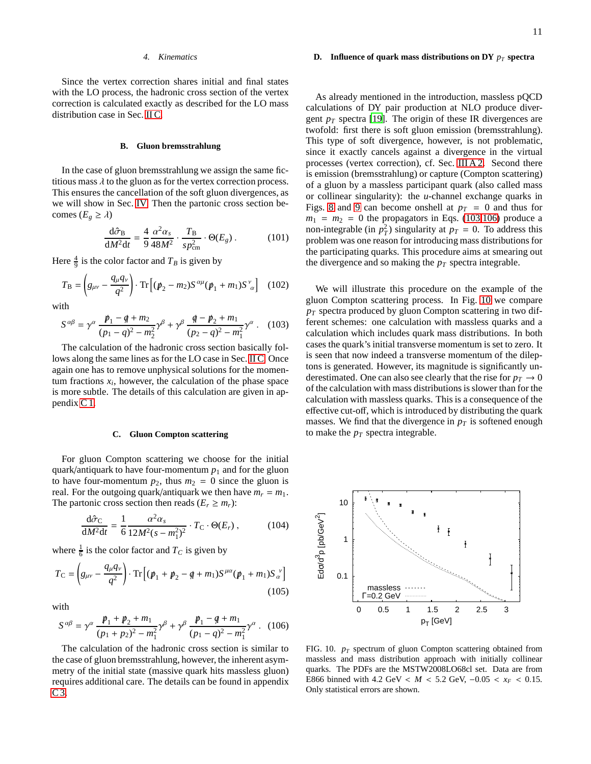Since the vertex correction shares initial and final states with the LO process, the hadronic cross section of the vertex correction is calculated exactly as described for the LO mass distribution case in Sec. [II C.](#page-4-0)

## <span id="page-10-0"></span>**B. Gluon bremsstrahlung**

In the case of gluon bremsstrahlung we assign the same fictitious mass  $\lambda$  to the gluon as for the vertex correction process. This ensures the cancellation of the soft gluon divergences, as we will show in Sec. [IV.](#page-14-0) Then the partonic cross section becomes  $(E_g \geq \lambda)$ 

$$
\frac{\mathrm{d}\hat{\sigma}_{\mathrm{B}}}{\mathrm{d}M^2\mathrm{d}t} = \frac{4}{9} \frac{\alpha^2 \alpha_s}{48M^2} \cdot \frac{T_{\mathrm{B}}}{sp_{\mathrm{cm}}^2} \cdot \Theta(E_g) \,. \tag{101}
$$

Here  $\frac{4}{9}$  is the color factor and  $T_B$  is given by

$$
T_{\rm B} = \left( g_{\mu\nu} - \frac{q_{\mu}q_{\nu}}{q^2} \right) \cdot \text{Tr} \left[ (\rlap{\,/}p_2 - m_2) S^{\alpha\mu} (\rlap{\,/}p_1 + m_1) S^{\nu}_{\alpha} \right] \tag{102}
$$

with

$$
S^{\alpha\beta} = \gamma^{\alpha} \frac{p_1 - q + m_2}{(p_1 - q)^2 - m_2^2} \gamma^{\beta} + \gamma^{\beta} \frac{q - p_2 + m_1}{(p_2 - q)^2 - m_1^2} \gamma^{\alpha} \,. \tag{103}
$$

The calculation of the hadronic cross section basically follows along the same lines as for the LO case in Sec. [II C.](#page-4-0) Once again one has to remove unphysical solutions for the momentum fractions  $x_i$ , however, the calculation of the phase space is more subtle. The details of this calculation are given in appendix [C 1.](#page-26-0)

#### <span id="page-10-1"></span>**C. Gluon Compton scattering**

For gluon Compton scattering we choose for the initial quark/antiquark to have four-momentum  $p_1$  and for the gluon to have four-momentum  $p_2$ , thus  $m_2 = 0$  since the gluon is real. For the outgoing quark/antiquark we then have  $m_r = m_1$ . The partonic cross section then reads  $(E_r \ge m_r)$ :

$$
\frac{d\hat{\sigma}_C}{dM^2dt} = \frac{1}{6} \frac{\alpha^2 \alpha_s}{12M^2(s - m_1^2)^2} \cdot T_C \cdot \Theta(E_r) ,
$$
 (104)

where  $\frac{1}{6}$  is the color factor and  $T_C$  is given by

$$
T_{\rm C} = \left( g_{\mu\nu} - \frac{q_{\mu}q_{\nu}}{q^2} \right) \cdot \text{Tr} \left[ (\not p_1 + \not p_2 - \not q + m_1) S^{\mu\alpha} (\not p_1 + m_1) S_{\alpha}^{\ \nu} \right]
$$
\n(105)

with

$$
S^{\alpha\beta} = \gamma^{\alpha} \frac{p_1 + p_2 + m_1}{(p_1 + p_2)^2 - m_1^2} \gamma^{\beta} + \gamma^{\beta} \frac{p_1 - q + m_1}{(p_1 - q)^2 - m_1^2} \gamma^{\alpha} \,. \tag{106}
$$

The calculation of the hadronic cross section is similar to the case of gluon bremsstrahlung, however, the inherent asymmetry of the initial state (massive quark hits massless gluon) requires additional care. The details can be found in appendix [C 3.](#page-30-0)

#### <span id="page-10-2"></span>**D. Influence of quark mass distributions on DY** *p<sup>T</sup>* **spectra**

As already mentioned in the introduction, massless pQCD calculations of DY pair production at NLO produce divergent  $p_T$  spectra [\[19\]](#page-32-16). The origin of these IR divergences are twofold: first there is soft gluon emission (bremsstrahlung). This type of soft divergence, however, is not problematic, since it exactly cancels against a divergence in the virtual processes (vertex correction), cf. Sec. [III A 2.](#page-9-2) Second there is emission (bremsstrahlung) or capture (Compton scattering) of a gluon by a massless participant quark (also called mass or collinear singularity): the *u*-channel exchange quarks in Figs. [8](#page-8-1) and [9](#page-8-2) can become onshell at  $p_T = 0$  and thus for  $m_1 = m_2 = 0$  the propagators in Eqs. [\(103,](#page-10-3)[106\)](#page-10-4) produce a non-integrable (in  $p_T^2$ ) singularity at  $p_T = 0$ . To address this problem was one reason for introducing mass distributions for the participating quarks. This procedure aims at smearing out the divergence and so making the  $p_T$  spectra integrable.

<span id="page-10-6"></span><span id="page-10-3"></span>We will illustrate this procedure on the example of the gluon Compton scattering process. In Fig. [10](#page-10-5) we compare *p<sup>T</sup>* spectra produced by gluon Compton scattering in two different schemes: one calculation with massless quarks and a calculation which includes quark mass distributions. In both cases the quark's initial transverse momentum is set to zero. It is seen that now indeed a transverse momentum of the dileptons is generated. However, its magnitude is significantly underestimated. One can also see clearly that the rise for  $p_T \to 0$ of the calculation with mass distributions is slower than for the calculation with massless quarks. This is a consequence of the effective cut-off, which is introduced by distributing the quark masses. We find that the divergence in  $p<sub>T</sub>$  is softened enough to make the  $p<sub>T</sub>$  spectra integrable.



<span id="page-10-5"></span><span id="page-10-4"></span>FIG. 10. *p<sup>T</sup>* spectrum of gluon Compton scattering obtained from massless and mass distribution approach with initially collinear quarks. The PDFs are the MSTW2008LO68cl set. Data are from E866 binned with 4.2 GeV <  $M$  < 5.2 GeV,  $-0.05$  <  $x_F$  < 0.15. Only statistical errors are shown.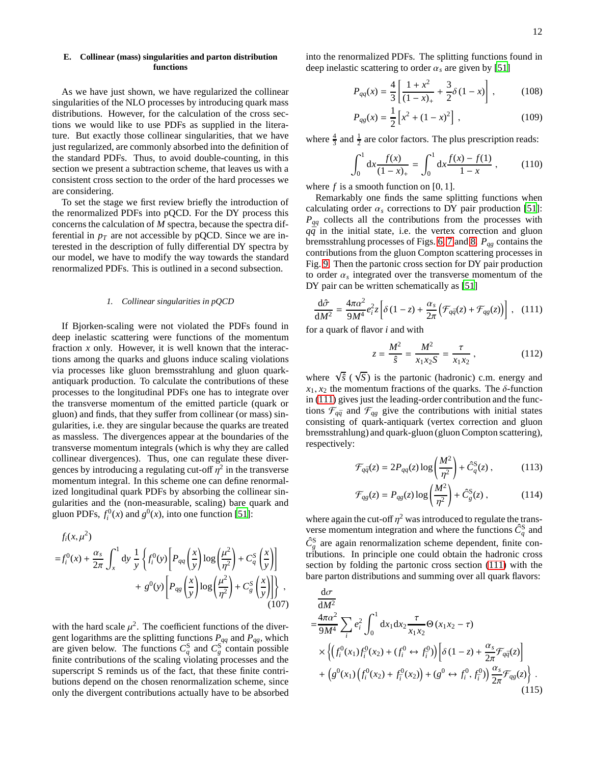## <span id="page-11-0"></span>**E. Collinear (mass) singularities and parton distribution functions**

As we have just shown, we have regularized the collinear singularities of the NLO processes by introducing quark mass distributions. However, for the calculation of the cross sections we would like to use PDFs as supplied in the literature. But exactly those collinear singularities, that we have just regularized, are commonly absorbed into the definition of the standard PDFs. Thus, to avoid double-counting, in this section we present a subtraction scheme, that leaves us with a consistent cross section to the order of the hard processes we are considering.

To set the stage we first review briefly the introduction of the renormalized PDFs into pQCD. For the DY process this concerns the calculation of *M* spectra, because the spectra differential in  $p_T$  are not accessible by pQCD. Since we are interested in the description of fully differential DY spectra by our model, we have to modify the way towards the standard renormalized PDFs. This is outlined in a second subsection.

#### *1. Collinear singularities in pQCD*

If Bjorken-scaling were not violated the PDFs found in deep inelastic scattering were functions of the momentum fraction *x* only. However, it is well known that the interactions among the quarks and gluons induce scaling violations via processes like gluon bremsstrahlung and gluon quarkantiquark production. To calculate the contributions of these processes to the longitudinal PDFs one has to integrate over the transverse momentum of the emitted particle (quark or gluon) and finds, that they suffer from collinear (or mass) singularities, i.e. they are singular because the quarks are treated as massless. The divergences appear at the boundaries of the transverse momentum integrals (which is why they are called collinear divergences). Thus, one can regulate these divergences by introducing a regulating cut-off  $\eta^2$  in the transverse momentum integral. In this scheme one can define renormalized longitudinal quark PDFs by absorbing the collinear singularities and the (non-measurable, scaling) bare quark and gluon PDFs,  $f_i^0(x)$  and  $g^0(x)$ , into one function [\[51\]](#page-32-44):

$$
f_i(x, \mu^2)
$$
  
=  $f_i^0(x) + \frac{\alpha_s}{2\pi} \int_x^1 dy \frac{1}{y} \left\{ f_i^0(y) \left[ P_{qq} \left( \frac{x}{y} \right) \log \left( \frac{\mu^2}{\eta^2} \right) + C_q^S \left( \frac{x}{y} \right) \right] + g^0(y) \left[ P_{qg} \left( \frac{x}{y} \right) \log \left( \frac{\mu^2}{\eta^2} \right) + C_g^S \left( \frac{x}{y} \right) \right] \right\},$   
(107)

with the hard scale  $\mu^2$ . The coefficient functions of the divergent logarithms are the splitting functions *Pqq* and *Pqg*, which are given below. The functions  $C_q^S$  and  $C_g^S$  contain possible finite contributions of the scaling violating processes and the superscript S reminds us of the fact, that these finite contributions depend on the chosen renormalization scheme, since only the divergent contributions actually have to be absorbed into the renormalized PDFs. The splitting functions found in deep inelastic scattering to order  $\alpha_s$  are given by [\[51\]](#page-32-44)

$$
P_{qq}(x) = \frac{4}{3} \left[ \frac{1+x^2}{(1-x)_+} + \frac{3}{2} \delta (1-x) \right],
$$
 (108)

$$
P_{qg}(x) = \frac{1}{2} \left[ x^2 + (1 - x)^2 \right],
$$
 (109)

where  $\frac{4}{3}$  and  $\frac{1}{2}$  are color factors. The plus prescription reads:

$$
\int_0^1 dx \frac{f(x)}{(1-x)_+} = \int_0^1 dx \frac{f(x) - f(1)}{1-x} , \qquad (110)
$$

where  $f$  is a smooth function on [0, 1].

Remarkably one finds the same splitting functions when calculating order  $\alpha_s$  corrections to DY pair production [\[51\]](#page-32-44): *Pqq* collects all the contributions from the processes with  $q\bar{q}$  in the initial state, i.e. the vertex correction and gluon bremsstrahlung processes of Figs. [6,](#page-7-3) [7](#page-7-4) and [8.](#page-8-1) *Pqg* contains the contributions from the gluon Compton scattering processes in Fig. [9.](#page-8-2) Then the partonic cross section for DY pair production to order  $\alpha_s$  integrated over the transverse momentum of the DY pair can be written schematically as [\[51\]](#page-32-44)

$$
\frac{\mathrm{d}\hat{\sigma}}{\mathrm{d}M^2} = \frac{4\pi\alpha^2}{9M^4} e_i^2 z \left[ \delta \left( 1 - z \right) + \frac{\alpha_s}{2\pi} \left( \mathcal{F}_{q\bar{q}}(z) + \mathcal{F}_{qg}(z) \right) \right] , \quad (111)
$$

for a quark of flavor *i* and with

<span id="page-11-1"></span>
$$
z = \frac{M^2}{\hat{s}} = \frac{M^2}{x_1 x_2 S} = \frac{\tau}{x_1 x_2},
$$
 (112)

where  $\sqrt{\hat{s}}$  ( $\sqrt{S}$ ) is the partonic (hadronic) c.m. energy and  $x_1, x_2$  the momentum fractions of the quarks. The  $\delta$ -function in [\(111\)](#page-11-1) gives just the leading-order contribution and the functions  $\mathcal{F}_{q\bar{q}}$  and  $\mathcal{F}_{qg}$  give the contributions with initial states consisting of quark-antiquark (vertex correction and gluon bremsstrahlung) and quark-gluon (gluon Compton scattering), respectively:

<span id="page-11-4"></span>
$$
\mathcal{F}_{q\bar{q}}(z) = 2P_{qq}(z)\log\left(\frac{M^2}{\eta^2}\right) + \hat{C}_q^{\rm S}(z) ,\qquad (113)
$$

<span id="page-11-5"></span>
$$
\mathcal{F}_{qg}(z) = P_{qg}(z) \log \left(\frac{M^2}{\eta^2}\right) + \hat{C}_g^S(z) ,\qquad (114)
$$

where again the cut-off  $\eta^2$  was introduced to regulate the transverse momentum integration and where the functions  $\hat{C}_q^S$  and  $\hat{C}_g^S$  are again renormalization scheme dependent, finite contributions. In principle one could obtain the hadronic cross section by folding the partonic cross section [\(111\)](#page-11-1) with the bare parton distributions and summing over all quark flavors:

<span id="page-11-3"></span><span id="page-11-2"></span>
$$
\frac{d\sigma}{dM^{2}} = \frac{4\pi\alpha^{2}}{9M^{4}} \sum_{i} e_{i}^{2} \int_{0}^{1} dx_{1} dx_{2} \frac{\tau}{x_{1}x_{2}} \Theta(x_{1}x_{2} - \tau)
$$
\n
$$
\times \left\{ \left( f_{i}^{0}(x_{1}) f_{i}^{0}(x_{2}) + \left( f_{i}^{0} \leftrightarrow f_{i}^{0} \right) \right) \left[ \delta(1 - z) + \frac{\alpha_{s}}{2\pi} \mathcal{F}_{q\bar{q}}(z) \right] + \left( g^{0}(x_{1}) \left( f_{i}^{0}(x_{2}) + f_{i}^{0}(x_{2}) \right) + \left( g^{0} \leftrightarrow f_{i}^{0}, f_{i}^{0} \right) \right) \frac{\alpha_{s}}{2\pi} \mathcal{F}_{qg}(z) \right\} . \tag{115}
$$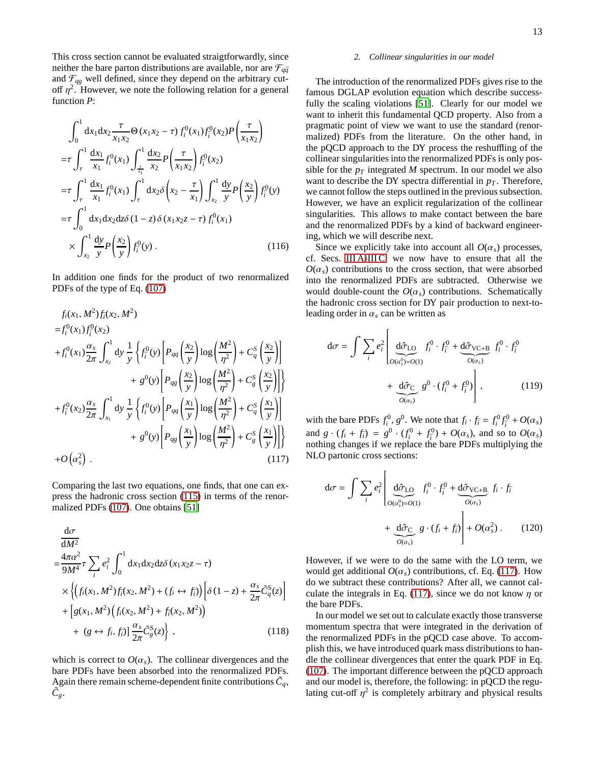This cross section cannot be evaluated straigtforwardly, since neither the bare parton distributions are available, nor are  $\mathcal{F}_{q\bar{q}}$ and  $\mathcal{F}_{qg}$  well defined, since they depend on the arbitrary cutoff  $\eta^2$ . However, we note the following relation for a general function *P*:

$$
\int_{0}^{1} dx_{1} dx_{2} \frac{\tau}{x_{1} x_{2}} \Theta(x_{1} x_{2} - \tau) f_{i}^{0}(x_{1}) f_{i}^{0}(x_{2}) P\left(\frac{\tau}{x_{1} x_{2}}\right)
$$
  
\n
$$
= \tau \int_{\tau}^{1} \frac{dx_{1}}{x_{1}} f_{i}^{0}(x_{1}) \int_{\frac{\tau}{x_{1}}}^{1} \frac{dx_{2}}{x_{2}} P\left(\frac{\tau}{x_{1} x_{2}}\right) f_{i}^{0}(x_{2})
$$
  
\n
$$
= \tau \int_{\tau}^{1} \frac{dx_{1}}{x_{1}} f_{i}^{0}(x_{1}) \int_{\tau}^{1} dx_{2} \delta\left(x_{2} - \frac{\tau}{x_{1}}\right) \int_{x_{2}}^{1} \frac{dy}{y} P\left(\frac{x_{2}}{y}\right) f_{i}^{0}(y)
$$
  
\n
$$
= \tau \int_{0}^{1} dx_{1} dx_{2} dz \delta(1 - z) \delta(x_{1} x_{2} z - \tau) f_{i}^{0}(x_{1})
$$
  
\n
$$
\times \int_{x_{2}}^{1} \frac{dy}{y} P\left(\frac{x_{2}}{y}\right) f_{i}^{0}(y) . \qquad (116)
$$

In addition one finds for the product of two renormalized PDFs of the type of Eq. [\(107\)](#page-11-2)

$$
f_i(x_1, M^2) f_i(x_2, M^2)
$$
  
\n
$$
= f_i^0(x_1) f_i^0(x_2)
$$
  
\n
$$
+ f_i^0(x_1) \frac{\alpha_s}{2\pi} \int_{x_2}^1 dy \frac{1}{y} \left\{ f_i^0(y) \left[ P_{qq} \left( \frac{x_2}{y} \right) \log \left( \frac{M^2}{\eta^2} \right) + C_q^S \left( \frac{x_2}{y} \right) \right] \right\}
$$
  
\n
$$
+ g^0(y) \left[ P_{qg} \left( \frac{x_2}{y} \right) \log \left( \frac{M^2}{\eta^2} \right) + C_g^S \left( \frac{x_2}{y} \right) \right] \right\}
$$
  
\n
$$
+ f_i^0(x_2) \frac{\alpha_s}{2\pi} \int_{x_1}^1 dy \frac{1}{y} \left\{ f_i^0(y) \left[ P_{qq} \left( \frac{x_1}{y} \right) \log \left( \frac{M^2}{\eta^2} \right) + C_q^S \left( \frac{x_1}{y} \right) \right] \right\}
$$
  
\n
$$
+ g^0(y) \left[ P_{qg} \left( \frac{x_1}{y} \right) \log \left( \frac{M^2}{\eta^2} \right) + C_g^S \left( \frac{x_1}{y} \right) \right] \right\}
$$
  
\n
$$
+ O(\alpha_s^2) .
$$
  
\n(117)

Comparing the last two equations, one finds, that one can express the hadronic cross section [\(115\)](#page-11-3) in terms of the renormalized PDFs [\(107\)](#page-11-2). One obtains [\[51\]](#page-32-44)

$$
\frac{d\sigma}{dM^2}
$$
\n
$$
= \frac{4\pi\alpha^2}{9M^4} \tau \sum_i e_i^2 \int_0^1 dx_1 dx_2 dz \delta(x_1 x_2 z - \tau)
$$
\n
$$
\times \left\{ \left( f_i(x_1, M^2) f_i(x_2, M^2) + (f_i \leftrightarrow f_i) \right) \left[ \delta(1 - z) + \frac{\alpha_s}{2\pi} \tilde{C}_q^S(z) \right] + \left[ g(x_1, M^2) \left( f_i(x_2, M^2) + f_i(x_2, M^2) \right) \right] + (g \leftrightarrow f_i, f_i) \right\} \frac{\alpha_s}{2\pi} \tilde{C}_g^S(z) \right\},
$$
\n(118)

which is correct to  $O(\alpha_s)$ . The collinear divergences and the bare PDFs have been absorbed into the renormalized PDFs. Again there remain scheme-dependent finite contributions  $\tilde{C}_q$ ,  $\tilde{C_g}$ .

## *2. Collinear singularities in our model*

The introduction of the renormalized PDFs gives rise to the famous DGLAP evolution equation which describe successfully the scaling violations [\[51\]](#page-32-44). Clearly for our model we want to inherit this fundamental QCD property. Also from a pragmatic point of view we want to use the standard (renormalized) PDFs from the literature. On the other hand, in the pQCD approach to the DY process the reshuffling of the collinear singularities into the renormalized PDFs is only possible for the  $p_T$  integrated *M* spectrum. In our model we also want to describe the DY spectra differential in  $p<sub>T</sub>$ . Therefore, we cannot follow the steps outlined in the previous subsection. However, we have an explicit regularization of the collinear singularities. This allows to make contact between the bare and the renormalized PDFs by a kind of backward engineering, which we will describe next.

Since we explicitly take into account all  $O(\alpha_s)$  processes, cf. Secs. [III A-](#page-8-0)[III C,](#page-10-1) we now have to ensure that all the  $O(\alpha_s)$  contributions to the cross section, that were absorbed into the renormalized PDFs are subtracted. Otherwise we would double-count the  $O(\alpha_s)$  contributions. Schematically the hadronic cross section for DY pair production to next-toleading order in  $\alpha_s$  can be written as

$$
d\sigma = \int \sum_{i} e_i^2 \left[ \underbrace{d\hat{\sigma}_{LO}}_{O(\alpha_s^0) = O(1)} f_i^0 \cdot f_i^0 + \underbrace{d\hat{\sigma}_{VC+B}}_{O(\alpha_s)} f_i^0 \cdot f_i^0
$$

$$
+ \underbrace{d\hat{\sigma}_{C}}_{O(\alpha_s)} g^0 \cdot (f_i^0 + f_i^0) \right],
$$
(119)

<span id="page-12-0"></span>with the bare PDFs  $f_i^0$ ,  $g^0$ . We note that  $f_i \cdot f_i = f_i^0 f_i^0 + O(\alpha_s)$ and  $g \cdot (f_i + f_i) = g^0 \cdot (f_i^0 + f_i^0) + O(\alpha_s)$ , and so to  $O(\alpha_s)$ nothing changes if we replace the bare PDFs multiplying the NLO partonic cross sections:

<span id="page-12-1"></span>
$$
d\sigma = \int \sum_{i} e_i^2 \left[ \underbrace{d\hat{\sigma}_{LO}}_{O(\alpha_s^0) = O(1)} f_i^0 \cdot f_i^0 + \underbrace{d\hat{\sigma}_{VC+B}}_{O(\alpha_s)} f_i \cdot f_i + \underbrace{d\hat{\sigma}_{C}}_{O(\alpha_s)} g \cdot (f_i + f_i) \right] + O(\alpha_s^2) . \tag{120}
$$

However, if we were to do the same with the LO term, we would get additional  $O(\alpha_s)$  contributions, cf. Eq. [\(117\)](#page-12-0). How do we subtract these contributions? After all, we cannot cal-culate the integrals in Eq. [\(117\)](#page-12-0), since we do not know  $\eta$  or the bare PDFs.

In our model we set out to calculate exactly those transverse momentum spectra that were integrated in the derivation of the renormalized PDFs in the pQCD case above. To accomplish this, we have introduced quark mass distributions to handle the collinear divergences that enter the quark PDF in Eq. [\(107\)](#page-11-2). The important difference between the pQCD approach and our model is, therefore, the following: in pQCD the regulating cut-off  $\eta^2$  is completely arbitrary and physical results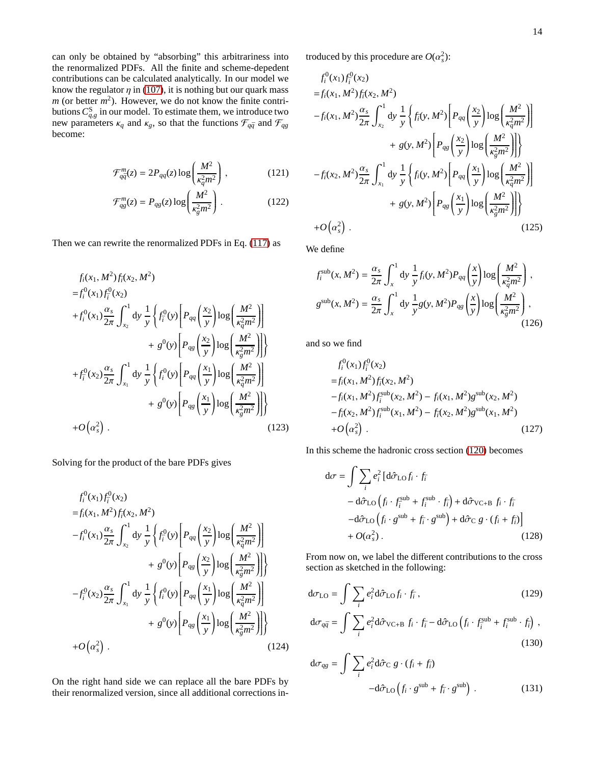can only be obtained by "absorbing" this arbitrariness into the renormalized PDFs. All the finite and scheme-depedent contributions can be calculated analytically. In our model we know the regulator  $\eta$  in [\(107\)](#page-11-2), it is nothing but our quark mass  $m$  (or better  $m^2$ ). However, we do not know the finite contributions  $C_{q,g}^{\text{S}}$  in our model. To estimate them, we introduce two new parameters  $\kappa_q$  and  $\kappa_g$ , so that the functions  $\mathcal{F}_{q\bar{q}}$  and  $\mathcal{F}_{qg}$ become:

$$
\mathcal{F}_{q\bar{q}}^{m}(z) = 2P_{qq}(z)\log\left(\frac{M^2}{\kappa_q^2 m^2}\right),\qquad(121)
$$

$$
\mathcal{F}_{qg}^{m}(z) = P_{qg}(z) \log \left(\frac{M^2}{\kappa_g^2 m^2}\right). \tag{122}
$$

Then we can rewrite the renormalized PDFs in Eq. [\(117\)](#page-12-0) as

$$
f_i(x_1, M^2) f_i(x_2, M^2)
$$
  
\n
$$
= f_i^0(x_1) f_i^0(x_2)
$$
  
\n
$$
+ f_i^0(x_1) \frac{\alpha_s}{2\pi} \int_{x_2}^1 dy \frac{1}{y} \left\{ f_i^0(y) \left[ P_{qq} \left( \frac{x_2}{y} \right) \log \left( \frac{M^2}{\kappa_q^2 m^2} \right) \right] \right\}
$$
  
\n
$$
+ g^0(y) \left[ P_{qg} \left( \frac{x_2}{y} \right) \log \left( \frac{M^2}{\kappa_g^2 m^2} \right) \right] \right\}
$$
  
\n
$$
+ f_i^0(x_2) \frac{\alpha_s}{2\pi} \int_{x_1}^1 dy \frac{1}{y} \left\{ f_i^0(y) \left[ P_{qq} \left( \frac{x_1}{y} \right) \log \left( \frac{M^2}{\kappa_q^2 m^2} \right) \right] \right\}
$$
  
\n
$$
+ g^0(y) \left[ P_{qg} \left( \frac{x_1}{y} \right) \log \left( \frac{M^2}{\kappa_g^2 m^2} \right) \right] \right\}
$$
  
\n
$$
+ O(\alpha_s^2).
$$
 (123)

Solving for the product of the bare PDFs gives

$$
f_i^0(x_1) f_i^0(x_2)
$$
  
\n
$$
= f_i(x_1, M^2) f_i(x_2, M^2)
$$
  
\n
$$
-f_i^0(x_1) \frac{\alpha_s}{2\pi} \int_{x_2}^1 dy \frac{1}{y} \left\{ f_i^0(y) \left[ P_{qq} \left( \frac{x_2}{y} \right) \log \left( \frac{M^2}{\kappa_q^2 m^2} \right) \right] + g^0(y) \left[ P_{qs} \left( \frac{x_2}{y} \right) \log \left( \frac{M^2}{\kappa_g^2 m^2} \right) \right] \right\}
$$
  
\n
$$
-f_i^0(x_2) \frac{\alpha_s}{2\pi} \int_{x_1}^1 dy \frac{1}{y} \left\{ f_i^0(y) \left[ P_{qq} \left( \frac{x_1}{y} \right) \log \left( \frac{M^2}{\kappa_q^2 m^2} \right) \right] + g^0(y) \left[ P_{qs} \left( \frac{x_1}{y} \right) \log \left( \frac{M^2}{\kappa_g^2 m^2} \right) \right] \right\}
$$
  
\n
$$
+ O(\alpha_s^2).
$$
 (124)

On the right hand side we can replace all the bare PDFs by their renormalized version, since all additional corrections introduced by this procedure are  $O(\alpha_s^2)$ :

$$
f_i^0(x_1) f_i^0(x_2)
$$
  
\n
$$
= f_i(x_1, M^2) f_i(x_2, M^2)
$$
  
\n
$$
-f_i(x_1, M^2) \frac{\alpha_s}{2\pi} \int_{x_2}^1 dy \frac{1}{y} \left\{ f_i(y, M^2) \left[ P_{qq} \left( \frac{x_2}{y} \right) \log \left( \frac{M^2}{\kappa_q^2 m^2} \right) \right] \right\}
$$
  
\n
$$
+ g(y, M^2) \left[ P_{qg} \left( \frac{x_2}{y} \right) \log \left( \frac{M^2}{\kappa_g^2 m^2} \right) \right] \right\}
$$
  
\n
$$
-f_i(x_2, M^2) \frac{\alpha_s}{2\pi} \int_{x_1}^1 dy \frac{1}{y} \left\{ f_i(y, M^2) \left[ P_{qq} \left( \frac{x_1}{y} \right) \log \left( \frac{M^2}{\kappa_q^2 m^2} \right) \right] \right\}
$$
  
\n
$$
+ g(y, M^2) \left[ P_{qg} \left( \frac{x_1}{y} \right) \log \left( \frac{M^2}{\kappa_g^2 m^2} \right) \right] \right\}
$$
  
\n
$$
+ O(\alpha_s^2).
$$
 (125)

<span id="page-13-5"></span><span id="page-13-4"></span>We define

$$
f_i^{\text{sub}}(x, M^2) = \frac{\alpha_s}{2\pi} \int_x^1 dy \frac{1}{y} f_i(y, M^2) P_{qq} \left(\frac{x}{y}\right) \log\left(\frac{M^2}{\kappa_q^2 m^2}\right),
$$
  

$$
g^{\text{sub}}(x, M^2) = \frac{\alpha_s}{2\pi} \int_x^1 dy \frac{1}{y} g(y, M^2) P_{qg} \left(\frac{x}{y}\right) \log\left(\frac{M^2}{\kappa_g^2 m^2}\right),
$$
(126)

and so we find

<span id="page-13-2"></span>
$$
f_i^0(x_1) f_i^0(x_2)
$$
  
=  $f_i(x_1, M^2) f_i^1(x_2, M^2)$   
 $- f_i(x_1, M^2) f_i^{\text{sub}}(x_2, M^2) - f_i(x_1, M^2) g^{\text{sub}}(x_2, M^2)$   
 $- f_i(x_2, M^2) f_i^{\text{sub}}(x_1, M^2) - f_i(x_2, M^2) g^{\text{sub}}(x_1, M^2)$   
+  $O(\alpha_s^2)$ . (127)

In this scheme the hadronic cross section [\(120\)](#page-12-1) becomes

$$
d\sigma = \int \sum_{i} e_i^2 \left[ d\hat{\sigma}_{LO} f_i \cdot f_i \right. \n- d\hat{\sigma}_{LO} \left( f_i \cdot f_i^{sub} + f_i^{sub} \cdot f_i \right) + d\hat{\sigma}_{VC+B} f_i \cdot f_i \n-d\hat{\sigma}_{LO} \left( f_i \cdot g^{sub} + f_i \cdot g^{sub} \right) + d\hat{\sigma}_{C} g \cdot (f_i + f_i) \right] \n+ O(\alpha_s^2).
$$
\n(128)

From now on, we label the different contributions to the cross section as sketched in the following:

<span id="page-13-3"></span>
$$
d\sigma_{LO} = \int \sum_{i} e_i^2 d\hat{\sigma}_{LO} f_i \cdot f_i, \qquad (129)
$$
  

$$
d\sigma_{q\bar{q}} = \int \sum_{i} e_i^2 d\hat{\sigma}_{VC+B} f_i \cdot f_i - d\hat{\sigma}_{LO} (f_i \cdot f_i^{sub} + f_i^{sub} \cdot f_i),
$$
  
(130)

<span id="page-13-1"></span><span id="page-13-0"></span>
$$
d\sigma_{qg} = \int \sum_{i} e_i^2 d\hat{\sigma}_C g \cdot (f_i + f_i)
$$

$$
-d\hat{\sigma}_{LO} (f_i \cdot g^{sub} + f_i \cdot g^{sub}). \qquad (131)
$$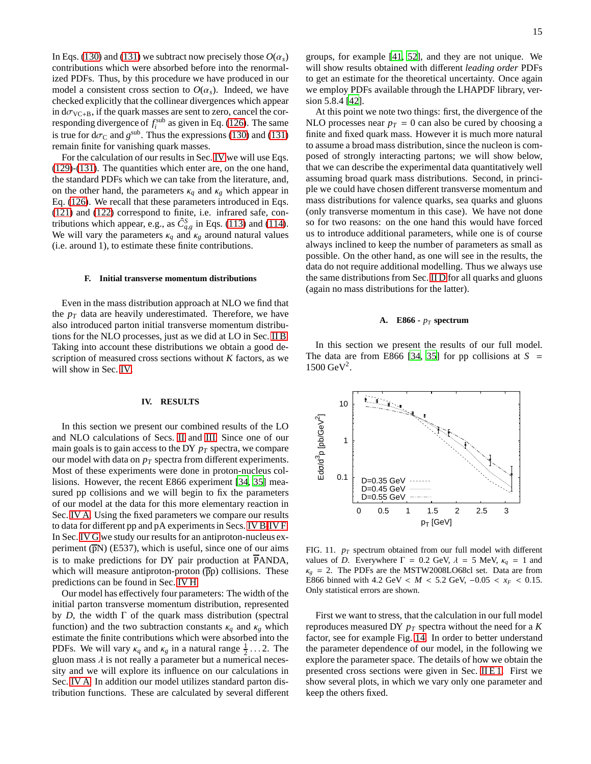In Eqs. [\(130\)](#page-13-0) and [\(131\)](#page-13-1) we subtract now precisely those  $O(\alpha_s)$ contributions which were absorbed before into the renormalized PDFs. Thus, by this procedure we have produced in our model a consistent cross section to  $O(\alpha_s)$ . Indeed, we have checked explicitly that the collinear divergences which appear in  $d\sigma_{VC+B}$ , if the quark masses are sent to zero, cancel the corresponding divergence of  $f_i^{\text{sub}}$  as given in Eq. [\(126\)](#page-13-2). The same is true for  $d\sigma_C$  and  $g^{\text{sub}}$ . Thus the expressions [\(130\)](#page-13-0) and [\(131\)](#page-13-1) remain finite for vanishing quark masses.

For the calculation of our results in Sec. [IV](#page-14-0) we will use Eqs. [\(129\)](#page-13-3)-[\(131\)](#page-13-1). The quantities which enter are, on the one hand, the standard PDFs which we can take from the literature, and, on the other hand, the parameters  $\kappa_q$  and  $\kappa_g$  which appear in Eq. [\(126\)](#page-13-2). We recall that these parameters introduced in Eqs. [\(121\)](#page-13-4) and [\(122\)](#page-13-5) correspond to finite, i.e. infrared safe, contributions which appear, e.g., as  $\hat{C}_{q,g}^S$  in Eqs. [\(113\)](#page-11-4) and [\(114\)](#page-11-5). We will vary the parameters  $\kappa_q$  and  $\kappa_g$  around natural values (i.e. around 1), to estimate these finite contributions.

#### **F. Initial transverse momentum distributions**

Even in the mass distribution approach at NLO we find that the  $p_T$  data are heavily underestimated. Therefore, we have also introduced parton initial transverse momentum distributions for the NLO processes, just as we did at LO in Sec. [II B.](#page-3-3) Taking into account these distributions we obtain a good description of measured cross sections without *K* factors, as we will show in Sec. [IV.](#page-14-0)

## <span id="page-14-0"></span>**IV. RESULTS**

In this section we present our combined results of the LO and NLO calculations of Secs. [II](#page-2-1) and [III.](#page-7-0) Since one of our main goals is to gain access to the DY *p<sup>T</sup>* spectra, we compare our model with data on *p<sup>T</sup>* spectra from different experiments. Most of these experiments were done in proton-nucleus collisions. However, the recent E866 experiment [\[34](#page-32-29), [35\]](#page-32-30) measured pp collisions and we will begin to fix the parameters of our model at the data for this more elementary reaction in Sec. [IV A.](#page-14-1) Using the fixed parameters we compare our results to data for different pp and pA experiments in Secs. [IV B-](#page-17-0)[IV F.](#page-19-0) In Sec. [IV G](#page-19-1) we study our results for an antiproton-nucleus experiment  $(\overline{p}N)$  (E537), which is useful, since one of our aims is to make predictions for DY pair production at  $\overline{P}ANDA$ , which will measure antiproton-proton  $(\overline{p}p)$  collisions. These predictions can be found in Sec. [IV H.](#page-20-0)

Our model has effectively four parameters: The width of the initial parton transverse momentum distribution, represented by *D*, the width Γ of the quark mass distribution (spectral function) and the two subtraction constants  $\kappa_q$  and  $\kappa_g$  which estimate the finite contributions which were absorbed into the PDFs. We will vary  $\kappa_q$  and  $\kappa_g$  in a natural range  $\frac{1}{2} \dots 2$ . The gluon mass  $\lambda$  is not really a parameter but a numerical necessity and we will explore its influence on our calculations in Sec. [IV A.](#page-14-1) In addition our model utilizes standard parton distribution functions. These are calculated by several different groups, for example [\[41,](#page-32-36) [52](#page-32-45)], and they are not unique. We will show results obtained with different *leading order* PDFs to get an estimate for the theoretical uncertainty. Once again we employ PDFs available through the LHAPDF library, version 5.8.4 [\[42\]](#page-32-37).

At this point we note two things: first, the divergence of the NLO processes near  $p_T = 0$  can also be cured by choosing a finite and fixed quark mass. However it is much more natural to assume a broad mass distribution, since the nucleon is composed of strongly interacting partons; we will show below, that we can describe the experimental data quantitatively well assuming broad quark mass distributions. Second, in principle we could have chosen different transverse momentum and mass distributions for valence quarks, sea quarks and gluons (only transverse momentum in this case). We have not done so for two reasons: on the one hand this would have forced us to introduce additional parameters, while one is of course always inclined to keep the number of parameters as small as possible. On the other hand, as one will see in the results, the data do not require additional modelling. Thus we always use the same distributions from Sec. [II D](#page-5-0) for all quarks and gluons (again no mass distributions for the latter).

## <span id="page-14-1"></span>**A. E866 -** *p<sup>T</sup>* **spectrum**

In this section we present the results of our full model. The data are from E866 [\[34,](#page-32-29) [35](#page-32-30)] for pp collisions at  $S =$  $1500 \text{ GeV}^2$ .



<span id="page-14-2"></span>FIG. 11.  $p_T$  spectrum obtained from our full model with different values of *D*. Everywhere  $\Gamma = 0.2$  GeV,  $\lambda = 5$  MeV,  $\kappa_a = 1$  and  $\kappa_g$  = 2. The PDFs are the MSTW2008LO68cl set. Data are from E866 binned with 4.2 GeV <  $M$  < 5.2 GeV,  $-0.05$  <  $x_F$  < 0.15. Only statistical errors are shown.

First we want to stress, that the calculation in our full model reproduces measured DY *p<sup>T</sup>* spectra without the need for a *K* factor, see for example Fig. [14.](#page-15-0) In order to better understand the parameter dependence of our model, in the following we explore the parameter space. The details of how we obtain the presented cross sections were given in Sec. [II E 1.](#page-6-5) First we show several plots, in which we vary only one parameter and keep the others fixed.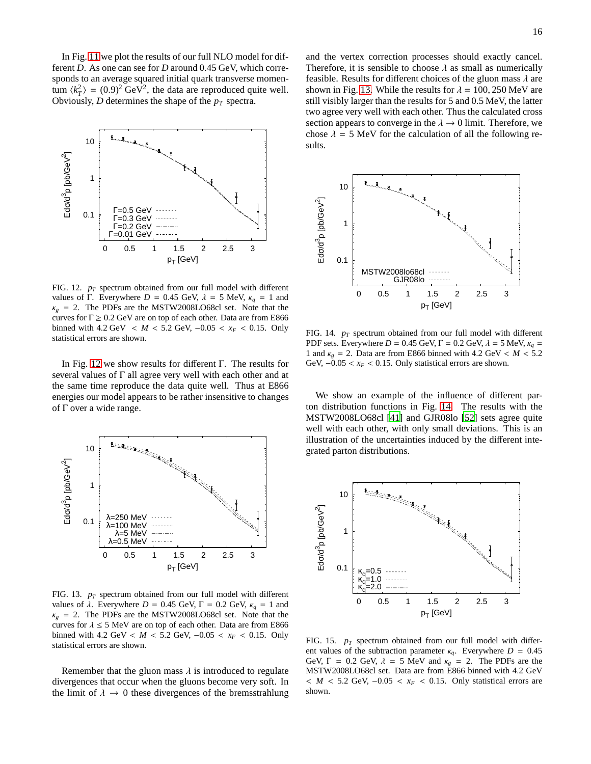In Fig. [11](#page-14-2) we plot the results of our full NLO model for different *D*. As one can see for *D* around 0.45 GeV, which corresponds to an average squared initial quark transverse momentum  $\langle k_T^2 \rangle = (0.9)^2 \text{ GeV}^2$ , the data are reproduced quite well. Obviously, *D* determines the shape of the *p<sup>T</sup>* spectra.



<span id="page-15-1"></span>FIG. 12. *p<sup>T</sup>* spectrum obtained from our full model with different values of Γ. Everywhere  $D = 0.45$  GeV,  $\lambda = 5$  MeV,  $\kappa_a = 1$  and  $\kappa_g$  = 2. The PDFs are the MSTW2008LO68cl set. Note that the curves for  $\Gamma \geq 0.2$  GeV are on top of each other. Data are from E866 binned with 4.2 GeV <  $M$  < 5.2 GeV, −0.05 <  $x_F$  < 0.15. Only statistical errors are shown.

In Fig. [12](#page-15-1) we show results for different Γ. The results for several values of Γ all agree very well with each other and at the same time reproduce the data quite well. Thus at E866 energies our model appears to be rather insensitive to changes of Γ over a wide range.



<span id="page-15-2"></span>FIG. 13. *p<sup>T</sup>* spectrum obtained from our full model with different values of  $λ$ . Everywhere  $D = 0.45$  GeV,  $Γ = 0.2$  GeV,  $κ_q = 1$  and  $\kappa_g$  = 2. The PDFs are the MSTW2008LO68cl set. Note that the curves for  $\lambda \le 5$  MeV are on top of each other. Data are from E866 binned with 4.2 GeV < *M* < 5.2 GeV, −0.05 < *x<sup>F</sup>* < 0.15. Only statistical errors are shown.

Remember that the gluon mass  $\lambda$  is introduced to regulate divergences that occur when the gluons become very soft. In the limit of  $\lambda \to 0$  these divergences of the bremsstrahlung and the vertex correction processes should exactly cancel. Therefore, it is sensible to choose  $\lambda$  as small as numerically feasible. Results for different choices of the gluon mass  $\lambda$  are shown in Fig. [13.](#page-15-2) While the results for  $\lambda = 100, 250$  MeV are still visibly larger than the results for 5 and 0.5 MeV, the latter two agree very well with each other. Thus the calculated cross section appears to converge in the  $\lambda \rightarrow 0$  limit. Therefore, we chose  $\lambda = 5$  MeV for the calculation of all the following results.



<span id="page-15-0"></span>FIG. 14. *p<sup>T</sup>* spectrum obtained from our full model with different PDF sets. Everywhere  $D = 0.45$  GeV,  $\Gamma = 0.2$  GeV,  $\lambda = 5$  MeV,  $\kappa_q =$ 1 and  $\kappa_g = 2$ . Data are from E866 binned with 4.2 GeV <  $M < 5.2$ GeV,  $-0.05 < x_F < 0.15$ . Only statistical errors are shown.

We show an example of the influence of different parton distribution functions in Fig. [14.](#page-15-0) The results with the MSTW2008LO68cl [\[41](#page-32-36)] and GJR08lo [\[52\]](#page-32-45) sets agree quite well with each other, with only small deviations. This is an illustration of the uncertainties induced by the different integrated parton distributions.



<span id="page-15-3"></span>FIG. 15. *p<sup>T</sup>* spectrum obtained from our full model with different values of the subtraction parameter  $\kappa_q$ . Everywhere  $D = 0.45$ GeV,  $\Gamma = 0.2$  GeV,  $\lambda = 5$  MeV and  $\kappa_g = 2$ . The PDFs are the MSTW2008LO68cl set. Data are from E866 binned with 4.2 GeV < *M* < 5.2 GeV, −0.05 < *x<sup>F</sup>* < 0.15. Only statistical errors are shown.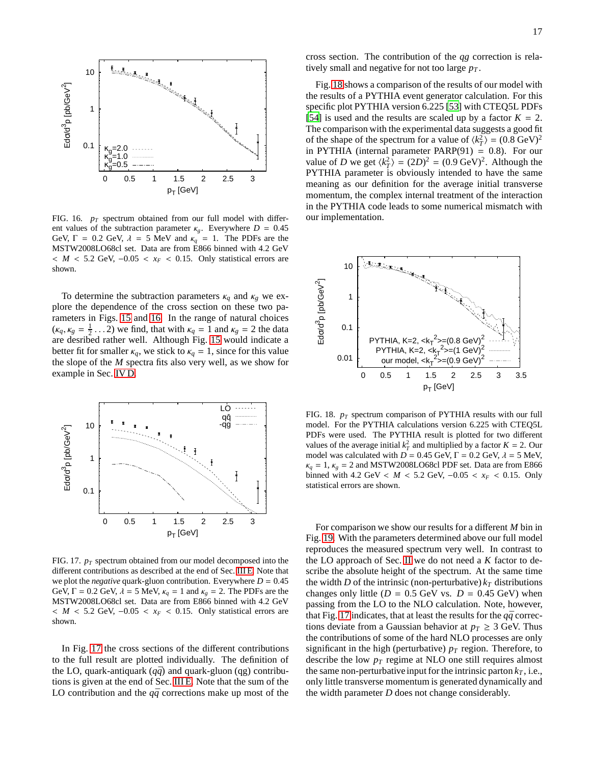

<span id="page-16-0"></span>FIG. 16. *p<sup>T</sup>* spectrum obtained from our full model with different values of the subtraction parameter  $\kappa_g$ . Everywhere  $D = 0.45$ GeV,  $\Gamma = 0.2$  GeV,  $\lambda = 5$  MeV and  $\kappa_q = 1$ . The PDFs are the MSTW2008LO68cl set. Data are from E866 binned with 4.2 GeV < *M* < 5.2 GeV, −0.05 < *x<sup>F</sup>* < 0.15. Only statistical errors are shown.

To determine the subtraction parameters  $\kappa_q$  and  $\kappa_g$  we explore the dependence of the cross section on these two parameters in Figs. [15](#page-15-3) and [16.](#page-16-0) In the range of natural choices  $(\kappa_q, \kappa_g = \frac{1}{2} \dots 2)$  we find, that with  $\kappa_q = 1$  and  $\kappa_g = 2$  the data are desribed rather well. Although Fig. [15](#page-15-3) would indicate a better fit for smaller  $\kappa_q$ , we stick to  $\kappa_q = 1$ , since for this value the slope of the *M* spectra fits also very well, as we show for example in Sec. [IV D.](#page-18-0)



<span id="page-16-1"></span>FIG. 17.  $p_T$  spectrum obtained from our model decomposed into the different contributions as described at the end of Sec. [III E.](#page-11-0) Note that we plot the *negative* quark-gluon contribution. Everywhere  $D = 0.45$ GeV,  $\Gamma = 0.2$  GeV,  $\lambda = 5$  MeV,  $\kappa_q = 1$  and  $\kappa_g = 2$ . The PDFs are the MSTW2008LO68cl set. Data are from E866 binned with 4.2 GeV < *M* < 5.2 GeV, −0.05 < *x<sup>F</sup>* < 0.15. Only statistical errors are shown.

In Fig. [17](#page-16-1) the cross sections of the different contributions to the full result are plotted individually. The definition of the LO, quark-antiquark  $(q\bar{q})$  and quark-gluon (qg) contributions is given at the end of Sec. [III E.](#page-11-0) Note that the sum of the LO contribution and the  $q\bar{q}$  corrections make up most of the

cross section. The contribution of the *qg* correction is relatively small and negative for not too large *p<sup>T</sup>* .

Fig. [18](#page-16-2) shows a comparison of the results of our model with the results of a PYTHIA event generator calculation. For this specific plot PYTHIA version 6.225 [\[53](#page-32-46)] with CTEQ5L PDFs [\[54](#page-32-47)] is used and the results are scaled up by a factor  $K = 2$ . The comparison with the experimental data suggests a good fit of the shape of the spectrum for a value of  $\langle k_T^2 \rangle = (0.8 \text{ GeV})^2$ in PYTHIA (internal parameter PARP $(91) = 0.8$ ). For our value of *D* we get  $\langle k_T^2 \rangle = (2D)^2 = (0.9 \text{ GeV})^2$ . Although the PYTHIA parameter is obviously intended to have the same meaning as our definition for the average initial transverse momentum, the complex internal treatment of the interaction in the PYTHIA code leads to some numerical mismatch with our implementation.



<span id="page-16-2"></span>FIG. 18. *p<sup>T</sup>* spectrum comparison of PYTHIA results with our full model. For the PYTHIA calculations version 6.225 with CTEQ5L PDFs were used. The PYTHIA result is plotted for two different values of the average initial  $k_T^2$  and multiplied by a factor  $K = 2$ . Our model was calculated with  $D = 0.45$  GeV,  $\Gamma = 0.2$  GeV,  $\lambda = 5$  MeV,  $\kappa_q = 1$ ,  $\kappa_g = 2$  and MSTW2008LO68cl PDF set. Data are from E866 binned with 4.2 GeV <  $M$  < 5.2 GeV, −0.05 <  $x_F$  < 0.15. Only statistical errors are shown.

For comparison we show our results for a different *M* bin in Fig. [19.](#page-17-1) With the parameters determined above our full model reproduces the measured spectrum very well. In contrast to the LO approach of Sec. [II](#page-2-1) we do not need a *K* factor to describe the absolute height of the spectrum. At the same time the width *D* of the intrinsic (non-perturbative)  $k_T$  distributions changes only little ( $D = 0.5$  GeV vs.  $D = 0.45$  GeV) when passing from the LO to the NLO calculation. Note, however, that Fig. [17](#page-16-1) indicates, that at least the results for the  $q\bar{q}$  corrections deviate from a Gaussian behavior at  $p_T \geq 3$  GeV. Thus the contributions of some of the hard NLO processes are only significant in the high (perturbative)  $p<sub>T</sub>$  region. Therefore, to describe the low *p<sup>T</sup>* regime at NLO one still requires almost the same non-perturbative input for the intrinsic parton  $k<sub>T</sub>$ , i.e., only little transverse momentum is generated dynamically and the width parameter *D* does not change considerably.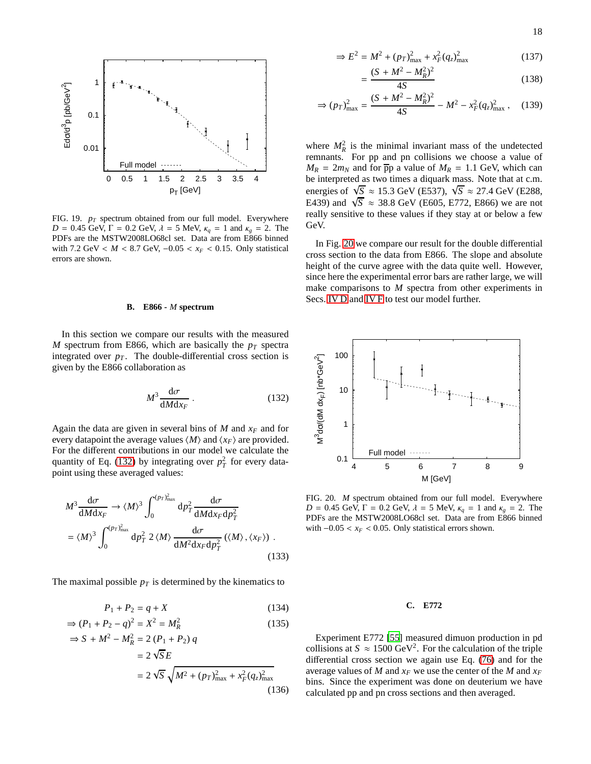

<span id="page-17-1"></span>FIG. 19. *p<sup>T</sup>* spectrum obtained from our full model. Everywhere *D* = 0.45 GeV, Γ = 0.2 GeV,  $λ$  = 5 MeV,  $κ_q$  = 1 and  $κ_g$  = 2. The PDFs are the MSTW2008LO68cl set. Data are from E866 binned with 7.2 GeV < *M* < 8.7 GeV, −0.05 < *x<sub>F</sub>* < 0.15. Only statistical errors are shown.

#### <span id="page-17-0"></span>**B. E866 -** *M* **spectrum**

In this section we compare our results with the measured *M* spectrum from E866, which are basically the *p<sup>T</sup>* spectra integrated over  $p<sub>T</sub>$ . The double-differential cross section is given by the E866 collaboration as

<span id="page-17-2"></span>
$$
M^3 \frac{\mathrm{d}\sigma}{\mathrm{d}M\mathrm{d}x_F} \,. \tag{132}
$$

Again the data are given in several bins of  $M$  and  $x_F$  and for every datapoint the average values  $\langle M \rangle$  and  $\langle x_F \rangle$  are provided. For the different contributions in our model we calculate the quantity of Eq. [\(132\)](#page-17-2) by integrating over  $p_T^2$  for every datapoint using these averaged values:

$$
M^3 \frac{d\sigma}{dMdx_F} \to \langle M \rangle^3 \int_0^{(p_T)_{\text{max}}^2} dp_T^2 \frac{d\sigma}{dMdx_F dp_T^2}
$$
  
=  $\langle M \rangle^3 \int_0^{(p_T)_{\text{max}}^2} dp_T^2 2 \langle M \rangle \frac{d\sigma}{dM^2 dx_F dp_T^2} (\langle M \rangle, \langle x_F \rangle)$ . (133)

The maximal possible  $p_T$  is determined by the kinematics to

$$
P_1 + P_2 = q + X \tag{134}
$$

$$
\Rightarrow (P_1 + P_2 - q)^2 = X^2 = M_R^2 \tag{135}
$$

$$
\Rightarrow S + M^2 - M_R^2 = 2 (P_1 + P_2) q
$$
  
= 2 \sqrt{S} E  
= 2 \sqrt{S} \sqrt{M^2 + (p\_T)\_{\text{max}}^2 + x\_F^2 (q\_z)\_{\text{max}}^2}(136)

$$
\Rightarrow E^2 = M^2 + (p_T)_{\text{max}}^2 + x_F^2 (q_z)_{\text{max}}^2 \tag{137}
$$

<span id="page-17-5"></span>
$$
=\frac{(S+M^2-M_R^2)^2}{4S}
$$
 (138)

$$
\Rightarrow (p_T)_{\text{max}}^2 = \frac{(S + M^2 - M_R^2)^2}{4S} - M^2 - x_F^2 (q_z)_{\text{max}}^2 \,, \quad (139)
$$

where  $M_R^2$  is the minimal invariant mass of the undetected remnants. For pp and pn collisions we choose a value of  $M_R = 2m_N$  and for  $\overline{p}p$  a value of  $M_R = 1.1$  GeV, which can be interpreted as two times a diquark mass. Note that at c.m. energies of  $\sqrt{S} \approx 15.3$  GeV (E537),  $\sqrt{S} \approx 27.4$  GeV (E288, E439) and  $\sqrt{S} \approx 38.8$  GeV (E605, E772, E866) we are not really sensitive to these values if they stay at or below a few GeV.

In Fig. [20](#page-17-3) we compare our result for the double differential cross section to the data from E866. The slope and absolute height of the curve agree with the data quite well. However, since here the experimental error bars are rather large, we will make comparisons to *M* spectra from other experiments in Secs. [IV D](#page-18-0) and [IV F](#page-19-0) to test our model further.



<span id="page-17-4"></span><span id="page-17-3"></span>FIG. 20. *M* spectrum obtained from our full model. Everywhere *D* = 0.45 GeV, Γ = 0.2 GeV,  $λ$  = 5 MeV,  $κ_q$  = 1 and  $κ_g$  = 2. The PDFs are the MSTW2008LO68cl set. Data are from E866 binned with  $-0.05 < x_F < 0.05$ . Only statistical errors shown.

# **C. E772**

Experiment E772 [\[55\]](#page-32-48) measured dimuon production in pd collisions at  $S \approx 1500 \text{ GeV}^2$ . For the calculation of the triple differential cross section we again use Eq. [\(76\)](#page-6-6) and for the average values of *M* and  $x_F$  we use the center of the *M* and  $x_F$ bins. Since the experiment was done on deuterium we have calculated pp and pn cross sections and then averaged.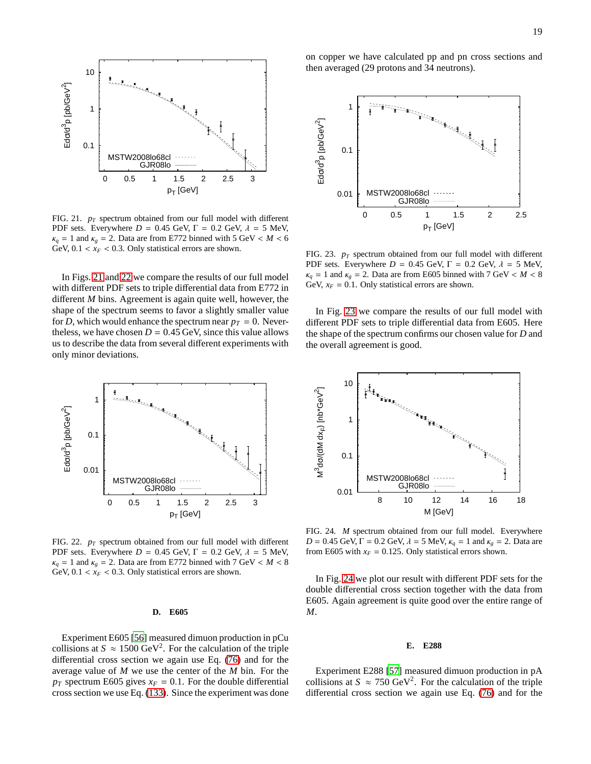



<span id="page-18-3"></span>FIG. 23. *p<sup>T</sup>* spectrum obtained from our full model with different PDF sets. Everywhere  $D = 0.45$  GeV,  $\Gamma = 0.2$  GeV,  $\lambda = 5$  MeV,  $\kappa_q = 1$  and  $\kappa_q = 2$ . Data are from E605 binned with 7 GeV <  $M < 8$ GeV,  $x_F = 0.1$ . Only statistical errors are shown.

In Fig. [23](#page-18-3) we compare the results of our full model with different PDF sets to triple differential data from E605. Here the shape of the spectrum confirms our chosen value for *D* and the overall agreement is good.

10

 0.01 0.1 1 8 10 12 14 16 18 ື $\boldsymbol{\tilde{z}}$ dσ/(dM dxF) [nb\*GeV ঐ M [GeV] MSTW2008lo68cl GJR08lo

<span id="page-18-4"></span>FIG. 24. *M* spectrum obtained from our full model. Everywhere *D* = 0.45 GeV, Γ = 0.2 GeV,  $λ = 5$  MeV,  $κ_q = 1$  and  $κ_g = 2$ . Data are from E605 with  $x_F = 0.125$ . Only statistical errors shown.

In Fig. [24](#page-18-4) we plot our result with different PDF sets for the double differential cross section together with the data from E605. Again agreement is quite good over the entire range of *M*.

#### **E. E288**

Experiment E288 [\[57](#page-32-50)] measured dimuon production in pA collisions at  $S \approx 750 \text{ GeV}^2$ . For the calculation of the triple differential cross section we again use Eq. [\(76\)](#page-6-6) and for the



<span id="page-18-1"></span>FIG. 21.  $p_T$  spectrum obtained from our full model with different PDF sets. Everywhere  $D = 0.45$  GeV,  $\Gamma = 0.2$  GeV,  $\lambda = 5$  MeV,  $\kappa_q = 1$  and  $\kappa_g = 2$ . Data are from E772 binned with 5 GeV < *M* < 6 GeV,  $0.1 < x_F < 0.3$ . Only statistical errors are shown.

In Figs. [21](#page-18-1) and [22](#page-18-2) we compare the results of our full model with different PDF sets to triple differential data from E772 in different *M* bins. Agreement is again quite well, however, the shape of the spectrum seems to favor a slightly smaller value for *D*, which would enhance the spectrum near  $p_T = 0$ . Nevertheless, we have chosen  $D = 0.45$  GeV, since this value allows us to describe the data from several different experiments with only minor deviations.



<span id="page-18-2"></span>FIG. 22. *p<sup>T</sup>* spectrum obtained from our full model with different PDF sets. Everywhere  $D = 0.45$  GeV,  $\Gamma = 0.2$  GeV,  $\lambda = 5$  MeV,  $\kappa_q = 1$  and  $\kappa_g = 2$ . Data are from E772 binned with 7 GeV <  $M < 8$ GeV,  $0.1 < x_F < 0.3$ . Only statistical errors are shown.

#### <span id="page-18-0"></span>**D. E605**

Experiment E605 [\[56](#page-32-49)] measured dimuon production in pCu collisions at  $S \approx 1500 \text{ GeV}^2$ . For the calculation of the triple differential cross section we again use Eq. [\(76\)](#page-6-6) and for the average value of *M* we use the center of the *M* bin. For the  $p_T$  spectrum E605 gives  $x_F = 0.1$ . For the double differential cross section we use Eq. [\(133\)](#page-17-4). Since the experiment was done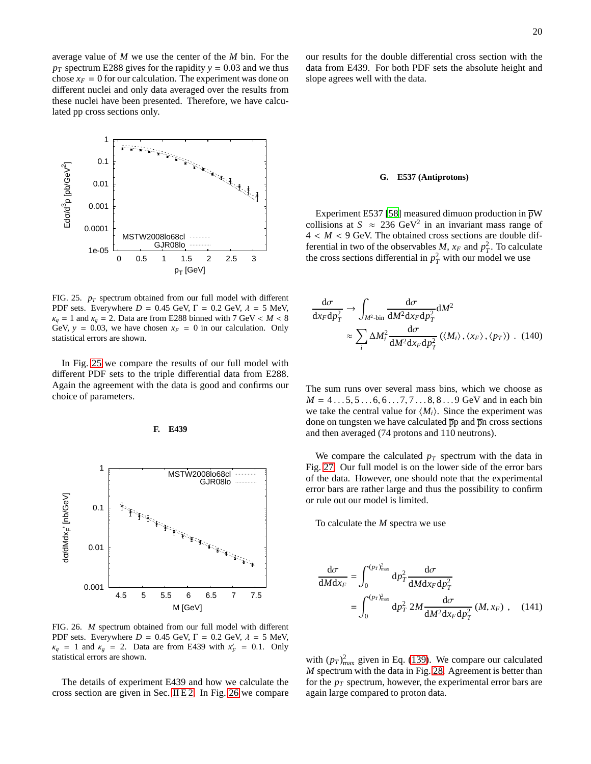average value of *M* we use the center of the *M* bin. For the  $p_T$  spectrum E288 gives for the rapidity  $y = 0.03$  and we thus chose  $x_F = 0$  for our calculation. The experiment was done on different nuclei and only data averaged over the results from these nuclei have been presented. Therefore, we have calculated pp cross sections only.



<span id="page-19-2"></span>FIG. 25. *p<sup>T</sup>* spectrum obtained from our full model with different PDF sets. Everywhere  $D = 0.45$  GeV,  $\Gamma = 0.2$  GeV,  $\lambda = 5$  MeV,  $\kappa_q = 1$  and  $\kappa_g = 2$ . Data are from E288 binned with 7 GeV <  $M < 8$ GeV,  $y = 0.03$ , we have chosen  $x_F = 0$  in our calculation. Only statistical errors are shown.

In Fig. [25](#page-19-2) we compare the results of our full model with different PDF sets to the triple differential data from E288. Again the agreement with the data is good and confirms our choice of parameters.

<span id="page-19-0"></span>**F. E439**



<span id="page-19-3"></span>FIG. 26. *M* spectrum obtained from our full model with different PDF sets. Everywhere  $D = 0.45$  GeV,  $\Gamma = 0.2$  GeV,  $\lambda = 5$  MeV,  $\kappa_q = 1$  and  $\kappa_g = 2$ . Data are from E439 with  $x'_F = 0.1$ . Only statistical errors are shown.

The details of experiment E439 and how we calculate the cross section are given in Sec. [II E 2.](#page-6-7) In Fig. [26](#page-19-3) we compare our results for the double differential cross section with the data from E439. For both PDF sets the absolute height and slope agrees well with the data.

#### <span id="page-19-1"></span>**G. E537 (Antiprotons)**

Experiment E537 [\[58\]](#page-32-51) measured dimuon production in  $\overline{p}W$ collisions at  $S \approx 236 \text{ GeV}^2$  in an invariant mass range of  $4 < M < 9$  GeV. The obtained cross sections are double differential in two of the observables *M*,  $x_F$  and  $p_T^2$ . To calculate the cross sections differential in  $p_T^2$  with our model we use

$$
\frac{d\sigma}{dx_F dp_T^2} \to \int_{M^2 \text{-bin}} \frac{d\sigma}{dM^2 dx_F dp_T^2} dM^2
$$

$$
\approx \sum_i \Delta M_i^2 \frac{d\sigma}{dM^2 dx_F dp_T^2} (\langle M_i \rangle, \langle x_F \rangle, \langle p_T \rangle) . (140)
$$

The sum runs over several mass bins, which we choose as  $M = 4 \dots 5, 5 \dots 6, 6 \dots 7, 7 \dots 8, 8 \dots 9$  GeV and in each bin we take the central value for  $\langle M_i \rangle$ . Since the experiment was done on tungsten we have calculated  $\overline{p}p$  and  $\overline{p}n$  cross sections and then averaged (74 protons and 110 neutrons).

We compare the calculated  $p_T$  spectrum with the data in Fig. [27.](#page-20-1) Our full model is on the lower side of the error bars of the data. However, one should note that the experimental error bars are rather large and thus the possibility to confirm or rule out our model is limited.

To calculate the *M* spectra we use

$$
\frac{d\sigma}{dMdx_F} = \int_0^{(p_T)_{\text{max}}^2} dp_T^2 \frac{d\sigma}{dMdx_F dp_T^2}
$$

$$
= \int_0^{(p_T)_{\text{max}}^2} dp_T^2 2M \frac{d\sigma}{dM^2dx_F dp_T^2} (M, x_F) , \quad (141)
$$

with  $(p_T)_{\text{max}}^2$  given in Eq. [\(139\)](#page-17-5). We compare our calculated *M* spectrum with the data in Fig. [28.](#page-20-2) Agreement is better than for the  $p_T$  spectrum, however, the experimental error bars are again large compared to proton data.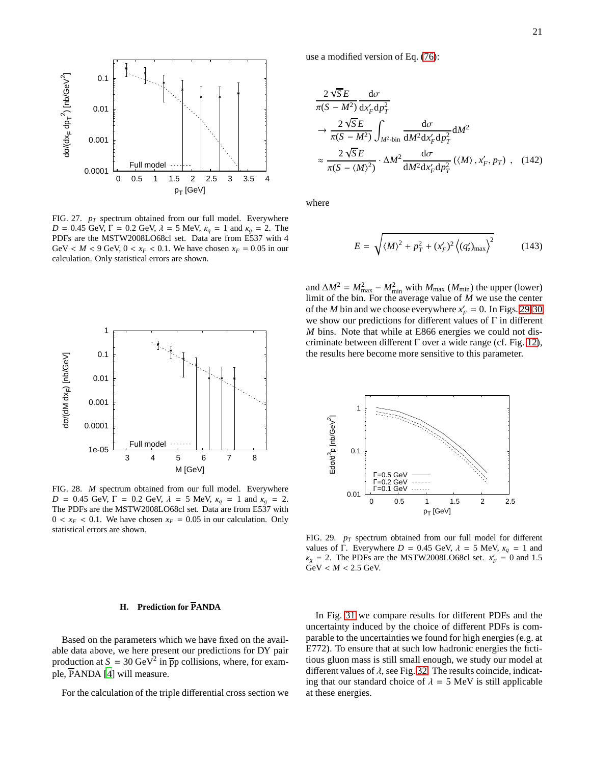

<span id="page-20-1"></span>FIG. 27. *p<sup>T</sup>* spectrum obtained from our full model. Everywhere *D* = 0.45 GeV, Γ = 0.2 GeV,  $λ$  = 5 MeV,  $κ_q$  = 1 and  $κ_g$  = 2. The PDFs are the MSTW2008LO68cl set. Data are from E537 with 4 GeV <  $M$  < 9 GeV, 0 <  $x_F$  < 0.1. We have chosen  $x_F$  = 0.05 in our calculation. Only statistical errors are shown.



<span id="page-20-2"></span>FIG. 28. *M* spectrum obtained from our full model. Everywhere *D* = 0.45 GeV, Γ = 0.2 GeV,  $λ$  = 5 MeV,  $κ_q$  = 1 and  $κ_g$  = 2. The PDFs are the MSTW2008LO68cl set. Data are from E537 with  $0 < x_F < 0.1$ . We have chosen  $x_F = 0.05$  in our calculation. Only statistical errors are shown.

# <span id="page-20-0"></span>**H. Prediction for PANDA**

Based on the parameters which we have fixed on the available data above, we here present our predictions for DY pair production at  $S = 30 \text{ GeV}^2$  in  $\overline{p}p$  collisions, where, for example, PANDA [\[4\]](#page-32-3) will measure.

For the calculation of the triple differential cross section we

use a modified version of Eq. [\(76\)](#page-6-6):

$$
\frac{2\sqrt{S}E}{\pi(S-M^2)}\frac{d\sigma}{dx'_F dp_T^2}
$$
\n
$$
\rightarrow \frac{2\sqrt{S}E}{\pi(S-M^2)}\int_{M^2\text{-bin}}\frac{d\sigma}{dM^2dx'_F dp_T^2}dM^2
$$
\n
$$
\approx \frac{2\sqrt{S}E}{\pi(S-\langle M \rangle^2)} \cdot \Delta M^2\frac{d\sigma}{dM^2dx'_F dp_T^2}(\langle M \rangle, x'_F, p_T), \quad (142)
$$

where

$$
E = \sqrt{\langle M \rangle^2 + p_T^2 + (x_F')^2 \left\langle (q_z')_{\text{max}} \right\rangle^2} \tag{143}
$$

and  $\Delta M^2 = M_{\text{max}}^2 - M_{\text{min}}^2$  with  $M_{\text{max}}$  ( $M_{\text{min}}$ ) the upper (lower) limit of the bin. For the average value of *M* we use the center of the *M* bin and we choose everywhere  $x'_F = 0$ . In Figs. [29-](#page-20-3)[30](#page-21-0) we show our predictions for different values of  $\Gamma$  in different *M* bins. Note that while at E866 energies we could not discriminate between different  $\Gamma$  over a wide range (cf. Fig. [12\)](#page-15-1), the results here become more sensitive to this parameter.



<span id="page-20-3"></span>FIG. 29. *p<sup>T</sup>* spectrum obtained from our full model for different values of Γ. Everywhere *D* = 0.45 GeV,  $\lambda$  = 5 MeV,  $\kappa_q$  = 1 and  $\kappa_g = 2$ . The PDFs are the MSTW2008LO68cl set.  $x'_F = 0$  and 1.5  $GeV < M < 2.5$  GeV.

In Fig. [31](#page-21-1) we compare results for different PDFs and the uncertainty induced by the choice of different PDFs is comparable to the uncertainties we found for high energies (e.g. at E772). To ensure that at such low hadronic energies the fictitious gluon mass is still small enough, we study our model at different values of  $\lambda$ , see Fig. [32.](#page-21-2) The results coincide, indicating that our standard choice of  $\lambda = 5$  MeV is still applicable at these energies.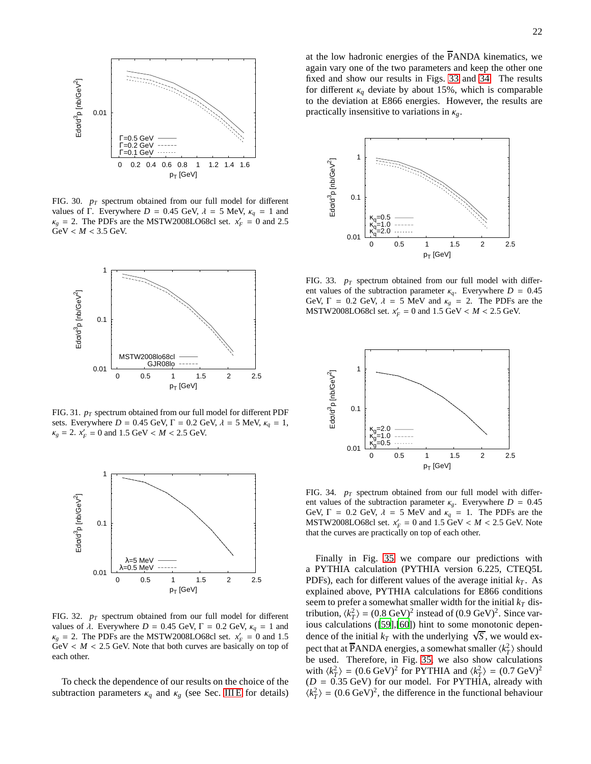

<span id="page-21-0"></span>FIG. 30. *p<sup>T</sup>* spectrum obtained from our full model for different values of Γ. Everywhere  $D = 0.45$  GeV,  $\lambda = 5$  MeV,  $\kappa_q = 1$  and  $\kappa_g$  = 2. The PDFs are the MSTW2008LO68cl set.  $x'_F = 0$  and 2.5 GeV < *M* < 3.5 GeV.



<span id="page-21-1"></span>FIG. 31. *p<sup>T</sup>* spectrum obtained from our full model for different PDF sets. Everywhere  $D = 0.45$  GeV,  $\Gamma = 0.2$  GeV,  $\lambda = 5$  MeV,  $\kappa_a = 1$ ,  $\kappa_g = 2$ .  $x'_F = 0$  and 1.5 GeV < *M* < 2.5 GeV.



<span id="page-21-2"></span>FIG. 32. *p<sup>T</sup>* spectrum obtained from our full model for different values of  $λ$ . Everywhere  $D = 0.45$  GeV,  $Γ = 0.2$  GeV,  $κ_q = 1$  and  $\kappa_g$  = 2. The PDFs are the MSTW2008LO68cl set.  $x'_F = 0$  and 1.5  $GeV < M < 2.5$  GeV. Note that both curves are basically on top of each other.

To check the dependence of our results on the choice of the subtraction parameters  $\kappa_q$  and  $\kappa_g$  (see Sec. IIIE for details) at the low hadronic energies of the  $\overline{P}$ ANDA kinematics, we again vary one of the two parameters and keep the other one fixed and show our results in Figs. [33](#page-21-3) and [34.](#page-21-4) The results for different  $\kappa_q$  deviate by about 15%, which is comparable to the deviation at E866 energies. However, the results are practically insensitive to variations in κ*g*.



<span id="page-21-3"></span>FIG. 33.  $p_T$  spectrum obtained from our full model with different values of the subtraction parameter  $\kappa_q$ . Everywhere  $D = 0.45$ GeV,  $\Gamma = 0.2$  GeV,  $\lambda = 5$  MeV and  $\kappa_g = 2$ . The PDFs are the MSTW2008LO68cl set.  $x'_F = 0$  and  $1.5 \text{ GeV} < M < 2.5 \text{ GeV}$ .



<span id="page-21-4"></span>FIG. 34. *p<sup>T</sup>* spectrum obtained from our full model with different values of the subtraction parameter  $\kappa_g$ . Everywhere  $D = 0.45$ GeV,  $\Gamma = 0.2$  GeV,  $\lambda = 5$  MeV and  $\kappa_q = 1$ . The PDFs are the MSTW2008LO68cl set.  $x'_F = 0$  and  $1.5 \text{ GeV} < M < 2.5 \text{ GeV}$ . Note that the curves are practically on top of each other.

Finally in Fig. [35](#page-22-3) we compare our predictions with a PYTHIA calculation (PYTHIA version 6.225, CTEQ5L PDFs), each for different values of the average initial  $k_T$ . As explained above, PYTHIA calculations for E866 conditions seem to prefer a somewhat smaller width for the initial  $k<sub>T</sub>$  distribution,  $\langle k_T^2 \rangle = (0.8 \text{ GeV})^2$  instead of  $(0.9 \text{ GeV})^2$ . Since various calculations ([\[59\]](#page-33-0),[\[60\]](#page-33-1)) hint to some monotonic dependence of the initial  $k_T$  with the underlying  $\sqrt{S}$ , we would expect that at  $\overline{P}$ ANDA energies, a somewhat smaller  $\langle k_T^2 \rangle$  should be used. Therefore, in Fig. [35,](#page-22-3) we also show calculations with  $\langle k_T^2 \rangle = (0.6 \text{ GeV})^2$  for PYTHIA and  $\langle k_T^2 \rangle = (0.7 \text{ GeV})^2$  $(D = 0.35$  GeV) for our model. For PYTHIA, already with  $\langle k_T^2 \rangle = (0.6 \text{ GeV})^2$ , the difference in the functional behaviour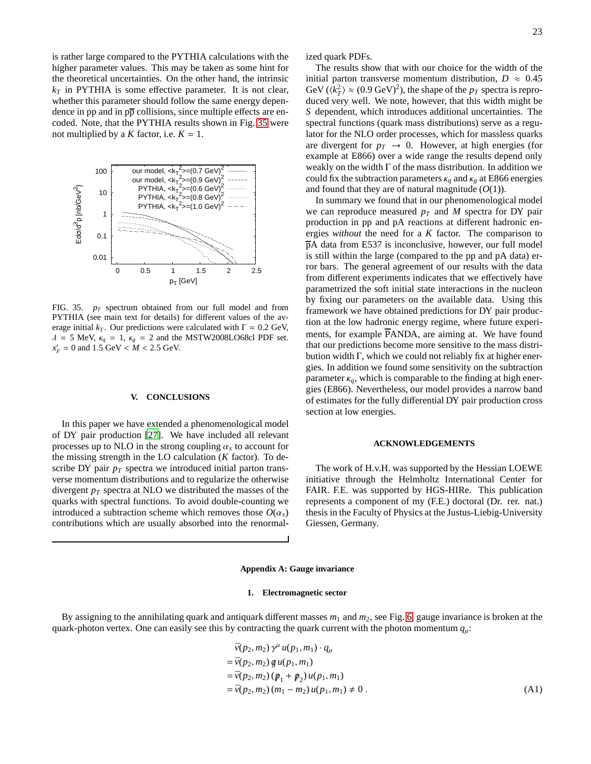is rather large compared to the PYTHIA calculations with the higher parameter values. This may be taken as some hint for the theoretical uncertainties. On the other hand, the intrinsic  $k_T$  in PYTHIA is some effective parameter. It is not clear, whether this parameter should follow the same energy dependence in pp and in  $p\overline{p}$  collisions, since multiple effects are encoded. Note, that the PYTHIA results shown in Fig. [35](#page-22-3) were not multiplied by a *K* factor, i.e.  $K = 1$ .



<span id="page-22-3"></span>FIG. 35. *p<sup>T</sup>* spectrum obtained from our full model and from PYTHIA (see main text for details) for different values of the average initial  $k_T$ . Our predictions were calculated with  $\Gamma = 0.2$  GeV,  $\lambda = 5$  MeV,  $\kappa_q = 1$ ,  $\kappa_g = 2$  and the MSTW2008LO68cl PDF set.  $x'_F = 0$  and 1.5 GeV < *M* < 2.5 GeV.

## <span id="page-22-0"></span>**V. CONCLUSIONS**

In this paper we have extended a phenomenological model of DY pair production [\[27\]](#page-32-22). We have included all relevant processes up to NLO in the strong coupling  $\alpha_s$  to account for the missing strength in the LO calculation (*K* factor). To describe DY pair  $p_T$  spectra we introduced initial parton transverse momentum distributions and to regularize the otherwise divergent *p<sup>T</sup>* spectra at NLO we distributed the masses of the quarks with spectral functions. To avoid double-counting we introduced a subtraction scheme which removes those  $O(\alpha_s)$ contributions which are usually absorbed into the renormalized quark PDFs.

The results show that with our choice for the width of the initial parton transverse momentum distribution,  $D \approx 0.45$ GeV ( $\langle k_T^2 \rangle \approx (0.9 \text{ GeV})^2$ ), the shape of the  $p_T$  spectra is reproduced very well. We note, however, that this width might be *S* dependent, which introduces additional uncertainties. The spectral functions (quark mass distributions) serve as a regulator for the NLO order processes, which for massless quarks are divergent for  $p_T \rightarrow 0$ . However, at high energies (for example at E866) over a wide range the results depend only weakly on the width  $\Gamma$  of the mass distribution. In addition we could fix the subtraction parameters  $\kappa_q$  and  $\kappa_g$  at E866 energies and found that they are of natural magnitude (*O*(1)).

In summary we found that in our phenomenological model we can reproduce measured  $p_T$  and  $M$  spectra for DY pair production in pp and pA reactions at different hadronic energies *without* the need for a *K* factor. The comparison to pA data from E537 is inconclusive, however, our full model is still within the large (compared to the pp and pA data) error bars. The general agreement of our results with the data from different experiments indicates that we effectively have parametrized the soft initial state interactions in the nucleon by fixing our parameters on the available data. Using this framework we have obtained predictions for DY pair production at the low hadronic energy regime, where future experiments, for example PANDA, are aiming at. We have found that our predictions become more sensitive to the mass distribution width Γ, which we could not reliably fix at higher energies. In addition we found some sensitivity on the subtraction parameter  $\kappa_a$ , which is comparable to the finding at high energies (E866). Nevertheless, our model provides a narrow band of estimates for the fully differential DY pair production cross section at low energies.

#### **ACKNOWLEDGEMENTS**

The work of H.v.H. was supported by the Hessian LOEWE initiative through the Helmholtz International Center for FAIR. F.E. was supported by HGS-HIRe. This publication represents a component of my (F.E.) doctoral (Dr. rer. nat.) thesis in the Faculty of Physics at the Justus-Liebig-University Giessen, Germany.

## <span id="page-22-1"></span>**Appendix A: Gauge invariance**

## <span id="page-22-2"></span>**1. Electromagnetic sector**

By assigning to the annihilating quark and antiquark different masses *m*<sup>1</sup> and *m*2, see Fig. [6,](#page-7-3) gauge invariance is broken at the quark-photon vertex. One can easily see this by contracting the quark current with the photon momentum  $q_u$ :

$$
\bar{v}(p_2, m_2) \gamma^{\mu} u(p_1, m_1) \cdot q_{\mu} \n= \bar{v}(p_2, m_2) q u(p_1, m_1) \n= \bar{v}(p_2, m_2) (p_1 + p_2) u(p_1, m_1) \n= \bar{v}(p_2, m_2) (m_1 - m_2) u(p_1, m_1) \neq 0.
$$
\n(A1)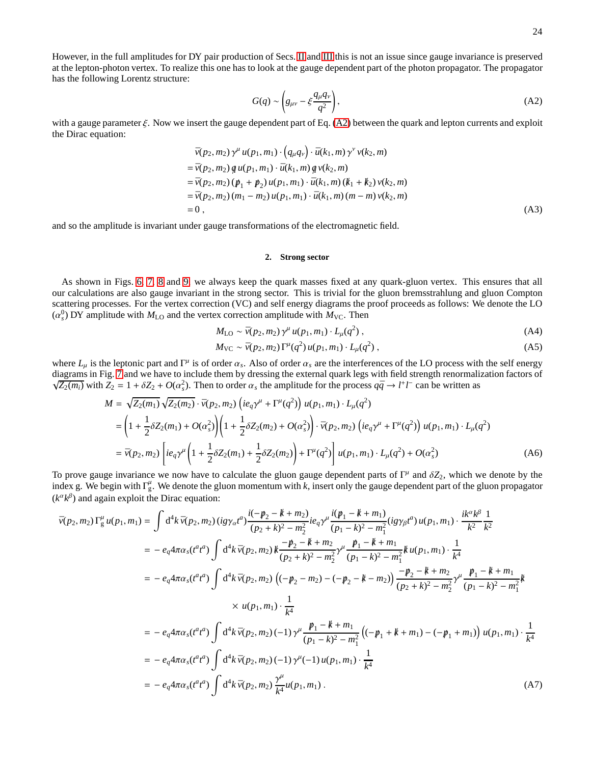<span id="page-23-0"></span>
$$
G(q) \sim \left( g_{\mu\nu} - \xi \frac{q_{\mu}q_{\nu}}{q^2} \right),\tag{A2}
$$

with a gauge parameter  $\xi$ . Now we insert the gauge dependent part of Eq. [\(A2\)](#page-23-0) between the quark and lepton currents and exploit the Dirac equation:

$$
\bar{v}(p_2, m_2) \gamma^{\mu} u(p_1, m_1) \cdot (q_{\mu} q_{\nu}) \cdot \bar{u}(k_1, m) \gamma^{\nu} v(k_2, m) \n= \bar{v}(p_2, m_2) q u(p_1, m_1) \cdot \bar{u}(k_1, m) q v(k_2, m) \n= \bar{v}(p_2, m_2) (p_1 + p_2) u(p_1, m_1) \cdot \bar{u}(k_1, m) (k_1 + k_2) v(k_2, m) \n= \bar{v}(p_2, m_2) (m_1 - m_2) u(p_1, m_1) \cdot \bar{u}(k_1, m) (m - m) v(k_2, m) \n= 0,
$$
\n(A3)

and so the amplitude is invariant under gauge transformations of the electromagnetic field.

## <span id="page-23-1"></span>**2. Strong sector**

As shown in Figs. [6,](#page-7-3) [7,](#page-7-4) [8](#page-8-1) and [9,](#page-8-2) we always keep the quark masses fixed at any quark-gluon vertex. This ensures that all our calculations are also gauge invariant in the strong sector. This is trivial for the gluon bremsstrahlung and gluon Compton scattering processes. For the vertex correction (VC) and self energy diagrams the proof proceeds as follows: We denote the LO  $(\alpha_s^0)$  DY amplitude with  $M_{\text{LO}}$  and the vertex correction amplitude with  $M_{\text{VC}}$ . Then

$$
M_{\text{LO}} \sim \bar{\nu}(p_2, m_2) \gamma^{\mu} u(p_1, m_1) \cdot L_{\mu}(q^2) , \qquad (A4)
$$

$$
M_{\rm VC} \sim \bar{\nu}(p_2, m_2) \Gamma^{\mu}(q^2) u(p_1, m_1) \cdot L_{\mu}(q^2) , \qquad (A5)
$$

where  $L_\mu$  is the leptonic part and  $\Gamma^\mu$  is of order  $\alpha_s$ . Also of order  $\alpha_s$  are the interferences of the LO process with the self energy diagrams in Fig. [7](#page-7-4) and we have to include them by dressing the external quark legs with field strength renormalization factors of  $\sqrt{Z_2(m_i)}$  with  $Z_2 = 1 + \delta Z_2 + O(\alpha_s^2)$ . Then to order  $\alpha_s$  the amplitude for the process  $q\bar{q} \to l^+l^-$  can be written as

$$
M = \sqrt{Z_2(m_1)} \sqrt{Z_2(m_2)} \cdot \bar{\nu}(p_2, m_2) \left( i e_q \gamma^{\mu} + \Gamma^{\mu}(q^2) \right) u(p_1, m_1) \cdot L_{\mu}(q^2)
$$
  
\n
$$
= \left( 1 + \frac{1}{2} \delta Z_2(m_1) + O(\alpha_s^2) \right) \left( 1 + \frac{1}{2} \delta Z_2(m_2) + O(\alpha_s^2) \right) \cdot \bar{\nu}(p_2, m_2) \left( i e_q \gamma^{\mu} + \Gamma^{\mu}(q^2) \right) u(p_1, m_1) \cdot L_{\mu}(q^2)
$$
  
\n
$$
= \bar{\nu}(p_2, m_2) \left[ i e_q \gamma^{\mu} \left( 1 + \frac{1}{2} \delta Z_2(m_1) + \frac{1}{2} \delta Z_2(m_2) \right) + \Gamma^{\mu}(q^2) \right] u(p_1, m_1) \cdot L_{\mu}(q^2) + O(\alpha_s^2)
$$
 (A6)

To prove gauge invariance we now have to calculate the gluon gauge dependent parts of  $\Gamma^\mu$  and  $\delta Z_2$ , which we denote by the index g. We begin with  $\Gamma_g^{\mu}$ . We denote the gluon momentum with k, insert only the gauge dependent part of the gluon propagator  $(k^{\alpha}k^{\beta})$  and again exploit the Dirac equation:

$$
\bar{v}(p_2, m_2) \Gamma_{g}^{\mu} u(p_1, m_1) = \int d^4 k \, \bar{v}(p_2, m_2) \left( ig \gamma_{\alpha} t^{\alpha} \right) \frac{i(-p_2 - k + m_2)}{(p_2 + k)^2 - m_2^2} i e_q \gamma^{\mu} \frac{i(p_1 - k + m_1)}{(p_1 - k)^2 - m_1^2} (ig \gamma_{\beta} t^{\alpha}) u(p_1, m_1) \cdot \frac{ik^{\alpha} k^{\beta}}{k^2} \frac{1}{k^2}
$$
\n
$$
= -e_q 4\pi \alpha_s (t^{\alpha} t^{\alpha}) \int d^4 k \, \bar{v}(p_2, m_2) \, k \frac{-p_2 - k + m_2}{(p_2 + k)^2 - m_2^2} \gamma^{\mu} \frac{p_1 - k + m_1}{(p_1 - k)^2 - m_1^2} k u(p_1, m_1) \cdot \frac{1}{k^4}
$$
\n
$$
= -e_q 4\pi \alpha_s (t^{\alpha} t^{\alpha}) \int d^4 k \, \bar{v}(p_2, m_2) \left( (-p_2 - m_2) - (-p_2 - k - m_2) \right) \frac{-p_2 - k + m_2}{(p_2 + k)^2 - m_2^2} \gamma^{\mu} \frac{p_1 - k + m_1}{(p_1 - k)^2 - m_1^2} k
$$
\n
$$
\times u(p_1, m_1) \cdot \frac{1}{k^4}
$$
\n
$$
= -e_q 4\pi \alpha_s (t^{\alpha} t^{\alpha}) \int d^4 k \, \bar{v}(p_2, m_2) (-1) \gamma^{\mu} \frac{p_1 - k + m_1}{(p_1 - k)^2 - m_1^2} \left( (-p_1 + k + m_1) - (-p_1 + m_1) \right) u(p_1, m_1) \cdot \frac{1}{k^4}
$$
\n
$$
= -e_q 4\pi \alpha_s (t^{\alpha} t^{\alpha}) \int d^4 k \, \bar{v}(p_2, m_2) (-1) \gamma^{\mu} (-1) u(p_1, m_1) \cdot \frac{1}{k^4}
$$
\n
$$
= -e_q 4\pi \alpha_s (t^{\alpha} t^{\alpha}) \int d^4 k \, \bar
$$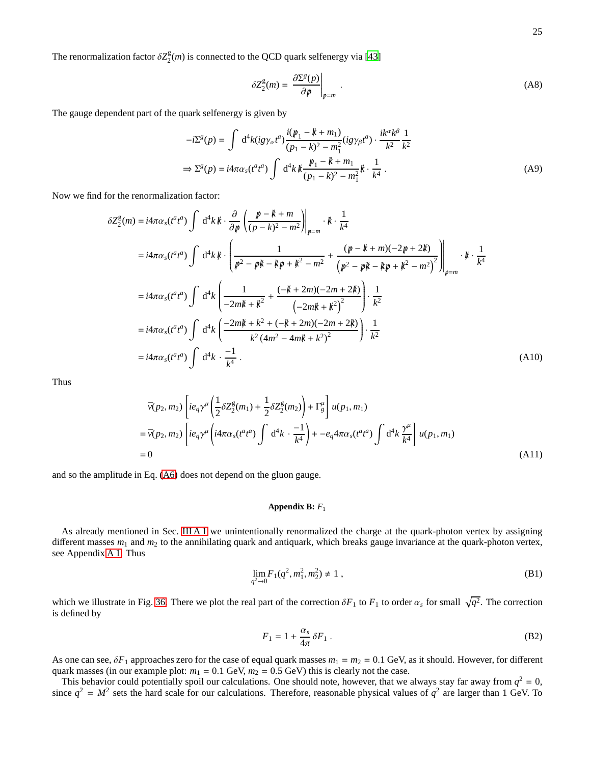The renormalization factor  $\delta Z_2^{\text{g}}$  $2<sup>g</sup>(m)$  is connected to the QCD quark selfenergy via [\[43\]](#page-32-38)

$$
\delta Z_2^g(m) = \left. \frac{\partial \Sigma^g(p)}{\partial p} \right|_{p=m} . \tag{A8}
$$

The gauge dependent part of the quark selfenergy is given by

$$
-i\Sigma^{g}(p) = \int d^{4}k (ig\gamma_{\alpha}t^{a}) \frac{i(p_{1} - k + m_{1})}{(p_{1} - k)^{2} - m_{1}^{2}} (ig\gamma_{\beta}t^{a}) \cdot \frac{ik^{\alpha}k^{\beta}}{k^{2}} \frac{1}{k^{2}}
$$
  

$$
\Rightarrow \Sigma^{g}(p) = i4\pi\alpha_{s}(t^{a}t^{a}) \int d^{4}k k \frac{p_{1} - k + m_{1}}{(p_{1} - k)^{2} - m_{1}^{2}} k \cdot \frac{1}{k^{4}}.
$$
 (A9)

Now we find for the renormalization factor:

$$
\delta Z_{2}^{\mathcal{E}}(m) = i4\pi\alpha_{s}(t^{a}t^{a}) \int d^{4}k \, k \cdot \frac{\partial}{\partial p} \left( \frac{p-k+m}{(p-k)^{2}-m^{2}} \right) \Big|_{p=m} \cdot k \cdot \frac{1}{k^{4}}
$$
\n
$$
= i4\pi\alpha_{s}(t^{a}t^{a}) \int d^{4}k \, k \cdot \left( \frac{1}{p^{2}-p^{2}k-kp+k^{2}-m^{2}} + \frac{(p-k+m)(-2p+2k)}{(p^{2}-p^{2}k-kp+k^{2}-m^{2})^{2}} \right) \Big|_{p=m} \cdot k \cdot \frac{1}{k^{4}}
$$
\n
$$
= i4\pi\alpha_{s}(t^{a}t^{a}) \int d^{4}k \left( \frac{1}{-2mk+k^{2}} + \frac{(-k+2m)(-2m+2k)}{(-2mk+k^{2})^{2}} \right) \cdot \frac{1}{k^{2}}
$$
\n
$$
= i4\pi\alpha_{s}(t^{a}t^{a}) \int d^{4}k \left( \frac{-2mk+k^{2}+(-k+2m)(-2m+2k)}{k^{2}(4m^{2}-4mk+k^{2})^{2}} \right) \cdot \frac{1}{k^{2}}
$$
\n
$$
= i4\pi\alpha_{s}(t^{a}t^{a}) \int d^{4}k \cdot \frac{-1}{k^{4}}.
$$
\n(A10)

Thus

$$
\bar{v}(p_2, m_2) \left[ i e_q \gamma^{\mu} \left( \frac{1}{2} \delta Z_2^{\rm g}(m_1) + \frac{1}{2} \delta Z_2^{\rm g}(m_2) \right) + \Gamma_g^{\mu} \right] u(p_1, m_1)
$$
\n
$$
= \bar{v}(p_2, m_2) \left[ i e_q \gamma^{\mu} \left( i 4 \pi \alpha_s (t^a t^a) \int d^4 k \cdot \frac{-1}{k^4} \right) + -e_q 4 \pi \alpha_s (t^a t^a) \int d^4 k \frac{\gamma^{\mu}}{k^4} \right] u(p_1, m_1)
$$
\n
$$
= 0 \tag{A11}
$$

and so the amplitude in Eq. [\(A6\)](#page-23-1) does not depend on the gluon gauge.

### <span id="page-24-0"></span>**Appendix B:** *F*<sup>1</sup>

As already mentioned in Sec. [III A 1](#page-8-4) we unintentionally renormalized the charge at the quark-photon vertex by assigning different masses  $m_1$  and  $m_2$  to the annihilating quark and antiquark, which breaks gauge invariance at the quark-photon vertex, see Appendix [A 1.](#page-22-2) Thus

$$
\lim_{q^2 \to 0} F_1(q^2, m_1^2, m_2^2) \neq 1 \tag{B1}
$$

which we illustrate in Fig. [36.](#page-25-1) There we plot the real part of the correction  $\delta F_1$  to  $F_1$  to order  $\alpha_s$  for small  $\sqrt{q^2}$ . The correction is defined by

<span id="page-24-1"></span>
$$
F_1 = 1 + \frac{\alpha_s}{4\pi} \delta F_1 \,. \tag{B2}
$$

As one can see,  $\delta F_1$  approaches zero for the case of equal quark masses  $m_1 = m_2 = 0.1$  GeV, as it should. However, for different quark masses (in our example plot:  $m_1 = 0.1$  GeV,  $m_2 = 0.5$  GeV) this is clearly not the case.

This behavior could potentially spoil our calculations. One should note, however, that we always stay far away from  $q^2 = 0$ , since  $q^2 = M^2$  sets the hard scale for our calculations. Therefore, reasonable physical values of  $q^2$  are larger than 1 GeV. To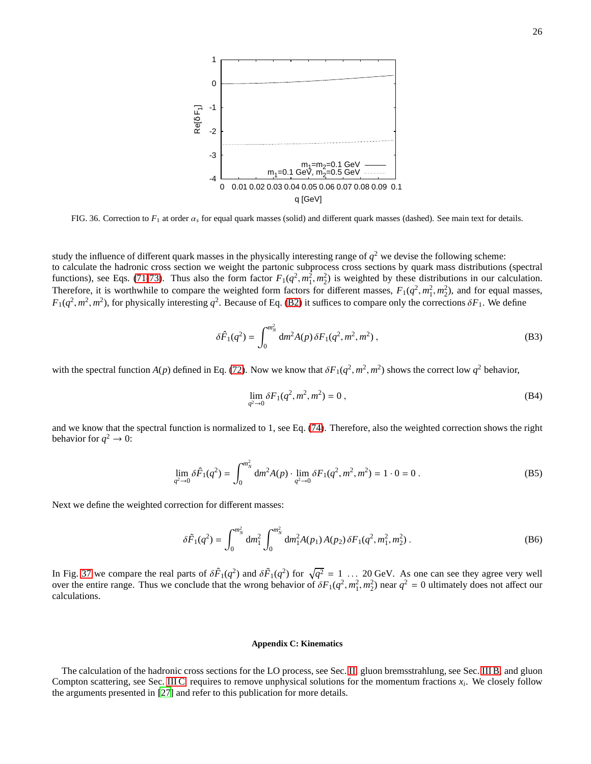

<span id="page-25-1"></span>FIG. 36. Correction to *F*<sup>1</sup> at order α*<sup>s</sup>* for equal quark masses (solid) and different quark masses (dashed). See main text for details.

study the influence of different quark masses in the physically interesting range of  $q^2$  we devise the following scheme: to calculate the hadronic cross section we weight the partonic subprocess cross sections by quark mass distributions (spectral functions), see Eqs. [\(71](#page-5-2)[-73\)](#page-6-8). Thus also the form factor  $F_1(q^2, m_1^2, m_2^2)$  is weighted by these distributions in our calculation. Therefore, it is worthwhile to compare the weighted form factors for different masses,  $F_1(q^2, m_1^2, m_2^2)$ , and for equal masses,  $F_1(q^2, m^2, m^2)$ , for physically interesting  $q^2$ . Because of Eq. [\(B2\)](#page-24-1) it suffices to compare only the corrections  $\delta F_1$ . We define

$$
\delta \hat{F}_1(q^2) = \int_0^{m_N^2} dm^2 A(p) \, \delta F_1(q^2, m^2, m^2) \,, \tag{B3}
$$

with the spectral function  $A(p)$  defined in Eq. [\(72\)](#page-5-3). Now we know that  $\delta F_1(q^2, m^2, m^2)$  shows the correct low  $q^2$  behavior,

$$
\lim_{q^2 \to 0} \delta F_1(q^2, m^2, m^2) = 0 , \tag{B4}
$$

and we know that the spectral function is normalized to 1, see Eq. [\(74\)](#page-6-9). Therefore, also the weighted correction shows the right behavior for  $q^2 \to 0$ :

$$
\lim_{q^2 \to 0} \delta \hat{F}_1(q^2) = \int_0^{m_N^2} dm^2 A(p) \cdot \lim_{q^2 \to 0} \delta F_1(q^2, m^2, m^2) = 1 \cdot 0 = 0.
$$
 (B5)

Next we define the weighted correction for different masses:

$$
\delta \tilde{F}_1(q^2) = \int_0^{m_N^2} dm_1^2 \int_0^{m_N^2} dm_1^2 A(p_1) A(p_2) \, \delta F_1(q^2, m_1^2, m_2^2) \,. \tag{B6}
$$

In Fig. [37](#page-26-1) we compare the real parts of  $\delta \hat{F}_1(q^2)$  and  $\delta \tilde{F}_1(q^2)$  for  $\sqrt{q^2} = 1$  ... 20 GeV. As one can see they agree very well over the entire range. Thus we conclude that the wrong behavior of  $\delta F_1(q^2, m_1^2, m_2^2)$  near  $q^2 = 0$  ultimately does not affect our calculations.

## <span id="page-25-0"></span>**Appendix C: Kinematics**

The calculation of the hadronic cross sections for the LO process, see Sec. [II,](#page-2-1) gluon bremsstrahlung, see Sec. [III B,](#page-10-0) and gluon Compton scattering, see Sec. [III C,](#page-10-1) requires to remove unphysical solutions for the momentum fractions *x<sup>i</sup>* . We closely follow the arguments presented in [\[27\]](#page-32-22) and refer to this publication for more details.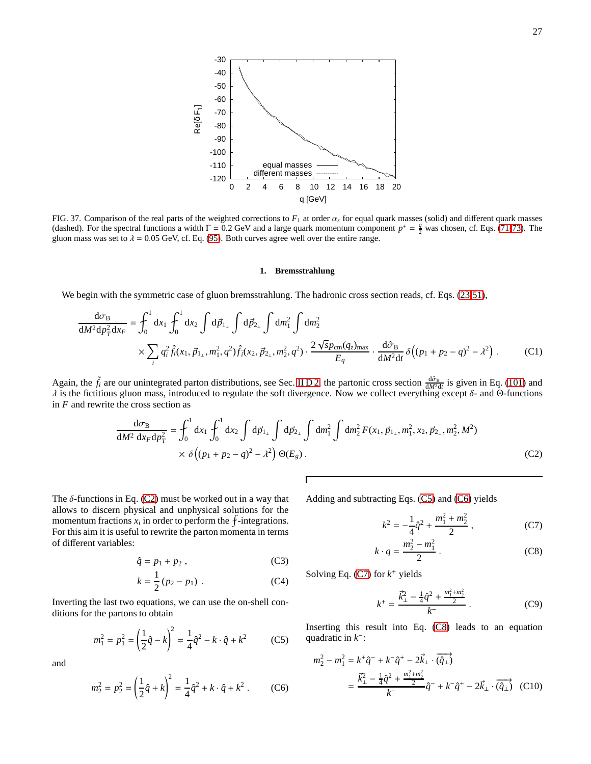

<span id="page-26-1"></span>FIG. 37. Comparison of the real parts of the weighted corrections to  $F_1$  at order  $\alpha_s$  for equal quark masses (solid) and different quark masses (dashed). For the spectral functions a width  $\Gamma = 0.2$  GeV and a large quark momentum component  $p^+ = \frac{q}{2}$  was chosen, cf. Eqs. [\(71-](#page-5-2)[73\)](#page-6-8). The gluon mass was set to  $\lambda = 0.05$  GeV, cf. Eq. [\(95\)](#page-9-1). Both curves agree well over the entire range.

## <span id="page-26-0"></span>**1. Bremsstrahlung**

We begin with the symmetric case of gluon bremsstrahlung. The hadronic cross section reads, cf. Eqs. [\(23](#page-2-5)[,51\)](#page-4-2),

$$
\frac{d\sigma_B}{dM^2 dp_T^2 dx_F} = \int_0^1 dx_1 \int_0^1 dx_2 \int d\vec{p}_{1\perp} \int d\vec{p}_{2\perp} \int dm_1^2 \int dm_2^2
$$
\n
$$
\times \sum_i q_i^2 \hat{f}_i(x_1, \vec{p}_{1\perp}, m_1^2, q^2) \hat{f}_i(x_2, \vec{p}_{2\perp}, m_2^2, q^2) \cdot \frac{2 \sqrt{s} p_{\text{cm}} (q_z)_{\text{max}}}{E_q} \cdot \frac{d\hat{\sigma}_B}{dM^2 dt} \delta((p_1 + p_2 - q)^2 - \lambda^2) \ . \tag{C1}
$$

Again, the  $\tilde{f}_i$  are our unintegrated parton distributions, see Sec. IID 2, the partonic cross section  $\frac{d\hat{\sigma}_B}{dM^2dt}$  is given in Eq. [\(101\)](#page-10-6) and λ is the fictitious gluon mass, introduced to regulate the soft divergence. Now we collect everything except δ- and Θ-functions in *F* and rewrite the cross section as

Г

$$
\frac{d\sigma_B}{dM^2 dx_F dp_T^2} = \int_0^1 dx_1 \int_0^1 dx_2 \int d\vec{p}_{1\perp} \int d\vec{p}_{2\perp} \int dm_1^2 \int dm_2^2 F(x_1, \vec{p}_{1\perp}, m_1^2, x_2, \vec{p}_{2\perp}, m_2^2, M^2) \times \delta((p_1 + p_2 - q)^2 - \lambda^2) \Theta(E_g).
$$
\n(C2)

The  $\delta$ -functions in Eq. [\(C2\)](#page-26-2) must be worked out in a way that allows to discern physical and unphysical solutions for the momentum fractions  $x_i$  in order to perform the  $f$ -integrations. For this aim it is useful to rewrite the parton momenta in terms of different variables:

$$
\hat{q} = p_1 + p_2, \qquad (C3)
$$

<span id="page-26-3"></span>
$$
k = \frac{1}{2} (p_2 - p_1) . \tag{C4}
$$

Inverting the last two equations, we can use the on-shell conditions for the partons to obtain

$$
m_1^2 = p_1^2 = \left(\frac{1}{2}\hat{q} - k\right)^2 = \frac{1}{4}\hat{q}^2 - k \cdot \hat{q} + k^2 \tag{C5}
$$

<span id="page-26-4"></span>and

$$
m_2^2 = p_2^2 = \left(\frac{1}{2}\hat{q} + k\right)^2 = \frac{1}{4}\hat{q}^2 + k \cdot \hat{q} + k^2 \ . \tag{C6}
$$

Adding and subtracting Eqs. [\(C5\)](#page-26-3) and [\(C6\)](#page-26-4) yields

<span id="page-26-9"></span><span id="page-26-6"></span><span id="page-26-5"></span><span id="page-26-2"></span>
$$
k^2 = -\frac{1}{4}\hat{q}^2 + \frac{m_1^2 + m_2^2}{2} \,,\tag{C7}
$$

$$
k \cdot q = \frac{m_2^2 - m_1^2}{2} \,. \tag{C8}
$$

<span id="page-26-8"></span>Solving Eq.  $(C7)$  for  $k^+$  yields

<span id="page-26-7"></span>
$$
k^{+} = \frac{\vec{k}_{\perp}^{2} - \frac{1}{4}\hat{q}^{2} + \frac{m_{1}^{2} + m_{2}^{2}}{2}}{k^{-}}.
$$
 (C9)

Inserting this result into Eq. [\(C8\)](#page-26-6) leads to an equation quadratic in *k*<sup>−</sup>:

$$
m_2^2 - m_1^2 = k^+ \hat{q}^- + k^- \hat{q}^+ - 2\vec{k}_\perp \cdot (\hat{q}_\perp)
$$
  
= 
$$
\frac{\vec{k}_\perp^2 - \frac{1}{4} \hat{q}^2 + \frac{m_1^2 + m_2^2}{2}}{k^-} \hat{q}^- + k^- \hat{q}^+ - 2\vec{k}_\perp \cdot (\hat{q}_\perp)
$$
 (C10)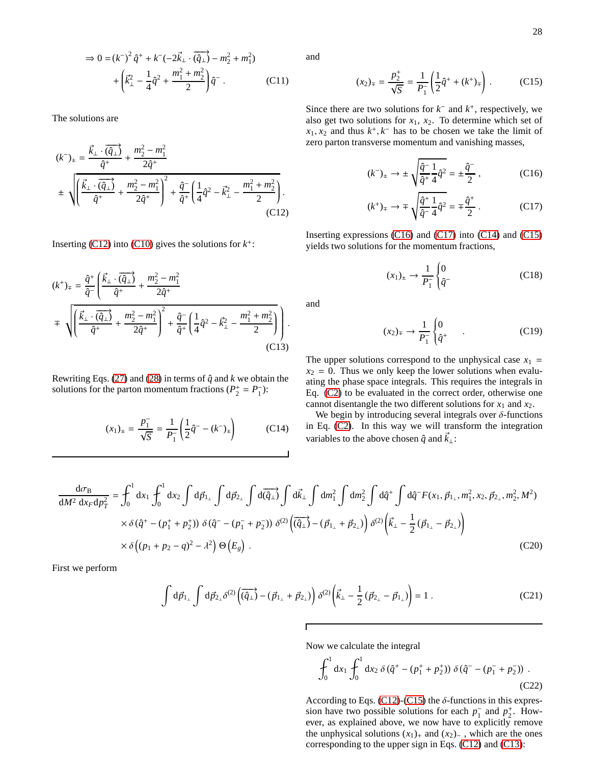$$
\Rightarrow 0 = (k^{-})^2 \hat{q}^+ + k^-(-2\vec{k}_{\perp} \cdot \overline{(\hat{q}_{\perp})} - m_2^2 + m_1^2) + \left(\vec{k}_{\perp}^2 - \frac{1}{4}\hat{q}^2 + \frac{m_1^2 + m_2^2}{2}\right)\hat{q}^-.
$$
 (C11)

The solutions are

$$
(k^{-})_{\pm} = \frac{\vec{k}_{\perp} \cdot (\overrightarrow{\hat{q}_{\perp}})}{\hat{q}^{+}} + \frac{m_{2}^{2} - m_{1}^{2}}{2\hat{q}^{+}}
$$
  

$$
\pm \sqrt{\left(\frac{\vec{k}_{\perp} \cdot (\overrightarrow{\hat{q}_{\perp}})}{\hat{q}^{+}} + \frac{m_{2}^{2} - m_{1}^{2}}{2\hat{q}^{+}}\right)^{2} + \frac{\hat{q}^{-}}{\hat{q}^{+}} \left(\frac{1}{4}\hat{q}^{2} - \vec{k}_{\perp}^{2} - \frac{m_{1}^{2} + m_{2}^{2}}{2}\right). \tag{C12}}
$$

Inserting  $(C12)$  into  $(C10)$  gives the solutions for  $k^+$ :

$$
(k^{+})_{\mp} = \frac{\hat{q}^{+}}{\hat{q}^{-}} \left( \frac{\vec{k}_{\perp} \cdot (\hat{q}_{\perp})}{\hat{q}^{+}} + \frac{m_{2}^{2} - m_{1}^{2}}{2\hat{q}^{+}} \right)
$$
  

$$
\mp \sqrt{\left( \frac{\vec{k}_{\perp} \cdot (\overline{q_{\perp}})}{\hat{q}^{+}} + \frac{m_{2}^{2} - m_{1}^{2}}{2\hat{q}^{+}} \right)^{2} + \frac{\hat{q}^{-}}{\hat{q}^{+}} \left( \frac{1}{4}\hat{q}^{2} - \vec{k}_{\perp}^{2} - \frac{m_{1}^{2} + m_{2}^{2}}{2} \right) }.
$$
(C13)

Rewriting Eqs. [\(27\)](#page-2-10) and [\(28\)](#page-2-11) in terms of  $\hat{q}$  and  $k$  we obtain the solutions for the parton momentum fractions ( $P_2^+ = P_1^-$ ):

$$
(x_1)_\pm = \frac{p_1^-}{\sqrt{S}} = \frac{1}{P_1^-} \left( \frac{1}{2} \hat{q}^- - (k^-)_\pm \right) \tag{C14}
$$

and

<span id="page-27-4"></span>
$$
(x_2)_\mp = \frac{p_2^+}{\sqrt{S}} = \frac{1}{P_1^-} \left( \frac{1}{2} \hat{q}^+ + (k^+)_\mp \right) . \tag{C15}
$$

Since there are two solutions for  $k^-$  and  $k^+$ , respectively, we also get two solutions for  $x_1$ ,  $x_2$ . To determine which set of  $x_1, x_2$  and thus  $k^+, k^-$  has to be chosen we take the limit of zero parton transverse momentum and vanishing masses,

<span id="page-27-1"></span>
$$
(k^{-})_{\pm} \to \pm \sqrt{\frac{\hat{q}^{-}1}{\hat{q}^{+}} \frac{1}{4} \hat{q}^{2}} = \pm \frac{\hat{q}^{-}}{2}, \qquad (C16)
$$

$$
(k^{+})_{\mp} \rightarrow \mp \sqrt{\frac{\hat{q}^{+}}{\hat{q}^{-}} \frac{1}{4} \hat{q}^{2}} = \mp \frac{\hat{q}^{+}}{2} .
$$
 (C17)

<span id="page-27-0"></span>Inserting expressions [\(C16\)](#page-27-1) and [\(C17\)](#page-27-2) into [\(C14\)](#page-27-3) and [\(C15\)](#page-27-4) yields two solutions for the momentum fractions,

<span id="page-27-2"></span>
$$
(x_1)_\pm \to \frac{1}{P_1^-} \begin{cases} 0 & (C18) \\ \hat{q}^- \end{cases}
$$

<span id="page-27-7"></span>and

$$
(x_2)_\mp \to \frac{1}{P_1^-} \begin{cases} 0 & (C19) \\ \hat{q}^+ \end{cases}
$$

<span id="page-27-5"></span>The upper solutions correspond to the unphysical case  $x_1$  =  $x_2 = 0$ . Thus we only keep the lower solutions when evaluating the phase space integrals. This requires the integrals in Eq. [\(C2\)](#page-26-2) to be evaluated in the correct order, otherwise one cannot disentangle the two different solutions for  $x_1$  and  $x_2$ .

<span id="page-27-3"></span>We begin by introducing several integrals over  $\delta$ -functions in Eq. [\(C2\)](#page-26-2). In this way we will transform the integration variables to the above chosen  $\hat{q}$  and  $\vec{k}_{\perp}$ :

$$
\frac{d\sigma_B}{dM^2 dx_F dp_T^2} = \int_0^1 dx_1 \int_0^1 dx_2 \int d\vec{p}_{1\perp} \int d\vec{p}_{2\perp} \int d\vec{q}_{2\perp} \int d\vec{k}_{\perp} \int dm_1^2 \int dm_2^2 \int d\hat{q}^+ \int d\hat{q}^- F(x_1, \vec{p}_{1\perp}, m_1^2, x_2, \vec{p}_{2\perp}, m_2^2, M^2)
$$
  
\n
$$
\times \delta(\hat{q}^+ - (p_1^+ + p_2^+)) \delta(\hat{q}^- - (p_1^- + p_2^-)) \delta^{(2)} (\vec{q}_{\perp}) - (\vec{p}_{1\perp} + \vec{p}_{2\perp}) \delta^{(2)} (\vec{k}_{\perp} - \frac{1}{2} (\vec{p}_{1\perp} - \vec{p}_{2\perp}) )
$$
  
\n
$$
\times \delta((p_1 + p_2 - q)^2 - \lambda^2) \Theta(E_g).
$$
 (C20)

First we perform

<span id="page-27-8"></span>
$$
\int d\vec{p}_{1_{\perp}} \int d\vec{p}_{2_{\perp}} \delta^{(2)} \left( \overrightarrow{(\hat{q}_{\perp})} - (\vec{p}_{1_{\perp}} + \vec{p}_{2_{\perp}}) \right) \delta^{(2)} \left( \vec{k}_{\perp} - \frac{1}{2} (\vec{p}_{2_{\perp}} - \vec{p}_{1_{\perp}}) \right) = 1 . \tag{C21}
$$

Now we calculate the integral

<span id="page-27-6"></span>
$$
\int_0^1 dx_1 \int_0^1 dx_2 \, \delta(\hat{q}^+ - (p_1^+ + p_2^+)) \, \delta(\hat{q}^- - (p_1^- + p_2^-)) \, .
$$
\n(C22)

According to Eqs. [\(C12\)](#page-27-0)-[\(C15\)](#page-27-4) the  $\delta$ -functions in this expression have two possible solutions for each  $p_1^-$  and  $p_2^+$ . However, as explained above, we now have to explicitly remove the unphysical solutions  $(x_1)_+$  and  $(x_2)_-$ , which are the ones corresponding to the upper sign in Eqs. [\(C12\)](#page-27-0) and [\(C13\)](#page-27-5):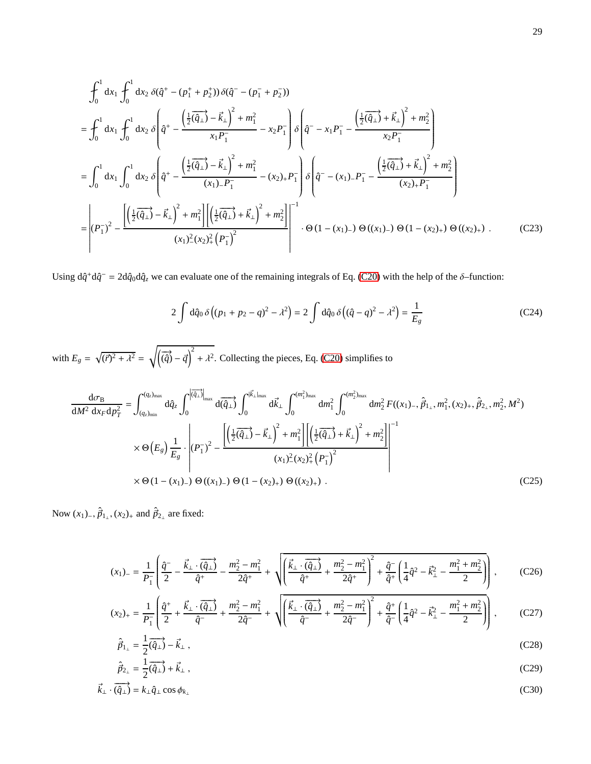$$
\int_{0}^{1} dx_{1} \int_{0}^{1} dx_{2} \delta(\hat{q}^{+} - (p_{1}^{+} + p_{2}^{+})) \delta(\hat{q}^{-} - (p_{1}^{-} + p_{2}^{-}))
$$
\n
$$
= \int_{0}^{1} dx_{1} \int_{0}^{1} dx_{2} \delta\left(\hat{q}^{+} - \frac{\left(\frac{1}{2}(\hat{q}_{\perp}) - \vec{k}_{\perp}\right)^{2} + m_{1}^{2}}{x_{1}P_{1}^{-}} - x_{2}P_{1}^{-}\right) \delta\left(\hat{q}^{-} - x_{1}P_{1}^{-} - \frac{\left(\frac{1}{2}(\hat{q}_{\perp}) + \vec{k}_{\perp}\right)^{2} + m_{2}^{2}}{x_{2}P_{1}^{-}}\right)
$$
\n
$$
= \int_{0}^{1} dx_{1} \int_{0}^{1} dx_{2} \delta\left(\hat{q}^{+} - \frac{\left(\frac{1}{2}(\hat{q}_{\perp}) - \vec{k}_{\perp}\right)^{2} + m_{1}^{2}}{(x_{1}) - P_{1}^{-}} - (x_{2})_{+}P_{1}^{-}\right) \delta\left(\hat{q}^{-} - (x_{1}) - P_{1}^{-} - \frac{\left(\frac{1}{2}(\hat{q}_{\perp}) + \vec{k}_{\perp}\right)^{2} + m_{2}^{2}}{(x_{2}) + P_{1}^{-}}\right)
$$
\n
$$
= \left| (P_{1}^{-})^{2} - \frac{\left[\left(\frac{1}{2}(\hat{q}_{\perp}) - \vec{k}_{\perp}\right)^{2} + m_{1}^{2}\right] \left[\left(\frac{1}{2}(\hat{q}_{\perp}) + \vec{k}_{\perp}\right)^{2} + m_{2}^{2}\right]}{(x_{1})_{-}^{2}(x_{2})_{+}^{2}\left(P_{1}^{-}\right)^{2}}\right]^{-1} \cdot \Theta(1 - (x_{1})_{-}) \Theta((x_{1})_{-}) \Theta(1 - (x_{2})_{+}) \Theta((x_{2})_{+}) . \tag{C23}
$$

Using  $d\hat{q}^+d\hat{q}^- = 2d\hat{q}_0d\hat{q}_z$  we can evaluate one of the remaining integrals of Eq. [\(C20\)](#page-27-6) with the help of the  $\delta$ -function:

<span id="page-28-0"></span>
$$
2\int d\hat{q}_0 \,\delta\left((p_1 + p_2 - q)^2 - \lambda^2\right) = 2\int d\hat{q}_0 \,\delta\left((\hat{q} - q)^2 - \lambda^2\right) = \frac{1}{E_g}
$$
\n(C24)

with  $E_g = \sqrt{(\vec{r})^2 + \lambda^2} = \sqrt{(\vec{q})^2 - \vec{q}}^2 + \lambda^2$ . Collecting the pieces, Eq. [\(C20\)](#page-27-6) simplifies to

$$
\frac{d\sigma_{B}}{dM^{2} dx_{F} dp_{T}^{2}} = \int_{(q_{z})_{\text{min}}}^{(q_{z})_{\text{max}}} d\hat{q}_{z} \int_{0}^{|\vec{q}_{\perp}|_{\text{max}}} d\vec{q}_{\perp} \int_{0}^{|\vec{k}_{\perp}|_{\text{max}}} d\vec{k}_{\perp} \int_{0}^{(m_{1}^{2})_{\text{max}}} dm_{1}^{2} \int_{0}^{(m_{2}^{2})_{\text{max}}} dm_{2}^{2} F((x_{1})_{-}, \hat{p}_{1_{\perp}}, m_{1}^{2}, (x_{2})_{+}, \hat{p}_{2_{\perp}}, m_{2}^{2}, M^{2})
$$
\n
$$
\times \Theta(E_{g}) \frac{1}{E_{g}} \cdot \left| (P_{1}^{-})^{2} - \frac{\left[ \left( \frac{1}{2} (\hat{q}_{\perp}) - \vec{k}_{\perp} \right)^{2} + m_{1}^{2} \right] \left[ \left( \frac{1}{2} (\hat{q}_{\perp}) + \vec{k}_{\perp} \right)^{2} + m_{2}^{2} \right]}{(x_{1})^{2} (x_{2})_{+}^{2} (P_{1}^{-})^{2}} \right|^{-1}
$$
\n
$$
\times \Theta(1 - (x_{1})_{-}) \Theta((x_{1})_{-}) \Theta(1 - (x_{2})_{+}) \Theta((x_{2})_{+}) . \tag{C25}
$$

Now  $(x_1)$ <sub>−</sub>,  $\hat{p}_{1_\perp}$ ,  $(x_2)$ <sub>+</sub> and  $\hat{p}_{2_\perp}$  are fixed:

$$
(x_1)_{-} = \frac{1}{P_1} \left( \frac{\hat{q}^-}{2} - \frac{\vec{k}_{\perp} \cdot (\overrightarrow{\hat{q}_{\perp}})}{\hat{q}^+} - \frac{m_2^2 - m_1^2}{2\hat{q}^+} + \sqrt{\left( \frac{\vec{k}_{\perp} \cdot (\overrightarrow{\hat{q}_{\perp}})}{\hat{q}^+} + \frac{m_2^2 - m_1^2}{2\hat{q}^+} \right)^2 + \frac{\hat{q}^-}{\hat{q}^+} \left( \frac{1}{4} \hat{q}^2 - \vec{k}_{\perp}^2 - \frac{m_1^2 + m_2^2}{2} \right)} \right), \qquad (C26)
$$

$$
(x_2)_+ = \frac{1}{P_1^-} \left( \frac{\hat{q}^+}{2} + \frac{\vec{k}_\perp \cdot (\overrightarrow{\hat{q}_\perp})}{\hat{q}^-} + \frac{m_2^2 - m_1^2}{2\hat{q}^-} + \sqrt{\left( \frac{\vec{k}_\perp \cdot (\overrightarrow{\hat{q}_\perp})}{\hat{q}^-} + \frac{m_2^2 - m_1^2}{2\hat{q}^-} \right)^2 + \frac{\hat{q}^+}{\hat{q}^-} \left( \frac{1}{4}\hat{q}^2 - \vec{k}_\perp^2 - \frac{m_1^2 + m_2^2}{2} \right)} \right),
$$
 (C27)

$$
\hat{\vec{p}}_{1_{\perp}} = \frac{1}{2}(\overrightarrow{\hat{q}_{\perp}}) - \vec{k}_{\perp} \,,\tag{C28}
$$

$$
\hat{\vec{p}}_{2_{\perp}} = \frac{1}{2}(\hat{\vec{q}}_{\perp}) + \vec{k}_{\perp} \,, \tag{C29}
$$

$$
\vec{k}_{\perp} \cdot (\overrightarrow{\hat{q}_{\perp}}) = k_{\perp} \hat{q}_{\perp} \cos \phi_{k_{\perp}}
$$
\n(C30)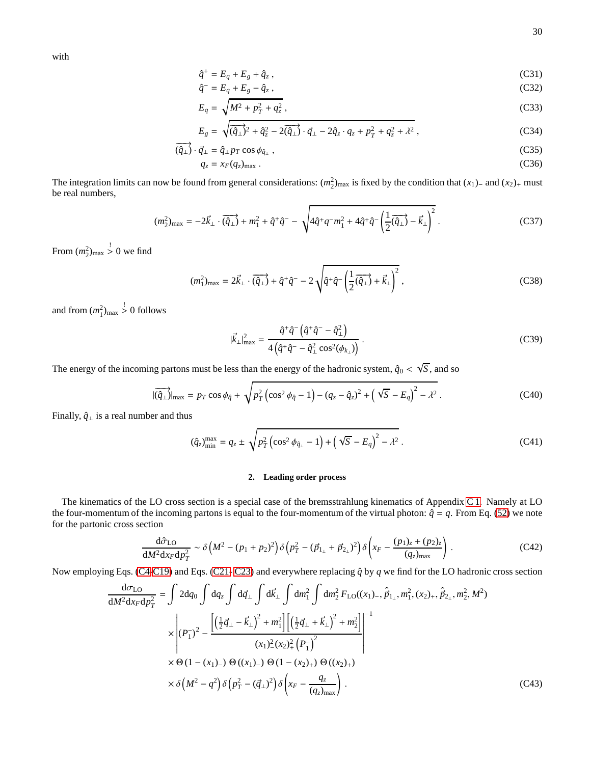with

$$
\hat{q}^+ = E_q + E_g + \hat{q}_z \,,\tag{C31}
$$

$$
\hat{q}^- = E_q + E_g - \hat{q}_z, \tag{C32}
$$

$$
E_q = \sqrt{M^2 + p_T^2 + q_z^2},
$$
 (C33)

$$
E_g = \sqrt{(\hat{q}_\perp)^2 + \hat{q}_z^2 - 2(\hat{q}_\perp) \cdot \vec{q}_\perp - 2\hat{q}_z \cdot q_z + p_T^2 + q_z^2 + \lambda^2} \,, \tag{C34}
$$

$$
\overrightarrow{\left(\hat{q}_{\perp}\right)} \cdot \vec{q}_{\perp} = \hat{q}_{\perp} p_T \cos \phi_{\hat{q}_{\perp}},\tag{C35}
$$

$$
q_z = x_F(q_z)_{\text{max}} \tag{C36}
$$

The integration limits can now be found from general considerations:  $(m_2^2)_{\text{max}}$  is fixed by the condition that  $(x_1)$ – and  $(x_2)$ <sub>+</sub> must be real numbers,

$$
(m_2^2)_{\text{max}} = -2\vec{k}_\perp \cdot (\vec{q}_\perp) + m_1^2 + \hat{q}^+ \hat{q}^- - \sqrt{4\hat{q}^+ q^- m_1^2 + 4\hat{q}^+ \hat{q}^- \left(\frac{1}{2}(\vec{q}_\perp) - \vec{k}_\perp\right)^2} \,. \tag{C37}
$$

From  $(m_2^2)_{\text{max}} > 0$  we find

$$
(m_1^2)_{\text{max}} = 2\vec{k}_\perp \cdot \overrightarrow{(q_\perp)} + \hat{q}^+ \hat{q}^- - 2\sqrt{\hat{q}^+ \hat{q}^- \left(\frac{1}{2}(\overrightarrow{q_\perp}) + \vec{k}_\perp\right)^2} \,,\tag{C38}
$$

and from  $(m_1^2)_{\text{max}} > 0$  follows

<span id="page-29-2"></span><span id="page-29-1"></span>
$$
|\vec{k}_{\perp}|_{\text{max}}^2 = \frac{\hat{q}^+ \hat{q}^- \left(\hat{q}^+ \hat{q}^- - \hat{q}_{\perp}^2\right)}{4\left(\hat{q}^+ \hat{q}^- - \hat{q}_{\perp}^2 \cos^2(\phi_{k_{\perp}})\right)}.
$$
\n(C39)

The energy of the incoming partons must be less than the energy of the hadronic system,  $\hat{q}_0 < \sqrt{S}$ , and so

$$
|\overrightarrow{(q_{\perp})}|_{\text{max}} = p_T \cos \phi_{\hat{q}} + \sqrt{p_T^2 \left(\cos^2 \phi_{\hat{q}} - 1\right) - (q_z - \hat{q}_z)^2 + \left(\sqrt{S} - E_q\right)^2 - \lambda^2}.
$$
 (C40)

Finally,  $\hat{q}_{\perp}$  is a real number and thus

$$
(\hat{q}_z)_{\min}^{\max} = q_z \pm \sqrt{p_T^2 \left(\cos^2 \phi_{\hat{q}_\perp} - 1\right) + \left(\sqrt{S} - E_q\right)^2 - \lambda^2} \,. \tag{C41}
$$

# <span id="page-29-0"></span>**2. Leading order process**

The kinematics of the LO cross section is a special case of the bremsstrahlung kinematics of Appendix [C 1.](#page-26-0) Namely at LO the four-momentum of the incoming partons is equal to the four-momentum of the virtual photon:  $\hat{q} = q$ . From Eq. [\(52\)](#page-4-3) we note for the partonic cross section

$$
\frac{d\hat{\sigma}_{LO}}{dM^2dx_Fdp_T^2} \sim \delta\left(M^2 - (p_1 + p_2)^2\right)\delta\left(p_T^2 - (\vec{p}_{1_\perp} + \vec{p}_{2_\perp})^2\right)\delta\left(x_F - \frac{(p_1)_z + (p_2)_z}{(q_z)_{\text{max}}}\right) \,. \tag{C42}
$$

Now employing Eqs. [\(C4-](#page-26-8)[C19\)](#page-27-7) and Eqs. [\(C21-](#page-27-8) [C23\)](#page-28-0) and everywhere replacing  $\hat{q}$  by  $q$  we find for the LO hadronic cross section

$$
\frac{d\sigma_{LO}}{dM^2dx_Fdp_T^2} = \int 2dq_0 \int dq_z \int dq_{\perp} \int d\vec{k}_{\perp} \int dm_1^2 \int dm_2^2 F_{LO}((x_1)_{-}, \hat{p}_{1_{\perp}}, m_1^2, (x_2)_{+}, \hat{p}_{2_{\perp}}, m_2^2, M^2)
$$
\n
$$
\times \left| (P_1^{\perp})^2 - \frac{\left[ \left( \frac{1}{2}\vec{q}_{\perp} - \vec{k}_{\perp} \right)^2 + m_1^2 \right] \left[ \left( \frac{1}{2}\vec{q}_{\perp} + \vec{k}_{\perp} \right)^2 + m_2^2 \right]}{(x_1)^2 (x_2)^2 (P_1^{\perp})^2} \right|^{-1}
$$
\n
$$
\times \Theta (1 - (x_1)_{-}) \Theta ((x_1)_{-}) \Theta (1 - (x_2)_{+}) \Theta ((x_2)_{+})
$$
\n
$$
\times \delta (M^2 - q^2) \delta (p_T^2 - (\vec{q}_{\perp})^2) \delta \left( x_F - \frac{q_z}{(q_z)_{max}} \right).
$$
\n(C43)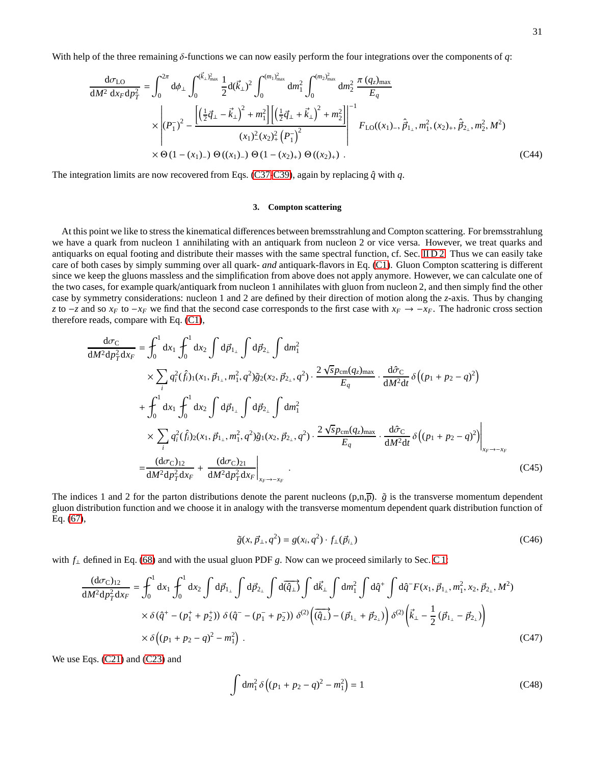With help of the three remaining δ-functions we can now easily perform the four integrations over the components of *q*:

$$
\frac{d\sigma_{LO}}{dM^2 dx_F dp_T^2} = \int_0^{2\pi} d\phi_\perp \int_0^{(\vec{k}_\perp)_{\text{max}}^2} \frac{1}{2} d(\vec{k}_\perp)^2 \int_0^{(m_1)_{\text{max}}^2} dm_1^2 \int_0^{(m_2)_{\text{max}}^2} dm_2^2 \frac{\pi (q_z)_{\text{max}}}{E_q}
$$
\n
$$
\times \left| (P_1^-)^2 - \frac{\left[ \left(\frac{1}{2}\vec{q}_\perp - \vec{k}_\perp\right)^2 + m_1^2 \right] \left[ \left(\frac{1}{2}\vec{q}_\perp + \vec{k}_\perp\right)^2 + m_2^2 \right]}{(x_1)^2 (x_2)^2 + (P_1^-)^2} \right|^{-1} F_{LO}((x_1)_{-}, \hat{p}_1, m_1^2, (x_2)_+, \hat{p}_2, m_2^2, M^2)
$$
\n
$$
\times \Theta (1 - (x_1)_{-}) \Theta ((x_1)_{-}) \Theta (1 - (x_2)_+) \Theta ((x_2)_+).
$$
\n(C44)

The integration limits are now recovered from Eqs. [\(C37](#page-29-1)[-C39\)](#page-29-2), again by replacing  $\hat{q}$  with *q*.

## <span id="page-30-0"></span>**3. Compton scattering**

At this point we like to stress the kinematical differences between bremsstrahlung and Compton scattering. For bremsstrahlung we have a quark from nucleon 1 annihilating with an antiquark from nucleon 2 or vice versa. However, we treat quarks and antiquarks on equal footing and distribute their masses with the same spectral function, cf. Sec. [II D 2.](#page-5-4) Thus we can easily take care of both cases by simply summing over all quark- *and* antiquark-flavors in Eq. [\(C1\)](#page-26-9). Gluon Compton scattering is different since we keep the gluons massless and the simplification from above does not apply anymore. However, we can calculate one of the two cases, for example quark/antiquark from nucleon 1 annihilates with gluon from nucleon 2, and then simply find the other case by symmetry considerations: nucleon 1 and 2 are defined by their direction of motion along the *z*-axis. Thus by changing *z* to −*z* and so *x<sub>F</sub>* to −*x<sub>F</sub>* we find that the second case corresponds to the first case with  $x_F \to -x_F$ . The hadronic cross section therefore reads, compare with Eq. [\(C1\)](#page-26-9),

$$
\frac{d\sigma_{C}}{dM^{2}dp_{T}^{2}dx_{F}} = \int_{0}^{1} dx_{1} \int_{0}^{1} dx_{2} \int d\vec{p}_{1_{\perp}} \int d\vec{p}_{2_{\perp}} \int dm_{1}^{2} \times \sum_{i} q_{i}^{2}(\hat{f}_{i})_{1}(x_{1}, \vec{p}_{1_{\perp}}, m_{1}^{2}, q^{2}) \tilde{g}_{2}(x_{2}, \vec{p}_{2_{\perp}}, q^{2}) \cdot \frac{2\sqrt{5}p_{cm}(q_{z})_{\text{max}}}{E_{q}} \cdot \frac{d\hat{\sigma}_{C}}{dM^{2}dt} \delta((p_{1} + p_{2} - q)^{2}) \n+ \int_{0}^{1} dx_{1} \int_{0}^{1} dx_{2} \int d\vec{p}_{1_{\perp}} \int d\vec{p}_{2_{\perp}} \int dm_{1}^{2} \times \sum_{i} q_{i}^{2}(\hat{f}_{i})_{2}(x_{1}, \vec{p}_{1_{\perp}}, m_{1}^{2}, q^{2}) \tilde{g}_{1}(x_{2}, \vec{p}_{2_{\perp}}, q^{2}) \cdot \frac{2\sqrt{5}p_{cm}(q_{z})_{\text{max}}}{E_{q}} \cdot \frac{d\hat{\sigma}_{C}}{dM^{2}dt} \delta((p_{1} + p_{2} - q)^{2}) \Big|_{x_{F} \to -x_{F}} \n= \frac{(d\sigma_{C})_{12}}{dM^{2}dp_{T}^{2}dx_{F}} + \frac{(d\sigma_{C})_{21}}{dM^{2}dp_{T}^{2}dx_{F}} \Big|_{x_{F} \to -x_{F}}.
$$
\n(C45)

The indices 1 and 2 for the parton distributions denote the parent nucleons  $(p,n,\overline{p})$ .  $\tilde{g}$  is the transverse momentum dependent gluon distribution function and we choose it in analogy with the transverse momentum dependent quark distribution function of Eq. [\(67\)](#page-5-5),

$$
\tilde{g}(x, \vec{p}_{\perp}, q^2) = g(x_i, q^2) \cdot f_{\perp}(\vec{p}_{i_{\perp}})
$$
\n(C46)

with *f*<sup>⊥</sup> defined in Eq. [\(68\)](#page-5-6) and with the usual gluon PDF *g*. Now can we proceed similarly to Sec. [C 1:](#page-26-0)

$$
\frac{(\mathrm{d}\sigma_{\mathrm{C}})_{12}}{\mathrm{d}M^{2}\mathrm{d}\rho_{T}^{2}\mathrm{d}x_{F}} = \int_{0}^{1} \mathrm{d}x_{1} \int_{0}^{1} \mathrm{d}x_{2} \int d\vec{p}_{1_{\perp}} \int d\vec{p}_{2_{\perp}} \int d\vec{q}_{\perp} \int d\vec{q}_{\perp} \int d\vec{n}_{1} \int d\hat{q}^{+} \int d\hat{q}^{-} F(x_{1}, \vec{p}_{1_{\perp}}, m_{1}^{2}, x_{2}, \vec{p}_{2_{\perp}}, M^{2})
$$

$$
\times \delta(\hat{q}^{+} - (p_{1}^{+} + p_{2}^{+})) \delta(\hat{q}^{-} - (p_{1}^{-} + p_{2}^{-})) \delta^{(2)} (\overrightarrow{(\hat{q}_{\perp})} - (\vec{p}_{1_{\perp}} + \vec{p}_{2_{\perp}})) \delta^{(2)} (\vec{k}_{\perp} - \frac{1}{2} (\vec{p}_{1_{\perp}} - \vec{p}_{2_{\perp}}))
$$

$$
\times \delta((p_{1} + p_{2} - q)^{2} - m_{1}^{2}). \tag{C47}
$$

We use Eqs. [\(C21\)](#page-27-8) and [\(C23\)](#page-28-0) and

$$
\int dm_1^2 \delta \left( (p_1 + p_2 - q)^2 - m_1^2 \right) = 1
$$
\n(C48)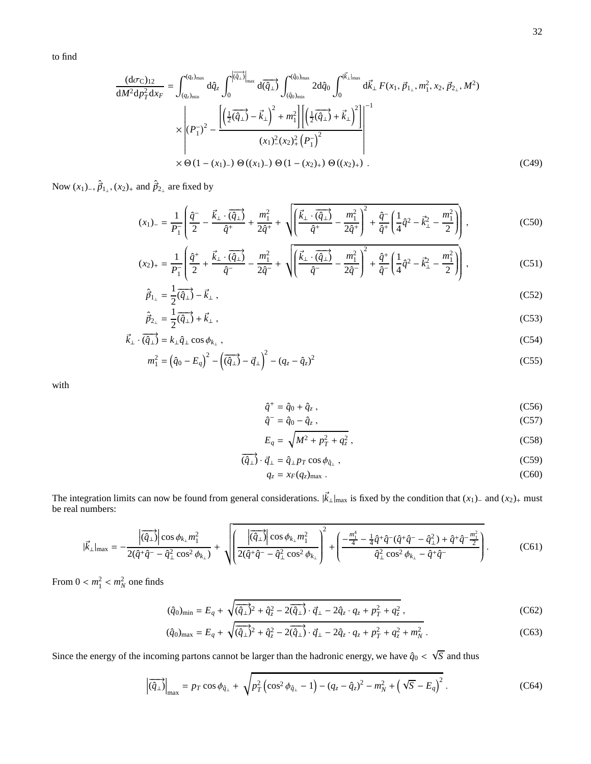to find

$$
\frac{(\mathrm{d}\sigma_{\mathrm{C}})_{12}}{\mathrm{d}M^{2}\mathrm{d}p_{T}^{2}\mathrm{d}x_{F}} = \int_{(q_{z})_{\min}}^{(q_{z})_{\max}} \mathrm{d}\hat{q}_{z} \int_{0}^{|\overline{q}_{\perp}\rangle} \frac{\mathrm{d}\overline{q}}{\mathrm{d}(\hat{q}_{\perp})} \int_{(\hat{q}_{0})_{\min}}^{(\hat{q}_{0})_{\max}} 2\mathrm{d}\hat{q}_{0} \int_{0}^{|\overrightarrow{k}_{\perp}|_{\max}} \mathrm{d}\overrightarrow{k}_{\perp} F(x_{1}, \vec{p}_{1_{\perp}}, m_{1}^{2}, x_{2}, \vec{p}_{2_{\perp}}, M^{2})
$$

$$
\times \left| (P_{1}^{-})^{2} - \frac{\left[ \left(\frac{1}{2}(\overrightarrow{q}_{\perp}) - \overrightarrow{k}_{\perp} \right)^{2} + m_{1}^{2} \right] \left[ \left(\frac{1}{2}(\overrightarrow{q}_{\perp}) + \overrightarrow{k}_{\perp} \right)^{2} \right] \right|^{-1}}{(x_{1})^{2} (x_{2})_{+}^{2} (P_{1}^{-})^{2}}
$$

$$
\times \Theta (1 - (x_{1})_{-}) \Theta ((x_{1})_{-}) \Theta (1 - (x_{2})_{+}) \Theta ((x_{2})_{+}) . \tag{C49}
$$

Now  $(x_1)$ <sub>−</sub>,  $\hat{p}_{1_\perp}$ ,  $(x_2)$ <sub>+</sub> and  $\hat{p}_{2_\perp}$  are fixed by

$$
(x_1)_{-} = \frac{1}{P_1} \left( \frac{\hat{q}^{-}}{2} - \frac{\vec{k}_{\perp} \cdot (\overrightarrow{q_{\perp}})}{\hat{q}^{+}} + \frac{m_1^2}{2\hat{q}^{+}} + \sqrt{\left( \frac{\vec{k}_{\perp} \cdot (\overrightarrow{q_{\perp}})}{\hat{q}^{+}} - \frac{m_1^2}{2\hat{q}^{+}} \right)^2 + \frac{\hat{q}^{-}}{\hat{q}^{+}} \left( \frac{1}{4} \hat{q}^{2} - \vec{k}_{\perp}^2 - \frac{m_1^2}{2} \right)} \right),
$$
 (C50)

$$
(x_2)_+ = \frac{1}{P_1} \left( \frac{\hat{q}^+}{2} + \frac{\vec{k}_\perp \cdot (\overrightarrow{\hat{q}_\perp})}{\hat{q}^-} - \frac{m_1^2}{2\hat{q}^-} + \sqrt{\left( \frac{\vec{k}_\perp \cdot (\overrightarrow{\hat{q}_\perp})}{\hat{q}^-} - \frac{m_1^2}{2\hat{q}^-} \right)^2 + \frac{\hat{q}^+}{\hat{q}^-} \left( \frac{1}{4} \hat{q}^2 - \vec{k}_\perp^2 - \frac{m_1^2}{2} \right) \right),
$$
 (C51)

$$
\hat{\vec{p}}_{1_{\perp}} = \frac{1}{2} \overrightarrow{(\hat{q}_{\perp})} - \vec{k}_{\perp} \,,\tag{C52}
$$

$$
\hat{\vec{p}}_{2_{\perp}} = \frac{1}{2}(\overrightarrow{\hat{q}_{\perp}}) + \vec{k}_{\perp} \,, \tag{C53}
$$

$$
\vec{k}_{\perp} \cdot (\vec{q}_{\perp}) = k_{\perp} \hat{q}_{\perp} \cos \phi_{k_{\perp}},
$$
\n(C54)

$$
m_1^2 = (\hat{q}_0 - E_q)^2 - (\overrightarrow{(\hat{q}_\perp)} - \vec{q}_\perp)^2 - (q_z - \hat{q}_z)^2
$$
 (C55)

with

$$
\hat{q}^+ = \hat{q}_0 + \hat{q}_z, \qquad (C56)
$$

$$
\hat{q}^- = \hat{q}_0 - \hat{q}_z \,,\tag{C57}
$$

$$
E_q = \sqrt{M^2 + p_T^2 + q_z^2} \,,\tag{C58}
$$

$$
\overrightarrow{\left(\hat{q}_{\perp}\right)} \cdot \vec{q}_{\perp} = \hat{q}_{\perp} p_T \cos \phi_{\hat{q}_{\perp}},\tag{C59}
$$

$$
q_z = x_F(q_z)_{\text{max}} \tag{C60}
$$

The integration limits can now be found from general considerations.  $|\vec{k}_{\perp}|_{\text{max}}$  is fixed by the condition that  $(x_1)$ <sub>−</sub> and  $(x_2)$ <sub>+</sub> must be real numbers:

$$
|\vec{k}_{\perp}|_{\max} = -\frac{\left| \overrightarrow{(\hat{q}_{\perp})} \right| \cos \phi_{k_{\perp}} m_{1}^{2}}{2(\hat{q}^{+}\hat{q}^{-} - \hat{q}_{\perp}^{2} \cos^{2} \phi_{k_{\perp}})} + \sqrt{\left( \frac{\left| \overrightarrow{(\hat{q}_{\perp})} \right| \cos \phi_{k_{\perp}} m_{1}^{2}}{2(\hat{q}^{+}\hat{q}^{-} - \hat{q}_{\perp}^{2} \cos^{2} \phi_{k_{\perp}})} \right)^{2} + \left( \frac{-\frac{m_{1}^{4}}{4} - \frac{1}{4} \hat{q}^{+} \hat{q}^{-} (\hat{q}^{+}\hat{q}^{-} - \hat{q}_{\perp}^{2}) + \hat{q}^{+} \hat{q}^{-} \frac{m_{1}^{2}}{2}}{ \hat{q}_{\perp}^{2} \cos^{2} \phi_{k_{\perp}} - \hat{q}^{+} \hat{q}^{-}} \right)}.
$$
 (C61)

From  $0 < m_1^2 < m_N^2$  one finds

$$
(\hat{q}_0)_{\min} = E_q + \sqrt{(\hat{q}_\perp)^2 + \hat{q}_z^2 - 2(\hat{q}_\perp) \cdot \vec{q}_\perp - 2\hat{q}_z \cdot q_z + p_T^2 + q_z^2},
$$
\n(C62)

$$
(\hat{q}_0)_{\text{max}} = E_q + \sqrt{(\hat{q}_\perp)^2 + \hat{q}_z^2 - 2(\hat{q}_\perp) \cdot \vec{q}_\perp - 2\hat{q}_z \cdot q_z + p_T^2 + q_z^2 + m_N^2} \,. \tag{C63}
$$

Since the energy of the incoming partons cannot be larger than the hadronic energy, we have  $\hat{q}_0 < \sqrt{S}$  and thus

$$
\left| \overrightarrow{(q_{\perp})} \right|_{\max} = p_T \cos \phi_{\hat{q}_{\perp}} + \sqrt{p_T^2 \left( \cos^2 \phi_{\hat{q}_{\perp}} - 1 \right) - (q_z - \hat{q}_z)^2 - m_N^2 + \left( \sqrt{S} - E_q \right)^2} \,. \tag{C64}
$$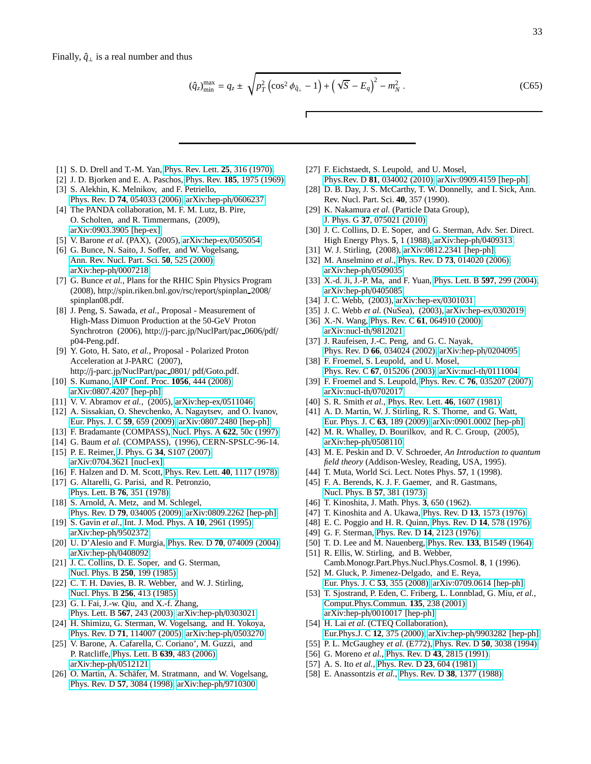$$
(\hat{q}_z)_{\min}^{\max} = q_z \pm \sqrt{p_T^2 \left(\cos^2 \phi_{\hat{q}_\perp} - 1\right) + \left(\sqrt{S} - E_q\right)^2 - m_N^2} \,. \tag{C65}
$$

- <span id="page-32-0"></span>[1] S. D. Drell and T.-M. Yan, [Phys. Rev. Lett.](http://dx.doi.org/10.1103/PhysRevLett.25.316) **25**, 316 (1970).
- <span id="page-32-2"></span><span id="page-32-1"></span>[2] J. D. Bjorken and E. A. Paschos, Phys. Rev. **185**[, 1975 \(1969\).](http://dx.doi.org/10.1103/PhysRev.185.1975) [3] S. Alekhin, K. Melnikov, and F. Petriello,
- <span id="page-32-3"></span>Phys. Rev. D **74**[, 054033 \(2006\),](http://dx.doi.org/10.1103/PhysRevD.74.054033) [arXiv:hep-ph](http://arxiv.org/abs/hep-ph/0606237)/0606237. [4] The PANDA collaboration, M. F. M. Lutz, B. Pire,
- O. Scholten, and R. Timmermans, (2009), [arXiv:0903.3905 \[hep-ex\].](http://arxiv.org/abs/0903.3905)
- <span id="page-32-4"></span>[5] V. Barone *et al.* (PAX), (2005), [arXiv:hep-ex](http://arxiv.org/abs/hep-ex/0505054)/0505054.
- <span id="page-32-5"></span>[6] G. Bunce, N. Saito, J. Soffer, and W. Vogelsang, [Ann. Rev. Nucl. Part. Sci.](http://dx.doi.org/ 10.1146/annurev.nucl.50.1.525) **50**, 525 (2000), [arXiv:hep-ph](http://arxiv.org/abs/hep-ph/0007218)/0007218.
- <span id="page-32-6"></span>[7] G. Bunce *et al.*, Plans for the RHIC Spin Physics Program (2008), http://spin.riken.bnl.gov/rsc/report/spinplan 2008/ spinplan08.pdf.
- <span id="page-32-7"></span>[8] J. Peng, S. Sawada, *et al.*, Proposal - Measurement of High-Mass Dimuon Production at the 50-GeV Proton Synchrotron (2006), http://j-parc.jp/NuclPart/pac 0606/pdf/ p04-Peng.pdf.
- [9] Y. Goto, H. Sato, *et al.*, Proposal Polarized Proton Acceleration at J-PARC (2007), http://j-parc.jp/NuclPart/pac 0801/ pdf/Goto.pdf.
- <span id="page-32-8"></span>[10] S. Kumano, [AIP Conf. Proc.](http://dx.doi.org/10.1063/1.3013077) **1056**, 444 (2008), [arXiv:0807.4207 \[hep-ph\].](http://arxiv.org/abs/0807.4207)
- <span id="page-32-9"></span>[11] V. V. Abramov *et al.*, (2005), [arXiv:hep-ex](http://arxiv.org/abs/hep-ex/0511046)/0511046.
- <span id="page-32-10"></span>[12] A. Sissakian, O. Shevchenko, A. Nagaytsev, and O. Ivanov, [Eur. Phys. J. C](http://dx.doi.org/10.1140/epjc/s10052-008-0806-0) **59**, 659 (2009), [arXiv:0807.2480 \[hep-ph\].](http://arxiv.org/abs/0807.2480)
- <span id="page-32-11"></span>[13] F. Bradamante (COMPASS), [Nucl. Phys. A](http://dx.doi.org/ 10.1016/S0375-9474(97)00332-1) **622**, 50c (1997).
- <span id="page-32-12"></span>[14] G. Baum *et al.* (COMPASS), (1996), CERN-SPSLC-96-14.
- <span id="page-32-13"></span>[15] P. E. Reimer, J. Phys. G **34**[, S107 \(2007\),](http://dx.doi.org/10.1088/0954-3899/34/7/S06) [arXiv:0704.3621 \[nucl-ex\].](http://arxiv.org/abs/0704.3621)
- <span id="page-32-14"></span>[16] F. Halzen and D. M. Scott, [Phys. Rev. Lett.](http://dx.doi.org/10.1103/PhysRevLett.40.1117) **40**, 1117 (1978).
- [17] G. Altarelli, G. Parisi, and R. Petronzio, [Phys. Lett. B](http://dx.doi.org/10.1016/0370-2693(78)90805-5) **76**, 351 (1978).
- <span id="page-32-15"></span>[18] S. Arnold, A. Metz, and M. Schlegel, Phys. Rev. D **79**[, 034005 \(2009\),](http://dx.doi.org/10.1103/PhysRevD.79.034005) [arXiv:0809.2262 \[hep-ph\].](http://arxiv.org/abs/0809.2262) [19] S. Gavin *et al.*, [Int. J. Mod. Phys. A](http://dx.doi.org/10.1142/S0217751X9500142X) **10**, 2961 (1995),
- <span id="page-32-16"></span>[arXiv:hep-ph](http://arxiv.org/abs/hep-ph/9502372)/9502372.
- <span id="page-32-17"></span>[20] U. D'Alesio and F. Murgia, Phys. Rev. D **70**[, 074009 \(2004\),](http://dx.doi.org/10.1103/PhysRevD.70.074009) [arXiv:hep-ph](http://arxiv.org/abs/hep-ph/0408092)/0408092.
- <span id="page-32-18"></span>[21] J. C. Collins, D. E. Soper, and G. Sterman, [Nucl. Phys. B](http://dx.doi.org/10.1016/0550-3213(85)90479-1) **250**, 199 (1985).
- [22] C. T. H. Davies, B. R. Webber, and W. J. Stirling, [Nucl. Phys. B](http://dx.doi.org/10.1016/0550-3213(85)90402-X) **256**, 413 (1985).
- <span id="page-32-19"></span>[23] G. I. Fai, J.-w. Qiu, and X.-f. Zhang, [Phys. Lett. B](http://dx.doi.org/10.1016/j.physletb.2003.05.007) **567**, 243 (2003), [arXiv:hep-ph](http://arxiv.org/abs/hep-ph/0303021)/0303021.
- <span id="page-32-20"></span>[24] H. Shimizu, G. Sterman, W. Vogelsang, and H. Yokoya, Phys. Rev. D **71**[, 114007 \(2005\),](http://dx.doi.org/10.1103/PhysRevD.71.114007) [arXiv:hep-ph](http://arxiv.org/abs/hep-ph/0503270)/0503270.
- [25] V. Barone, A. Cafarella, C. Coriano', M. Guzzi, and P. Ratcliffe, [Phys. Lett. B](http://dx.doi.org/ 10.1016/j.physletb.2006.07.012) **639**, 483 (2006), [arXiv:hep-ph](http://arxiv.org/abs/hep-ph/0512121)/0512121.
- <span id="page-32-21"></span>[26] O. Martin, A. Schäfer, M. Stratmann, and W. Vogelsang, Phys. Rev. D **57**[, 3084 \(1998\),](http://dx.doi.org/10.1103/PhysRevD.57.3084) [arXiv:hep-ph](http://arxiv.org/abs/hep-ph/9710300)/9710300.
- <span id="page-32-22"></span>[27] F. Eichstaedt, S. Leupold, and U. Mosel,
- Phys.Rev. D **81**[, 034002 \(2010\),](http://dx.doi.org/10.1103/PhysRevD.81.034002) [arXiv:0909.4159 \[hep-ph\].](http://arxiv.org/abs/0909.4159) [28] D. B. Day, J. S. McCarthy, T. W. Donnelly, and I. Sick, Ann.
- <span id="page-32-23"></span>Rev. Nucl. Part. Sci. **40**, 357 (1990).
- <span id="page-32-24"></span>[29] K. Nakamura *et al.* (Particle Data Group), J. Phys. G **37**[, 075021 \(2010\).](http://dx.doi.org/10.1088/0954-3899/37/7A/075021)
- <span id="page-32-25"></span>[30] J. C. Collins, D. E. Soper, and G. Sterman, Adv. Ser. Direct. High Energy Phys. **5**, 1 (1988), [arXiv:hep-ph](http://arxiv.org/abs/hep-ph/0409313)/0409313.
- <span id="page-32-26"></span>[31] W. J. Stirling, (2008), [arXiv:0812.2341 \[hep-ph\].](http://arxiv.org/abs/0812.2341) [32] M. Anselmino *et al.*, Phys. Rev. D **73**[, 014020 \(2006\),](http://dx.doi.org/10.1103/PhysRevD.73.014020)
- <span id="page-32-27"></span>[arXiv:hep-ph](http://arxiv.org/abs/hep-ph/0509035)/0509035.
- <span id="page-32-28"></span>[33] X.-d. Ji, J.-P. Ma, and F. Yuan, [Phys. Lett. B](http://dx.doi.org/ 10.1016/j.physletb.2004.07.026) **597**, 299 (2004), [arXiv:hep-ph](http://arxiv.org/abs/hep-ph/0405085)/0405085.
- <span id="page-32-29"></span>[34] J. C. Webb, (2003), [arXiv:hep-ex](http://arxiv.org/abs/hep-ex/0301031)/0301031.
- <span id="page-32-30"></span>[35] J. C. Webb *et al.* (NuSea), (2003), [arXiv:hep-ex](http://arxiv.org/abs/hep-ex/0302019)/0302019.
- <span id="page-32-31"></span>[36] X.-N. Wang, Phys. Rev. C **61**[, 064910 \(2000\),](http://dx.doi.org/10.1103/PhysRevC.61.064910) [arXiv:nucl-th](http://arxiv.org/abs/nucl-th/9812021)/9812021.
- <span id="page-32-32"></span>[37] J. Raufeisen, J.-C. Peng, and G. C. Nayak, Phys. Rev. D **66**[, 034024 \(2002\),](http://dx.doi.org/10.1103/PhysRevD.66.034024) [arXiv:hep-ph](http://arxiv.org/abs/hep-ph/0204095)/0204095.
- <span id="page-32-33"></span>[38] F. Froemel, S. Leupold, and U. Mosel, Phys. Rev. C **67**[, 015206 \(2003\),](http://dx.doi.org/10.1103/PhysRevC.67.015206) [arXiv:nucl-th](http://arxiv.org/abs/nucl-th/0111004)/0111004.
- <span id="page-32-34"></span>[39] F. Froemel and S. Leupold, Phys. Rev. C **76**[, 035207 \(2007\),](http://dx.doi.org/10.1103/PhysRevC.76.035207) [arXiv:nucl-th](http://arxiv.org/abs/nucl-th/0702017)/0702017.
- <span id="page-32-35"></span>[40] S. R. Smith *et al.*, [Phys. Rev. Lett.](http://dx.doi.org/10.1103/PhysRevLett.46.1607) **46**, 1607 (1981).
- <span id="page-32-36"></span>[41] A. D. Martin, W. J. Stirling, R. S. Thorne, and G. Watt, [Eur. Phys. J. C](http://dx.doi.org/10.1140/epjc/s10052-009-1072-5) **63**, 189 (2009), [arXiv:0901.0002 \[hep-ph\].](http://arxiv.org/abs/0901.0002)
- <span id="page-32-37"></span>[42] M. R. Whalley, D. Bourilkov, and R. C. Group, (2005), [arXiv:hep-ph](http://arxiv.org/abs/hep-ph/0508110)/0508110.
- <span id="page-32-38"></span>[43] M. E. Peskin and D. V. Schroeder, *An Introduction to quantum field theory* (Addison-Wesley, Reading, USA, 1995).
- <span id="page-32-39"></span>[44] T. Muta, World Sci. Lect. Notes Phys. **57**, 1 (1998).
- <span id="page-32-40"></span>[45] F. A. Berends, K. J. F. Gaemer, and R. Gastmans, [Nucl. Phys. B](http://dx.doi.org/10.1016/0550-3213(73)90108-9) **57**, 381 (1973).
- <span id="page-32-41"></span>[46] T. Kinoshita, J. Math. Phys. **3**, 650 (1962).
- [47] T. Kinoshita and A. Ukawa, Phys. Rev. D **13**[, 1573 \(1976\).](http://dx.doi.org/10.1103/PhysRevD.13.1573)
- [48] E. C. Poggio and H. R. Quinn, [Phys. Rev. D](http://dx.doi.org/10.1103/PhysRevD.14.578) **14**, 578 (1976).
- <span id="page-32-42"></span>[49] G. F. Sterman, Phys. Rev. D **14**[, 2123 \(1976\).](http://dx.doi.org/10.1103/PhysRevD.14.2123)
- <span id="page-32-43"></span>[50] T. D. Lee and M. Nauenberg, Phys. Rev. **133**[, B1549 \(1964\).](http://dx.doi.org/10.1103/PhysRev.133.B1549)
- <span id="page-32-44"></span>[51] R. Ellis, W. Stirling, and B. Webber, Camb.Monogr.Part.Phys.Nucl.Phys.Cosmol. **8**, 1 (1996).
- <span id="page-32-45"></span>[52] M. Gluck, P. Jimenez-Delgado, and E. Reya, [Eur. Phys. J. C](http://dx.doi.org/10.1140/epjc/s10052-007-0462-9) **53**, 355 (2008), [arXiv:0709.0614 \[hep-ph\].](http://arxiv.org/abs/0709.0614)
- <span id="page-32-46"></span>[53] T. Sjostrand, P. Eden, C. Friberg, L. Lonnblad, G. Miu, *et al.*, [Comput.Phys.Commun.](http://dx.doi.org/ 10.1016/S0010-4655(00)00236-8) **135**, 238 (2001), arXiv:hep-ph/[0010017 \[hep-ph\].](http://arxiv.org/abs/hep-ph/0010017)
- <span id="page-32-47"></span>[54] H. Lai *et al.* (CTEQ Collaboration), [Eur.Phys.J. C](http://dx.doi.org/10.1007/s100529900196) **12**, 375 (2000), arXiv:hep-ph/[9903282 \[hep-ph\].](http://arxiv.org/abs/hep-ph/9903282)
- <span id="page-32-48"></span>[55] P. L. McGaughey *et al.* (E772), Phys. Rev. D **50**[, 3038 \(1994\).](http://dx.doi.org/10.1103/PhysRevD.50.3038)
- <span id="page-32-49"></span>[56] G. Moreno *et al.*, Phys. Rev. D **43**[, 2815 \(1991\).](http://dx.doi.org/10.1103/PhysRevD.43.2815)
- <span id="page-32-50"></span>[57] A. S. Ito *et al.*, [Phys. Rev. D](http://dx.doi.org/10.1103/PhysRevD.23.604) **23**, 604 (1981).
- <span id="page-32-51"></span>[58] E. Anassontzis *et al.*, Phys. Rev. D **38**[, 1377 \(1988\).](http://dx.doi.org/10.1103/PhysRevD.38.1377)